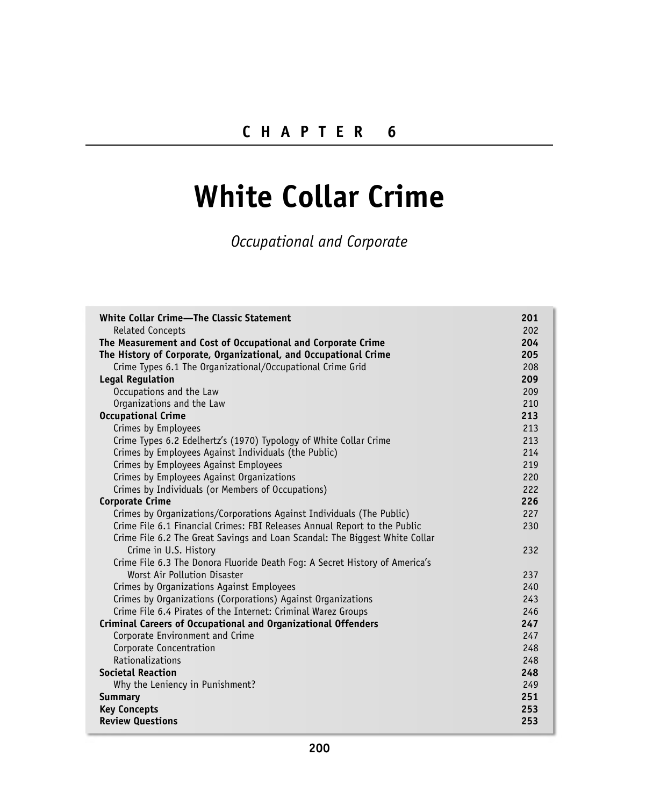# **White Collar Crime**

*Occupational and Corporate*

| White Collar Crime-The Classic Statement                                    | 201 |
|-----------------------------------------------------------------------------|-----|
| <b>Related Concepts</b>                                                     | 202 |
| The Measurement and Cost of Occupational and Corporate Crime                | 204 |
| The History of Corporate, Organizational, and Occupational Crime            | 205 |
| Crime Types 6.1 The Organizational/Occupational Crime Grid                  | 208 |
| <b>Legal Regulation</b>                                                     | 209 |
| Occupations and the Law                                                     | 209 |
| Organizations and the Law                                                   | 210 |
| <b>Occupational Crime</b>                                                   | 213 |
| Crimes by Employees                                                         | 213 |
| Crime Types 6.2 Edelhertz's (1970) Typology of White Collar Crime           | 213 |
| Crimes by Employees Against Individuals (the Public)                        | 214 |
| Crimes by Employees Against Employees                                       | 219 |
| Crimes by Employees Against Organizations                                   | 220 |
| Crimes by Individuals (or Members of Occupations)                           | 222 |
| <b>Corporate Crime</b>                                                      | 226 |
| Crimes by Organizations/Corporations Against Individuals (The Public)       | 227 |
| Crime File 6.1 Financial Crimes: FBI Releases Annual Report to the Public   | 230 |
| Crime File 6.2 The Great Savings and Loan Scandal: The Biggest White Collar |     |
| Crime in U.S. History                                                       | 232 |
| Crime File 6.3 The Donora Fluoride Death Fog: A Secret History of America's |     |
| Worst Air Pollution Disaster                                                | 237 |
| Crimes by Organizations Against Employees                                   | 240 |
| Crimes by Organizations (Corporations) Against Organizations                | 243 |
| Crime File 6.4 Pirates of the Internet: Criminal Warez Groups               | 246 |
| Criminal Careers of Occupational and Organizational Offenders               | 247 |
| Corporate Environment and Crime                                             | 247 |
| Corporate Concentration                                                     | 248 |
| Rationalizations                                                            | 248 |
| <b>Societal Reaction</b>                                                    | 248 |
| Why the Leniency in Punishment?                                             | 249 |
| <b>Summary</b>                                                              | 251 |
| <b>Key Concepts</b>                                                         | 253 |
| <b>Review Questions</b>                                                     | 253 |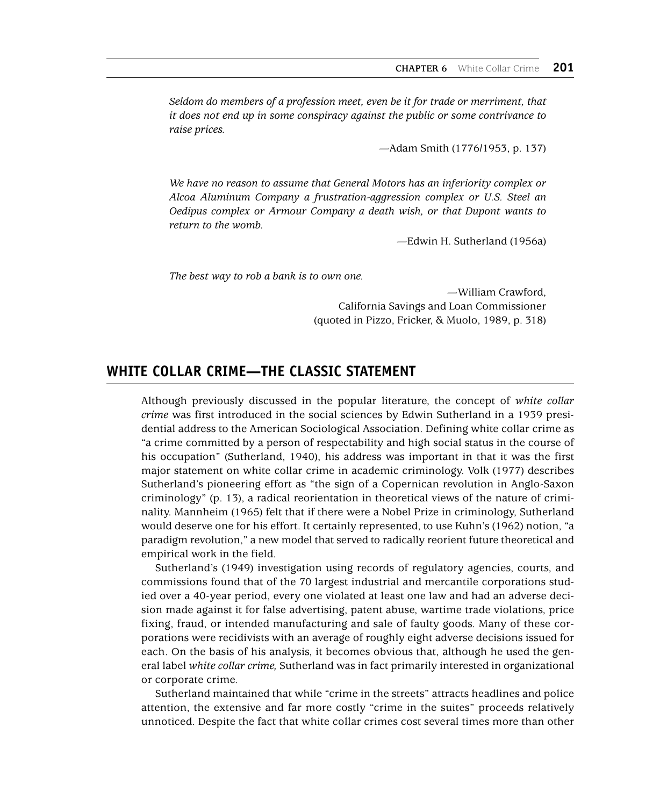*Seldom do members of a profession meet, even be it for trade or merriment, that it does not end up in some conspiracy against the public or some contrivance to raise prices.*

—Adam Smith (1776/1953, p. 137)

*We have no reason to assume that General Motors has an inferiority complex or Alcoa Aluminum Company a frustration-aggression complex or U.S. Steel an Oedipus complex or Armour Company a death wish, or that Dupont wants to return to the womb.*

—Edwin H. Sutherland (1956a)

*The best way to rob a bank is to own one.*

—William Crawford, California Savings and Loan Commissioner (quoted in Pizzo, Fricker, & Muolo, 1989, p. 318)

# **WHITE COLLAR CRIME—THE CLASSIC STATEMENT**

Although previously discussed in the popular literature, the concept of *white collar crime* was first introduced in the social sciences by Edwin Sutherland in a 1939 presidential address to the American Sociological Association. Defining white collar crime as "a crime committed by a person of respectability and high social status in the course of his occupation" (Sutherland, 1940), his address was important in that it was the first major statement on white collar crime in academic criminology. Volk (1977) describes Sutherland's pioneering effort as "the sign of a Copernican revolution in Anglo-Saxon criminology" (p. 13), a radical reorientation in theoretical views of the nature of criminality. Mannheim (1965) felt that if there were a Nobel Prize in criminology, Sutherland would deserve one for his effort. It certainly represented, to use Kuhn's (1962) notion, "a paradigm revolution," a new model that served to radically reorient future theoretical and empirical work in the field.

Sutherland's (1949) investigation using records of regulatory agencies, courts, and commissions found that of the 70 largest industrial and mercantile corporations studied over a 40-year period, every one violated at least one law and had an adverse decision made against it for false advertising, patent abuse, wartime trade violations, price fixing, fraud, or intended manufacturing and sale of faulty goods. Many of these corporations were recidivists with an average of roughly eight adverse decisions issued for each. On the basis of his analysis, it becomes obvious that, although he used the general label *white collar crime,* Sutherland was in fact primarily interested in organizational or corporate crime.

Sutherland maintained that while "crime in the streets" attracts headlines and police attention, the extensive and far more costly "crime in the suites" proceeds relatively unnoticed. Despite the fact that white collar crimes cost several times more than other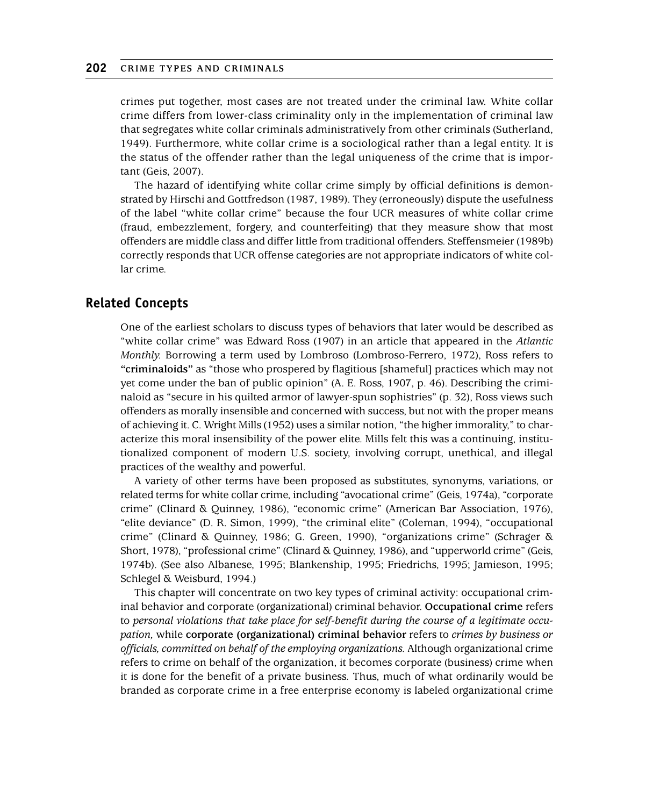crimes put together, most cases are not treated under the criminal law. White collar crime differs from lower-class criminality only in the implementation of criminal law that segregates white collar criminals administratively from other criminals (Sutherland, 1949). Furthermore, white collar crime is a sociological rather than a legal entity. It is the status of the offender rather than the legal uniqueness of the crime that is important (Geis, 2007).

The hazard of identifying white collar crime simply by official definitions is demonstrated by Hirschi and Gottfredson (1987, 1989). They (erroneously) dispute the usefulness of the label "white collar crime" because the four UCR measures of white collar crime (fraud, embezzlement, forgery, and counterfeiting) that they measure show that most offenders are middle class and differ little from traditional offenders. Steffensmeier (1989b) correctly responds that UCR offense categories are not appropriate indicators of white collar crime.

# **Related Concepts**

One of the earliest scholars to discuss types of behaviors that later would be described as "white collar crime" was Edward Ross (1907) in an article that appeared in the *Atlantic Monthly.* Borrowing a term used by Lombroso (Lombroso-Ferrero, 1972), Ross refers to **"criminaloids"** as "those who prospered by flagitious [shameful] practices which may not yet come under the ban of public opinion" (A. E. Ross, 1907, p. 46). Describing the criminaloid as "secure in his quilted armor of lawyer-spun sophistries" (p. 32), Ross views such offenders as morally insensible and concerned with success, but not with the proper means of achieving it. C. Wright Mills (1952) uses a similar notion, "the higher immorality," to characterize this moral insensibility of the power elite. Mills felt this was a continuing, institutionalized component of modern U.S. society, involving corrupt, unethical, and illegal practices of the wealthy and powerful.

A variety of other terms have been proposed as substitutes, synonyms, variations, or related terms for white collar crime, including "avocational crime" (Geis, 1974a), "corporate crime" (Clinard & Quinney, 1986), "economic crime" (American Bar Association, 1976), "elite deviance" (D. R. Simon, 1999), "the criminal elite" (Coleman, 1994), "occupational crime" (Clinard & Quinney, 1986; G. Green, 1990), "organizations crime" (Schrager & Short, 1978), "professional crime" (Clinard & Quinney, 1986), and "upperworld crime" (Geis, 1974b). (See also Albanese, 1995; Blankenship, 1995; Friedrichs, 1995; Jamieson, 1995; Schlegel & Weisburd, 1994.)

This chapter will concentrate on two key types of criminal activity: occupational criminal behavior and corporate (organizational) criminal behavior. **Occupational crime** refers to *personal violations that take place for self-benefit during the course of a legitimate occupation,* while **corporate (organizational) criminal behavior** refers to *crimes by business or officials, committed on behalf of the employing organizations.* Although organizational crime refers to crime on behalf of the organization, it becomes corporate (business) crime when it is done for the benefit of a private business. Thus, much of what ordinarily would be branded as corporate crime in a free enterprise economy is labeled organizational crime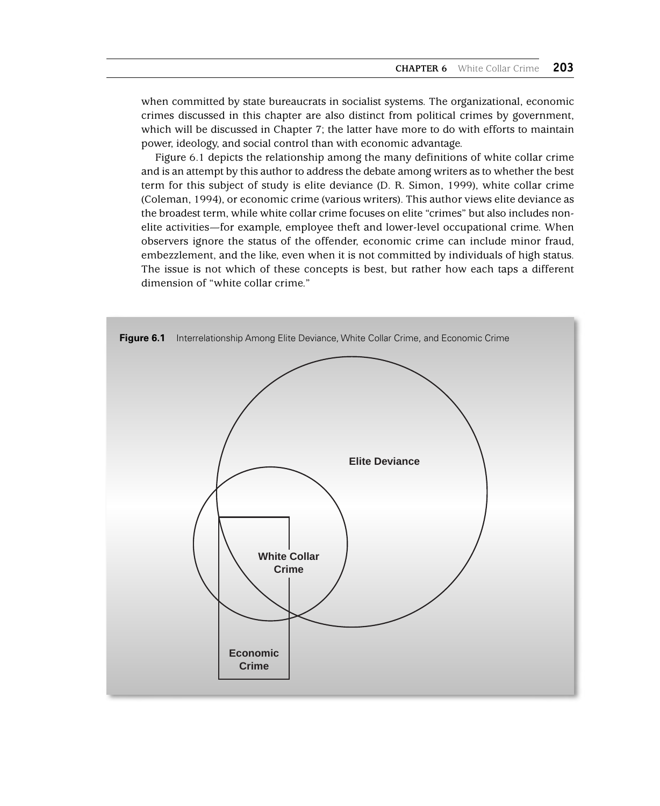when committed by state bureaucrats in socialist systems. The organizational, economic crimes discussed in this chapter are also distinct from political crimes by government, which will be discussed in Chapter 7; the latter have more to do with efforts to maintain power, ideology, and social control than with economic advantage.

Figure 6.1 depicts the relationship among the many definitions of white collar crime and is an attempt by this author to address the debate among writers as to whether the best term for this subject of study is elite deviance (D. R. Simon, 1999), white collar crime (Coleman, 1994), or economic crime (various writers). This author views elite deviance as the broadest term, while white collar crime focuses on elite "crimes" but also includes nonelite activities—for example, employee theft and lower-level occupational crime. When observers ignore the status of the offender, economic crime can include minor fraud, embezzlement, and the like, even when it is not committed by individuals of high status. The issue is not which of these concepts is best, but rather how each taps a different dimension of "white collar crime."

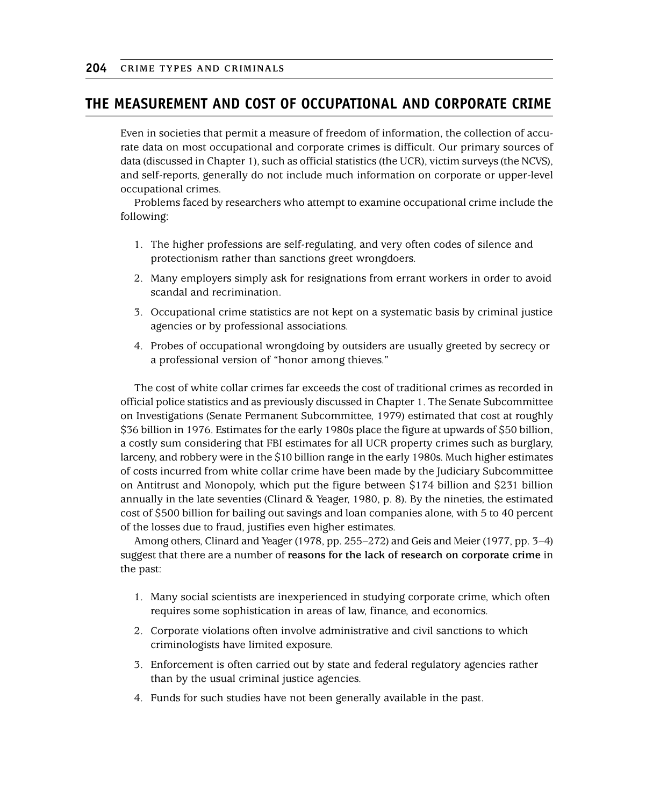# **THE MEASUREMENT AND COST OF OCCUPATIONAL AND CORPORATE CRIME**

Even in societies that permit a measure of freedom of information, the collection of accurate data on most occupational and corporate crimes is difficult. Our primary sources of data (discussed in Chapter 1), such as official statistics (the UCR), victim surveys (the NCVS), and self-reports, generally do not include much information on corporate or upper-level occupational crimes.

Problems faced by researchers who attempt to examine occupational crime include the following:

- 1. The higher professions are self-regulating, and very often codes of silence and protectionism rather than sanctions greet wrongdoers.
- 2. Many employers simply ask for resignations from errant workers in order to avoid scandal and recrimination.
- 3. Occupational crime statistics are not kept on a systematic basis by criminal justice agencies or by professional associations.
- 4. Probes of occupational wrongdoing by outsiders are usually greeted by secrecy or a professional version of "honor among thieves."

The cost of white collar crimes far exceeds the cost of traditional crimes as recorded in official police statistics and as previously discussed in Chapter 1. The Senate Subcommittee on Investigations (Senate Permanent Subcommittee, 1979) estimated that cost at roughly \$36 billion in 1976. Estimates for the early 1980s place the figure at upwards of \$50 billion, a costly sum considering that FBI estimates for all UCR property crimes such as burglary, larceny, and robbery were in the \$10 billion range in the early 1980s. Much higher estimates of costs incurred from white collar crime have been made by the Judiciary Subcommittee on Antitrust and Monopoly, which put the figure between \$174 billion and \$231 billion annually in the late seventies (Clinard  $\&$  Yeager, 1980, p. 8). By the nineties, the estimated cost of \$500 billion for bailing out savings and loan companies alone, with 5 to 40 percent of the losses due to fraud, justifies even higher estimates.

Among others, Clinard and Yeager (1978, pp. 255–272) and Geis and Meier (1977, pp. 3–4) suggest that there are a number of **reasons for the lack of research on corporate crime** in the past:

- 1. Many social scientists are inexperienced in studying corporate crime, which often requires some sophistication in areas of law, finance, and economics.
- 2. Corporate violations often involve administrative and civil sanctions to which criminologists have limited exposure.
- 3. Enforcement is often carried out by state and federal regulatory agencies rather than by the usual criminal justice agencies.
- 4. Funds for such studies have not been generally available in the past.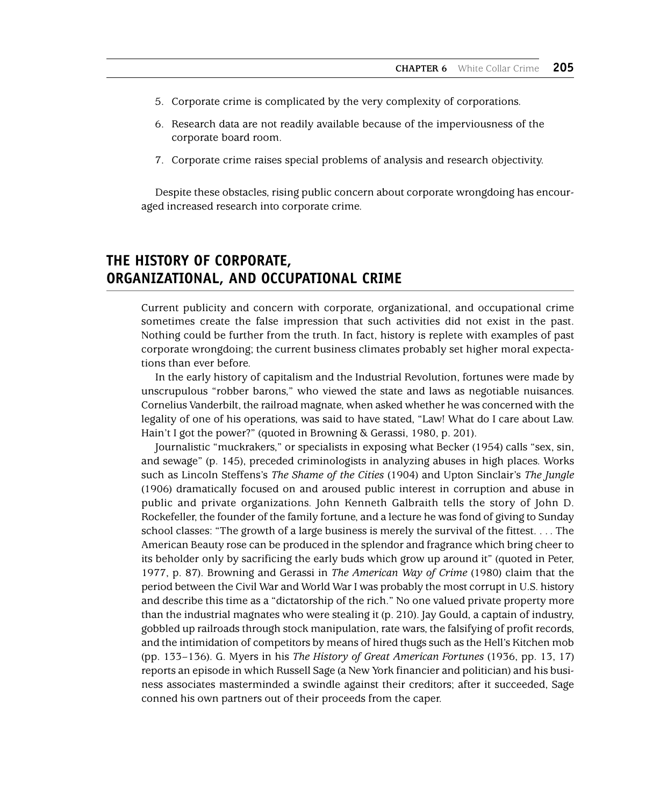- 5. Corporate crime is complicated by the very complexity of corporations.
- 6. Research data are not readily available because of the imperviousness of the corporate board room.
- 7. Corporate crime raises special problems of analysis and research objectivity.

Despite these obstacles, rising public concern about corporate wrongdoing has encouraged increased research into corporate crime.

# **THE HISTORY OF CORPORATE, ORGANIZATIONAL, AND OCCUPATIONAL CRIME**

Current publicity and concern with corporate, organizational, and occupational crime sometimes create the false impression that such activities did not exist in the past. Nothing could be further from the truth. In fact, history is replete with examples of past corporate wrongdoing; the current business climates probably set higher moral expectations than ever before.

In the early history of capitalism and the Industrial Revolution, fortunes were made by unscrupulous "robber barons," who viewed the state and laws as negotiable nuisances. Cornelius Vanderbilt, the railroad magnate, when asked whether he was concerned with the legality of one of his operations, was said to have stated, "Law! What do I care about Law. Hain't I got the power?" (quoted in Browning & Gerassi, 1980, p. 201).

Journalistic "muckrakers," or specialists in exposing what Becker (1954) calls "sex, sin, and sewage" (p. 145), preceded criminologists in analyzing abuses in high places. Works such as Lincoln Steffens's *The Shame of the Cities* (1904) and Upton Sinclair's *The Jungle* (1906) dramatically focused on and aroused public interest in corruption and abuse in public and private organizations. John Kenneth Galbraith tells the story of John D. Rockefeller, the founder of the family fortune, and a lecture he was fond of giving to Sunday school classes: "The growth of a large business is merely the survival of the fittest. . . . The American Beauty rose can be produced in the splendor and fragrance which bring cheer to its beholder only by sacrificing the early buds which grow up around it" (quoted in Peter, 1977, p. 87). Browning and Gerassi in *The American Way of Crime* (1980) claim that the period between the Civil War and World War I was probably the most corrupt in U.S. history and describe this time as a "dictatorship of the rich." No one valued private property more than the industrial magnates who were stealing it (p. 210). Jay Gould, a captain of industry, gobbled up railroads through stock manipulation, rate wars, the falsifying of profit records, and the intimidation of competitors by means of hired thugs such as the Hell's Kitchen mob (pp. 133–136). G. Myers in his *The History of Great American Fortunes* (1936, pp. 13, 17) reports an episode in which Russell Sage (a New York financier and politician) and his business associates masterminded a swindle against their creditors; after it succeeded, Sage conned his own partners out of their proceeds from the caper.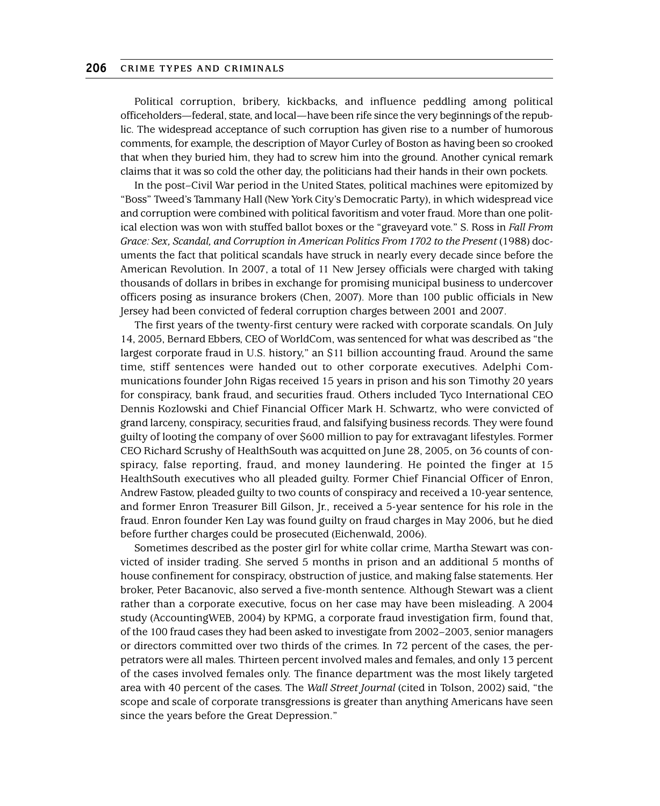Political corruption, bribery, kickbacks, and influence peddling among political officeholders—federal, state, and local—have been rife since the very beginnings of the republic. The widespread acceptance of such corruption has given rise to a number of humorous comments, for example, the description of Mayor Curley of Boston as having been so crooked that when they buried him, they had to screw him into the ground. Another cynical remark claims that it was so cold the other day, the politicians had their hands in their own pockets.

In the post–Civil War period in the United States, political machines were epitomized by "Boss" Tweed's Tammany Hall (New York City's Democratic Party), in which widespread vice and corruption were combined with political favoritism and voter fraud. More than one political election was won with stuffed ballot boxes or the "graveyard vote." S. Ross in *Fall From Grace: Sex, Scandal, and Corruption in American Politics From 1702 to the Present* (1988) documents the fact that political scandals have struck in nearly every decade since before the American Revolution. In 2007, a total of 11 New Jersey officials were charged with taking thousands of dollars in bribes in exchange for promising municipal business to undercover officers posing as insurance brokers (Chen, 2007). More than 100 public officials in New Jersey had been convicted of federal corruption charges between 2001 and 2007.

The first years of the twenty-first century were racked with corporate scandals. On July 14, 2005, Bernard Ebbers, CEO of WorldCom, was sentenced for what was described as "the largest corporate fraud in U.S. history," an \$11 billion accounting fraud. Around the same time, stiff sentences were handed out to other corporate executives. Adelphi Communications founder John Rigas received 15 years in prison and his son Timothy 20 years for conspiracy, bank fraud, and securities fraud. Others included Tyco International CEO Dennis Kozlowski and Chief Financial Officer Mark H. Schwartz, who were convicted of grand larceny, conspiracy, securities fraud, and falsifying business records. They were found guilty of looting the company of over \$600 million to pay for extravagant lifestyles. Former CEO Richard Scrushy of HealthSouth was acquitted on June 28, 2005, on 36 counts of conspiracy, false reporting, fraud, and money laundering. He pointed the finger at 15 HealthSouth executives who all pleaded guilty. Former Chief Financial Officer of Enron, Andrew Fastow, pleaded guilty to two counts of conspiracy and received a 10-year sentence, and former Enron Treasurer Bill Gilson, Jr., received a 5-year sentence for his role in the fraud. Enron founder Ken Lay was found guilty on fraud charges in May 2006, but he died before further charges could be prosecuted (Eichenwald, 2006).

Sometimes described as the poster girl for white collar crime, Martha Stewart was convicted of insider trading. She served 5 months in prison and an additional 5 months of house confinement for conspiracy, obstruction of justice, and making false statements. Her broker, Peter Bacanovic, also served a five-month sentence. Although Stewart was a client rather than a corporate executive, focus on her case may have been misleading. A 2004 study (AccountingWEB, 2004) by KPMG, a corporate fraud investigation firm, found that, of the 100 fraud cases they had been asked to investigate from 2002–2003, senior managers or directors committed over two thirds of the crimes. In 72 percent of the cases, the perpetrators were all males. Thirteen percent involved males and females, and only 13 percent of the cases involved females only. The finance department was the most likely targeted area with 40 percent of the cases. The *Wall Street Journal* (cited in Tolson, 2002) said, "the scope and scale of corporate transgressions is greater than anything Americans have seen since the years before the Great Depression."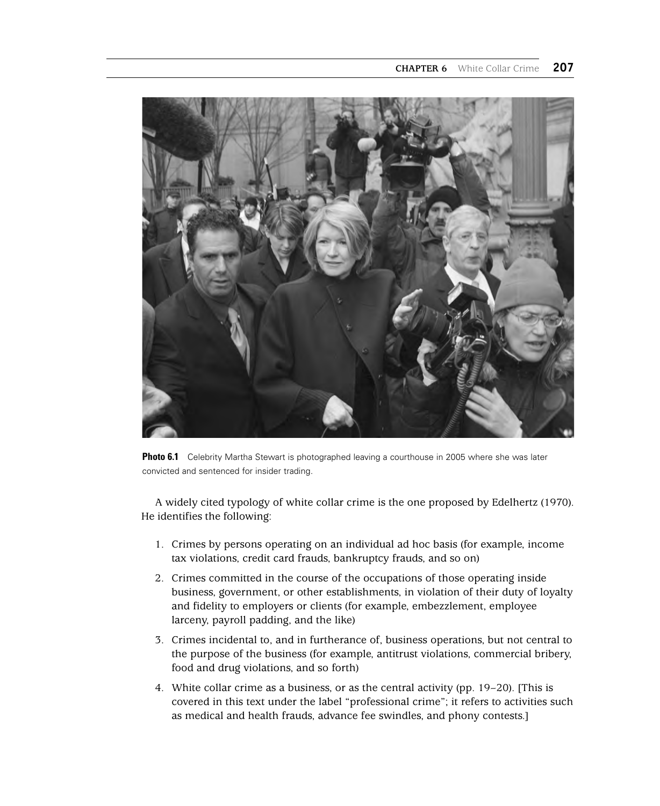

**Photo 6.1** Celebrity Martha Stewart is photographed leaving a courthouse in 2005 where she was later convicted and sentenced for insider trading.

A widely cited typology of white collar crime is the one proposed by Edelhertz (1970). He identifies the following:

- 1. Crimes by persons operating on an individual ad hoc basis (for example, income tax violations, credit card frauds, bankruptcy frauds, and so on)
- 2. Crimes committed in the course of the occupations of those operating inside business, government, or other establishments, in violation of their duty of loyalty and fidelity to employers or clients (for example, embezzlement, employee larceny, payroll padding, and the like)
- 3. Crimes incidental to, and in furtherance of, business operations, but not central to the purpose of the business (for example, antitrust violations, commercial bribery, food and drug violations, and so forth)
- 4. White collar crime as a business, or as the central activity (pp. 19–20). [This is covered in this text under the label "professional crime"; it refers to activities such as medical and health frauds, advance fee swindles, and phony contests.]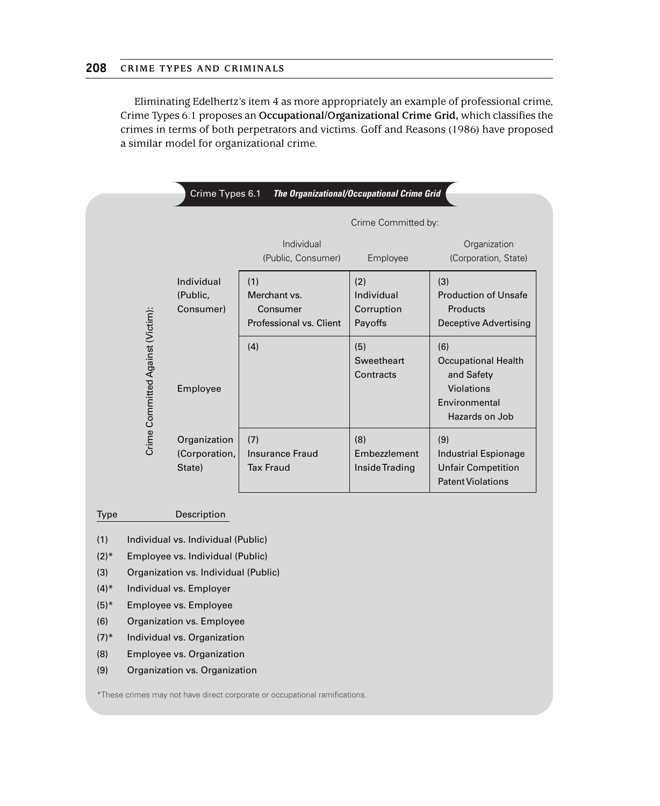Eliminating Edelhertz's item 4 as more appropriately an example of professional crime, Crime Types 6.1 proposes an **Occupational/Organizational Crime Grid,** which classifies the crimes in terms of both perpetrators and victims. Goff and Reasons (1986) have proposed a similar model for organizational crime.

|                                   | The Organizational/Occupational Crime Grid<br>Crime Types 6.1 |                                                            |                                            |                                                                                                  |
|-----------------------------------|---------------------------------------------------------------|------------------------------------------------------------|--------------------------------------------|--------------------------------------------------------------------------------------------------|
|                                   | Crime Committed by:                                           |                                                            |                                            |                                                                                                  |
|                                   |                                                               | Individual<br>(Public, Consumer)                           | Employee                                   | Organization<br>(Corporation, State)                                                             |
|                                   | Individual<br>(Public,<br>Consumer)                           | (1)<br>Merchant vs.<br>Consumer<br>Professional vs. Client | (2)<br>Individual<br>Corruption<br>Payoffs | (3)<br><b>Production of Unsafe</b><br>Products<br>Deceptive Advertising                          |
| Crime Committed Against (Victim): | Employee                                                      | (4)                                                        | (5)<br>Sweetheart<br>Contracts             | (6)<br><b>Occupational Health</b><br>and Safety<br>Violations<br>Environmental<br>Hazards on Job |
|                                   | Organization<br>(Corporation,<br>State)                       | (7)<br><b>Insurance Fraud</b><br><b>Tax Fraud</b>          | (8)<br>Embezzlement<br>Inside Trading      | (9)<br><b>Industrial Espionage</b><br><b>Unfair Competition</b><br><b>Patent Violations</b>      |

Type Description

- (1) Individual vs. Individual (Public)
- (2)\* Employee vs. Individual (Public)
- (3) Organization vs. Individual (Public)
- (4)\* Individual vs. Employer
- (5)\* Employee vs. Employee
- (6) Organization vs. Employee
- (7)\* Individual vs. Organization
- (8) Employee vs. Organization
- (9) Organization vs. Organization

\*These crimes may not have direct corporate or occupational ramifications.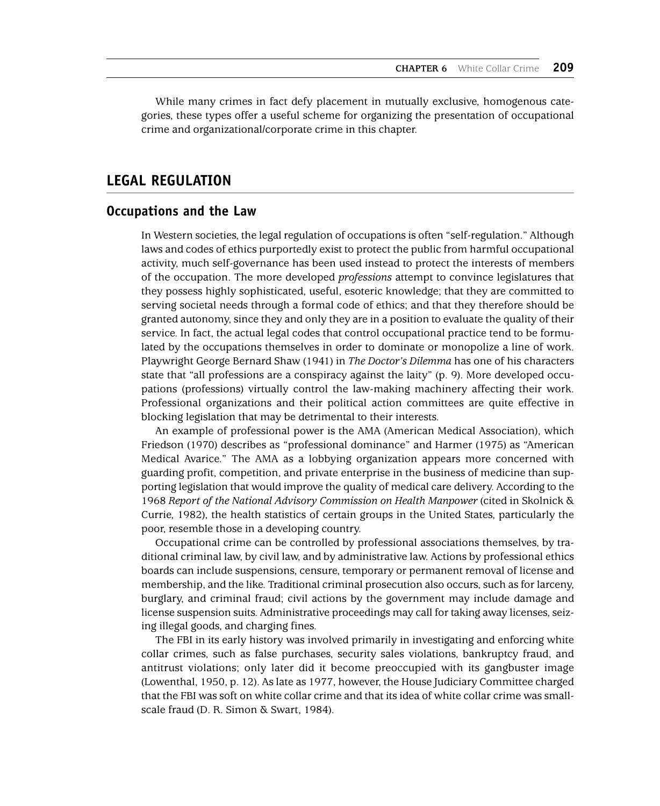While many crimes in fact defy placement in mutually exclusive, homogenous categories, these types offer a useful scheme for organizing the presentation of occupational crime and organizational/corporate crime in this chapter.

# **LEGAL REGULATION**

## **Occupations and the Law**

In Western societies, the legal regulation of occupations is often "self-regulation." Although laws and codes of ethics purportedly exist to protect the public from harmful occupational activity, much self-governance has been used instead to protect the interests of members of the occupation. The more developed *professions* attempt to convince legislatures that they possess highly sophisticated, useful, esoteric knowledge; that they are committed to serving societal needs through a formal code of ethics; and that they therefore should be granted autonomy, since they and only they are in a position to evaluate the quality of their service. In fact, the actual legal codes that control occupational practice tend to be formulated by the occupations themselves in order to dominate or monopolize a line of work. Playwright George Bernard Shaw (1941) in *The Doctor's Dilemma* has one of his characters state that "all professions are a conspiracy against the laity" (p. 9). More developed occupations (professions) virtually control the law-making machinery affecting their work. Professional organizations and their political action committees are quite effective in blocking legislation that may be detrimental to their interests.

An example of professional power is the AMA (American Medical Association), which Friedson (1970) describes as "professional dominance" and Harmer (1975) as "American Medical Avarice." The AMA as a lobbying organization appears more concerned with guarding profit, competition, and private enterprise in the business of medicine than supporting legislation that would improve the quality of medical care delivery. According to the 1968 *Report of the National Advisory Commission on Health Manpower* (cited in Skolnick & Currie, 1982), the health statistics of certain groups in the United States, particularly the poor, resemble those in a developing country.

Occupational crime can be controlled by professional associations themselves, by traditional criminal law, by civil law, and by administrative law. Actions by professional ethics boards can include suspensions, censure, temporary or permanent removal of license and membership, and the like. Traditional criminal prosecution also occurs, such as for larceny, burglary, and criminal fraud; civil actions by the government may include damage and license suspension suits. Administrative proceedings may call for taking away licenses, seizing illegal goods, and charging fines.

The FBI in its early history was involved primarily in investigating and enforcing white collar crimes, such as false purchases, security sales violations, bankruptcy fraud, and antitrust violations; only later did it become preoccupied with its gangbuster image (Lowenthal, 1950, p. 12). As late as 1977, however, the House Judiciary Committee charged that the FBI was soft on white collar crime and that its idea of white collar crime was smallscale fraud (D. R. Simon & Swart, 1984).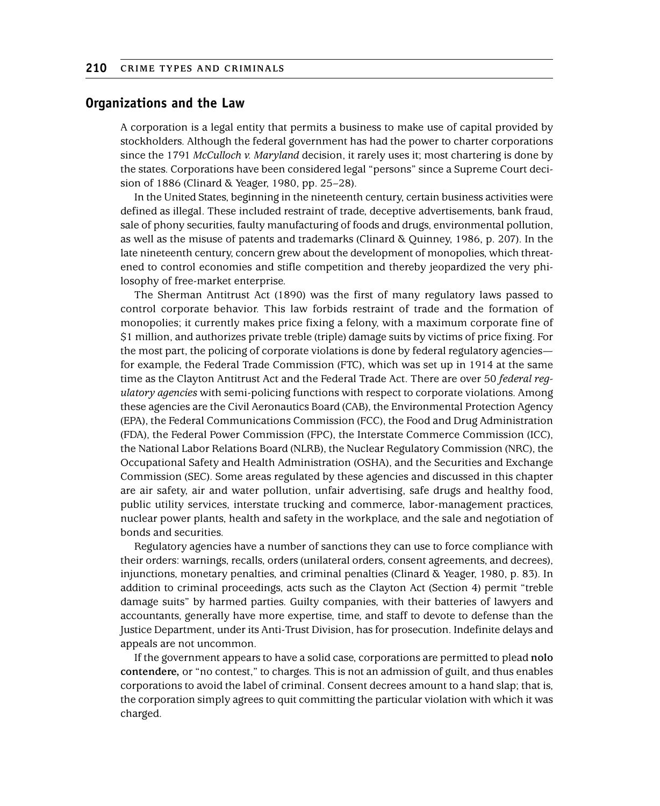## **Organizations and the Law**

A corporation is a legal entity that permits a business to make use of capital provided by stockholders. Although the federal government has had the power to charter corporations since the 1791 *McCulloch v. Maryland* decision, it rarely uses it; most chartering is done by the states. Corporations have been considered legal "persons" since a Supreme Court decision of 1886 (Clinard & Yeager, 1980, pp. 25–28).

In the United States, beginning in the nineteenth century, certain business activities were defined as illegal. These included restraint of trade, deceptive advertisements, bank fraud, sale of phony securities, faulty manufacturing of foods and drugs, environmental pollution, as well as the misuse of patents and trademarks (Clinard & Quinney, 1986, p. 207). In the late nineteenth century, concern grew about the development of monopolies, which threatened to control economies and stifle competition and thereby jeopardized the very philosophy of free-market enterprise.

The Sherman Antitrust Act (1890) was the first of many regulatory laws passed to control corporate behavior. This law forbids restraint of trade and the formation of monopolies; it currently makes price fixing a felony, with a maximum corporate fine of \$1 million, and authorizes private treble (triple) damage suits by victims of price fixing. For the most part, the policing of corporate violations is done by federal regulatory agencies for example, the Federal Trade Commission (FTC), which was set up in 1914 at the same time as the Clayton Antitrust Act and the Federal Trade Act. There are over 50 *federal regulatory agencies* with semi-policing functions with respect to corporate violations. Among these agencies are the Civil Aeronautics Board (CAB), the Environmental Protection Agency (EPA), the Federal Communications Commission (FCC), the Food and Drug Administration (FDA), the Federal Power Commission (FPC), the Interstate Commerce Commission (ICC), the National Labor Relations Board (NLRB), the Nuclear Regulatory Commission (NRC), the Occupational Safety and Health Administration (OSHA), and the Securities and Exchange Commission (SEC). Some areas regulated by these agencies and discussed in this chapter are air safety, air and water pollution, unfair advertising, safe drugs and healthy food, public utility services, interstate trucking and commerce, labor-management practices, nuclear power plants, health and safety in the workplace, and the sale and negotiation of bonds and securities.

Regulatory agencies have a number of sanctions they can use to force compliance with their orders: warnings, recalls, orders (unilateral orders, consent agreements, and decrees), injunctions, monetary penalties, and criminal penalties (Clinard & Yeager, 1980, p. 83). In addition to criminal proceedings, acts such as the Clayton Act (Section 4) permit "treble damage suits" by harmed parties. Guilty companies, with their batteries of lawyers and accountants, generally have more expertise, time, and staff to devote to defense than the Justice Department, under its Anti-Trust Division, has for prosecution. Indefinite delays and appeals are not uncommon.

If the government appears to have a solid case, corporations are permitted to plead **nolo contendere,** or "no contest," to charges. This is not an admission of guilt, and thus enables corporations to avoid the label of criminal. Consent decrees amount to a hand slap; that is, the corporation simply agrees to quit committing the particular violation with which it was charged.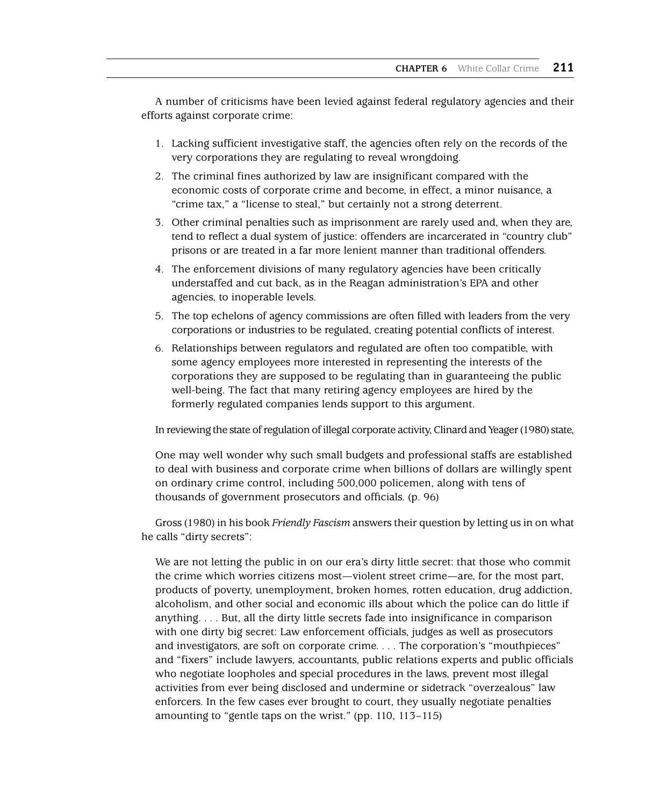A number of criticisms have been levied against federal regulatory agencies and their efforts against corporate crime:

- 1. Lacking sufficient investigative staff, the agencies often rely on the records of the very corporations they are regulating to reveal wrongdoing.
- 2. The criminal fines authorized by law are insignificant compared with the economic costs of corporate crime and become, in effect, a minor nuisance, a "crime tax," a "license to steal," but certainly not a strong deterrent.
- 3. Other criminal penalties such as imprisonment are rarely used and, when they are, tend to reflect a dual system of justice: offenders are incarcerated in "country club" prisons or are treated in a far more lenient manner than traditional offenders.
- 4. The enforcement divisions of many regulatory agencies have been critically understaffed and cut back, as in the Reagan administration's EPA and other agencies, to inoperable levels.
- 5. The top echelons of agency commissions are often filled with leaders from the very corporations or industries to be regulated, creating potential conflicts of interest.
- 6. Relationships between regulators and regulated are often too compatible, with some agency employees more interested in representing the interests of the corporations they are supposed to be regulating than in guaranteeing the public well-being. The fact that many retiring agency employees are hired by the formerly regulated companies lends support to this argument.

In reviewing the state of regulation of illegal corporate activity, Clinard and Yeager (1980) state,

One may well wonder why such small budgets and professional staffs are established to deal with business and corporate crime when billions of dollars are willingly spent on ordinary crime control, including 500,000 policemen, along with tens of thousands of government prosecutors and officials. (p. 96)

Gross (1980) in his book *Friendly Fascism* answers their question by letting us in on what he calls "dirty secrets":

We are not letting the public in on our era's dirty little secret: that those who commit the crime which worries citizens most—violent street crime—are, for the most part, products of poverty, unemployment, broken homes, rotten education, drug addiction, alcoholism, and other social and economic ills about which the police can do little if anything. . . . But, all the dirty little secrets fade into insignificance in comparison with one dirty big secret: Law enforcement officials, judges as well as prosecutors and investigators, are soft on corporate crime. . . . The corporation's "mouthpieces" and "fixers" include lawyers, accountants, public relations experts and public officials who negotiate loopholes and special procedures in the laws, prevent most illegal activities from ever being disclosed and undermine or sidetrack "overzealous" law enforcers. In the few cases ever brought to court, they usually negotiate penalties amounting to "gentle taps on the wrist." (pp. 110, 113–115)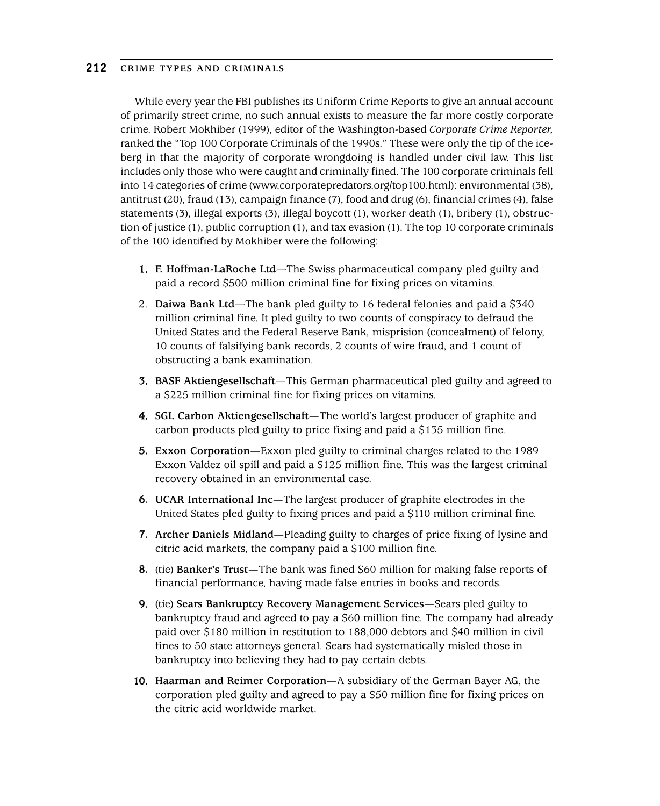While every year the FBI publishes its Uniform Crime Reports to give an annual account of primarily street crime, no such annual exists to measure the far more costly corporate crime. Robert Mokhiber (1999), editor of the Washington-based *Corporate Crime Reporter,* ranked the "Top 100 Corporate Criminals of the 1990s." These were only the tip of the iceberg in that the majority of corporate wrongdoing is handled under civil law. This list includes only those who were caught and criminally fined. The 100 corporate criminals fell into 14 categories of crime (www.corporatepredators.org/top100.html): environmental (38), antitrust (20), fraud (13), campaign finance (7), food and drug (6), financial crimes (4), false statements (3), illegal exports (3), illegal boycott (1), worker death (1), bribery (1), obstruction of justice (1), public corruption (1), and tax evasion (1). The top 10 corporate criminals of the 100 identified by Mokhiber were the following:

- 1. **F. Hoffman-LaRoche Ltd**—The Swiss pharmaceutical company pled guilty and paid a record \$500 million criminal fine for fixing prices on vitamins.
- 2. **Daiwa Bank Ltd**—The bank pled guilty to 16 federal felonies and paid a \$340 million criminal fine. It pled guilty to two counts of conspiracy to defraud the United States and the Federal Reserve Bank, misprision (concealment) of felony, 10 counts of falsifying bank records, 2 counts of wire fraud, and 1 count of obstructing a bank examination.
- 3. **BASF Aktiengesellschaft**—This German pharmaceutical pled guilty and agreed to a \$225 million criminal fine for fixing prices on vitamins.
- 4. **SGL Carbon Aktiengesellschaft**—The world's largest producer of graphite and carbon products pled guilty to price fixing and paid a \$135 million fine.
- 5. **Exxon Corporation**—Exxon pled guilty to criminal charges related to the 1989 Exxon Valdez oil spill and paid a \$125 million fine. This was the largest criminal recovery obtained in an environmental case.
- 6. **UCAR International Inc**—The largest producer of graphite electrodes in the United States pled guilty to fixing prices and paid a \$110 million criminal fine.
- 7. **Archer Daniels Midland**—Pleading guilty to charges of price fixing of lysine and citric acid markets, the company paid a \$100 million fine.
- 8. (tie) **Banker's Trust**—The bank was fined \$60 million for making false reports of financial performance, having made false entries in books and records.
- 9. (tie) **Sears Bankruptcy Recovery Management Services**—Sears pled guilty to bankruptcy fraud and agreed to pay a \$60 million fine. The company had already paid over \$180 million in restitution to 188,000 debtors and \$40 million in civil fines to 50 state attorneys general. Sears had systematically misled those in bankruptcy into believing they had to pay certain debts.
- 10. **Haarman and Reimer Corporation**—A subsidiary of the German Bayer AG, the corporation pled guilty and agreed to pay a \$50 million fine for fixing prices on the citric acid worldwide market.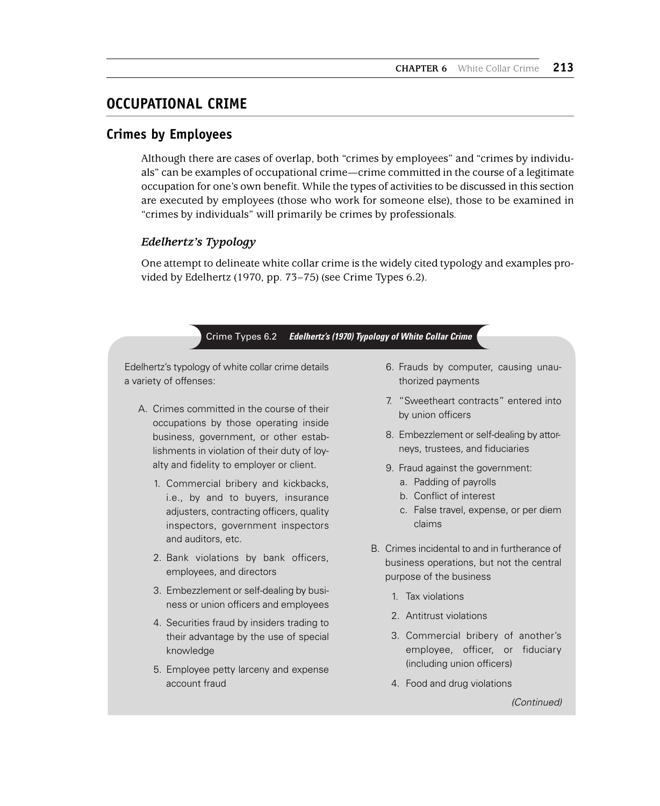# **OCCUPATIONAL CRIME**

# **Crimes by Employees**

Although there are cases of overlap, both "crimes by employees" and "crimes by individuals" can be examples of occupational crime—crime committed in the course of a legitimate occupation for one's own benefit. While the types of activities to be discussed in this section are executed by employees (those who work for someone else), those to be examined in "crimes by individuals" will primarily be crimes by professionals.

# *Edelhertz's Typology*

One attempt to delineate white collar crime is the widely cited typology and examples provided by Edelhertz (1970, pp. 73–75) (see Crime Types 6.2).

## Crime Types 6.2 *Edelhertz's (1970) Typology of White Collar Crime*

Edelhertz's typology of white collar crime details a variety of offenses:

- A. Crimes committed in the course of their occupations by those operating inside business, government, or other establishments in violation of their duty of loyalty and fidelity to employer or client.
	- 1. Commercial bribery and kickbacks, i.e., by and to buyers, insurance adjusters, contracting officers, quality inspectors, government inspectors and auditors, etc.
	- 2. Bank violations by bank officers, employees, and directors
	- 3. Embezzlement or self-dealing by business or union officers and employees
	- 4. Securities fraud by insiders trading to their advantage by the use of special knowledge
	- 5. Employee petty larceny and expense account fraud
- 6. Frauds by computer, causing unauthorized payments
- 7. "Sweetheart contracts" entered into by union officers
- 8. Embezzlement or self-dealing by attorneys, trustees, and fiduciaries
- 9. Fraud against the government:
	- a. Padding of payrolls
	- b. Conflict of interest
	- c. False travel, expense, or per diem claims
- B. Crimes incidental to and in furtherance of business operations, but not the central purpose of the business
	- 1. Tax violations
	- 2. Antitrust violations
	- 3. Commercial bribery of another's employee, officer, or fiduciary (including union officers)
	- 4. Food and drug violations

*(Continued)*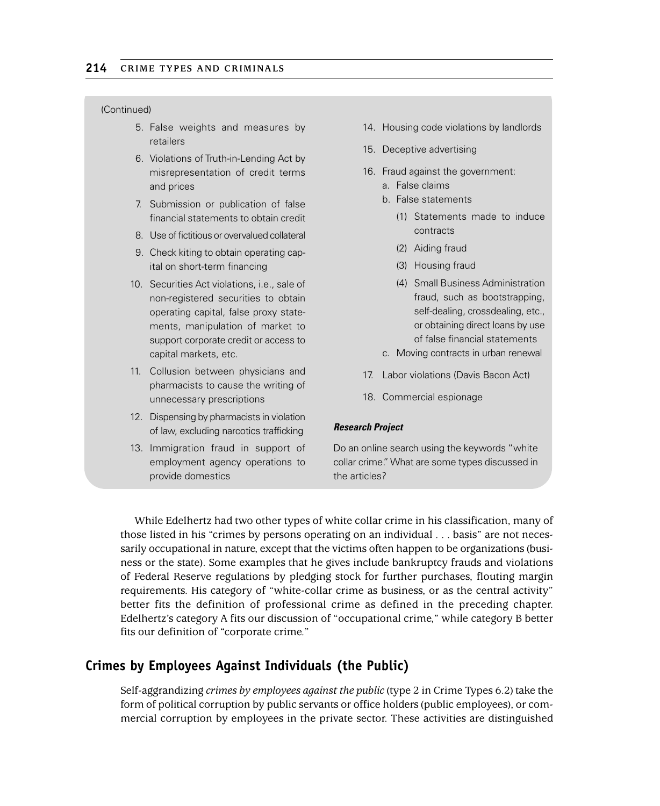#### (Continued)

- 5. False weights and measures by retailers
- 6. Violations of Truth-in-Lending Act by misrepresentation of credit terms and prices
- 7. Submission or publication of false financial statements to obtain credit
- 8. Use of fictitious or overvalued collateral
- 9. Check kiting to obtain operating capital on short-term financing
- 10. Securities Act violations, i.e., sale of non-registered securities to obtain operating capital, false proxy statements, manipulation of market to support corporate credit or access to capital markets, etc.
- 11. Collusion between physicians and pharmacists to cause the writing of unnecessary prescriptions
- 12. Dispensing by pharmacists in violation of law, excluding narcotics trafficking
- 13. Immigration fraud in support of employment agency operations to provide domestics
- 14. Housing code violations by landlords
- 15. Deceptive advertising
- 16. Fraud against the government:
	- a. False claims
	- b. False statements
		- (1) Statements made to induce contracts
		- (2) Aiding fraud
		- (3) Housing fraud
		- (4) Small Business Administration fraud, such as bootstrapping, self-dealing, crossdealing, etc., or obtaining direct loans by use of false financial statements
	- c. Moving contracts in urban renewal
- 17. Labor violations (Davis Bacon Act)
- 18. Commercial espionage

#### *Research Project*

Do an online search using the keywords "white collar crime." What are some types discussed in the articles?

While Edelhertz had two other types of white collar crime in his classification, many of those listed in his "crimes by persons operating on an individual . . . basis" are not necessarily occupational in nature, except that the victims often happen to be organizations (business or the state). Some examples that he gives include bankruptcy frauds and violations of Federal Reserve regulations by pledging stock for further purchases, flouting margin requirements. His category of "white-collar crime as business, or as the central activity" better fits the definition of professional crime as defined in the preceding chapter. Edelhertz's category A fits our discussion of "occupational crime," while category B better fits our definition of "corporate crime."

# **Crimes by Employees Against Individuals (the Public)**

Self-aggrandizing *crimes by employees against the public* (type 2 in Crime Types 6.2) take the form of political corruption by public servants or office holders (public employees), or commercial corruption by employees in the private sector. These activities are distinguished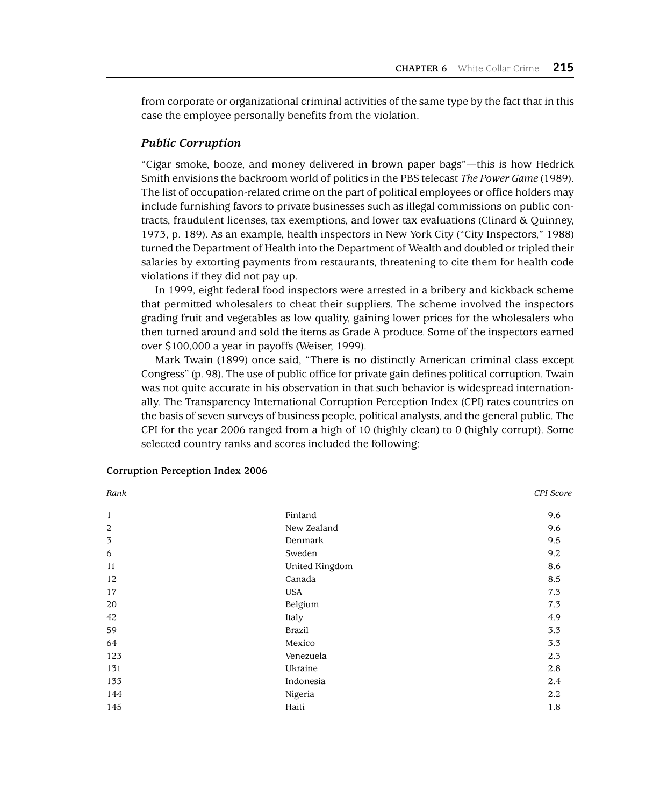from corporate or organizational criminal activities of the same type by the fact that in this case the employee personally benefits from the violation.

#### *Public Corruption*

"Cigar smoke, booze, and money delivered in brown paper bags"—this is how Hedrick Smith envisions the backroom world of politics in the PBS telecast *The Power Game* (1989). The list of occupation-related crime on the part of political employees or office holders may include furnishing favors to private businesses such as illegal commissions on public contracts, fraudulent licenses, tax exemptions, and lower tax evaluations (Clinard & Quinney, 1973, p. 189). As an example, health inspectors in New York City ("City Inspectors," 1988) turned the Department of Health into the Department of Wealth and doubled or tripled their salaries by extorting payments from restaurants, threatening to cite them for health code violations if they did not pay up.

In 1999, eight federal food inspectors were arrested in a bribery and kickback scheme that permitted wholesalers to cheat their suppliers. The scheme involved the inspectors grading fruit and vegetables as low quality, gaining lower prices for the wholesalers who then turned around and sold the items as Grade A produce. Some of the inspectors earned over \$100,000 a year in payoffs (Weiser, 1999).

Mark Twain (1899) once said, "There is no distinctly American criminal class except Congress" (p. 98). The use of public office for private gain defines political corruption. Twain was not quite accurate in his observation in that such behavior is widespread internationally. The Transparency International Corruption Perception Index (CPI) rates countries on the basis of seven surveys of business people, political analysts, and the general public. The CPI for the year 2006 ranged from a high of 10 (highly clean) to 0 (highly corrupt). Some selected country ranks and scores included the following:

| Rank           |                | CPI Score |
|----------------|----------------|-----------|
| $\mathbf{1}$   | Finland        | 9.6       |
| $\overline{c}$ | New Zealand    | 9.6       |
| 3              | Denmark        | 9.5       |
| 6              | Sweden         | 9.2       |
| 11             | United Kingdom | 8.6       |
| 12             | Canada         | 8.5       |
| 17             | USA            | 7.3       |
| 20             | Belgium        | 7.3       |
| 42             | Italy          | 4.9       |
| 59             | Brazil         | 3.3       |
| 64             | Mexico         | 3.3       |
| 123            | Venezuela      | 2.3       |
| 131            | Ukraine        | 2.8       |
| 133            | Indonesia      | 2.4       |
| 144            | Nigeria        | 2.2       |
| 145            | Haiti          | 1.8       |

#### **Corruption Perception Index 2006**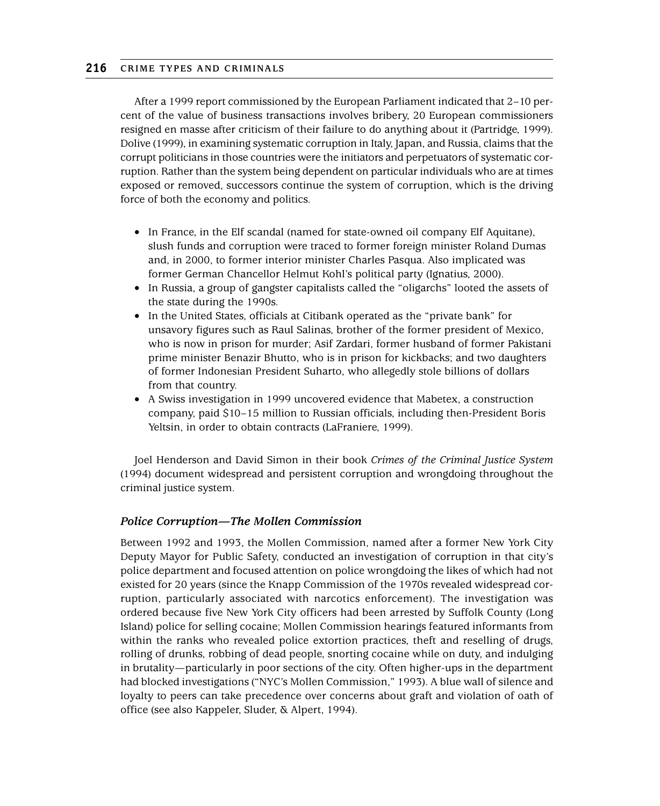After a 1999 report commissioned by the European Parliament indicated that 2–10 percent of the value of business transactions involves bribery, 20 European commissioners resigned en masse after criticism of their failure to do anything about it (Partridge, 1999). Dolive (1999), in examining systematic corruption in Italy, Japan, and Russia, claims that the corrupt politicians in those countries were the initiators and perpetuators of systematic corruption. Rather than the system being dependent on particular individuals who are at times exposed or removed, successors continue the system of corruption, which is the driving force of both the economy and politics.

- In France, in the Elf scandal (named for state-owned oil company Elf Aquitane), slush funds and corruption were traced to former foreign minister Roland Dumas and, in 2000, to former interior minister Charles Pasqua. Also implicated was former German Chancellor Helmut Kohl's political party (Ignatius, 2000).
- In Russia, a group of gangster capitalists called the "oligarchs" looted the assets of the state during the 1990s.
- In the United States, officials at Citibank operated as the "private bank" for unsavory figures such as Raul Salinas, brother of the former president of Mexico, who is now in prison for murder; Asif Zardari, former husband of former Pakistani prime minister Benazir Bhutto, who is in prison for kickbacks; and two daughters of former Indonesian President Suharto, who allegedly stole billions of dollars from that country.
- A Swiss investigation in 1999 uncovered evidence that Mabetex, a construction company, paid \$10–15 million to Russian officials, including then-President Boris Yeltsin, in order to obtain contracts (LaFraniere, 1999).

Joel Henderson and David Simon in their book *Crimes of the Criminal Justice System* (1994) document widespread and persistent corruption and wrongdoing throughout the criminal justice system.

## *Police Corruption—The Mollen Commission*

Between 1992 and 1993, the Mollen Commission, named after a former New York City Deputy Mayor for Public Safety, conducted an investigation of corruption in that city's police department and focused attention on police wrongdoing the likes of which had not existed for 20 years (since the Knapp Commission of the 1970s revealed widespread corruption, particularly associated with narcotics enforcement). The investigation was ordered because five New York City officers had been arrested by Suffolk County (Long Island) police for selling cocaine; Mollen Commission hearings featured informants from within the ranks who revealed police extortion practices, theft and reselling of drugs, rolling of drunks, robbing of dead people, snorting cocaine while on duty, and indulging in brutality—particularly in poor sections of the city. Often higher-ups in the department had blocked investigations ("NYC's Mollen Commission," 1993). A blue wall of silence and loyalty to peers can take precedence over concerns about graft and violation of oath of office (see also Kappeler, Sluder, & Alpert, 1994).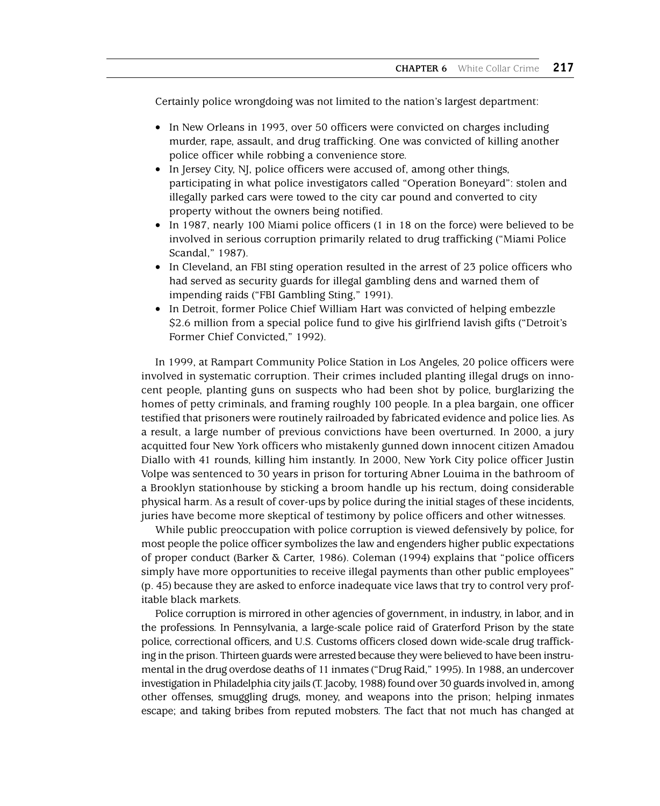Certainly police wrongdoing was not limited to the nation's largest department:

- In New Orleans in 1993, over 50 officers were convicted on charges including murder, rape, assault, and drug trafficking. One was convicted of killing another police officer while robbing a convenience store.
- In Jersey City, NJ, police officers were accused of, among other things, participating in what police investigators called "Operation Boneyard": stolen and illegally parked cars were towed to the city car pound and converted to city property without the owners being notified.
- In 1987, nearly 100 Miami police officers (1 in 18 on the force) were believed to be involved in serious corruption primarily related to drug trafficking ("Miami Police Scandal," 1987).
- In Cleveland, an FBI sting operation resulted in the arrest of 23 police officers who had served as security guards for illegal gambling dens and warned them of impending raids ("FBI Gambling Sting," 1991).
- In Detroit, former Police Chief William Hart was convicted of helping embezzle \$2.6 million from a special police fund to give his girlfriend lavish gifts ("Detroit's Former Chief Convicted," 1992).

In 1999, at Rampart Community Police Station in Los Angeles, 20 police officers were involved in systematic corruption. Their crimes included planting illegal drugs on innocent people, planting guns on suspects who had been shot by police, burglarizing the homes of petty criminals, and framing roughly 100 people. In a plea bargain, one officer testified that prisoners were routinely railroaded by fabricated evidence and police lies. As a result, a large number of previous convictions have been overturned. In 2000, a jury acquitted four New York officers who mistakenly gunned down innocent citizen Amadou Diallo with 41 rounds, killing him instantly. In 2000, New York City police officer Justin Volpe was sentenced to 30 years in prison for torturing Abner Louima in the bathroom of a Brooklyn stationhouse by sticking a broom handle up his rectum, doing considerable physical harm. As a result of cover-ups by police during the initial stages of these incidents, juries have become more skeptical of testimony by police officers and other witnesses.

While public preoccupation with police corruption is viewed defensively by police, for most people the police officer symbolizes the law and engenders higher public expectations of proper conduct (Barker & Carter, 1986). Coleman (1994) explains that "police officers simply have more opportunities to receive illegal payments than other public employees" (p. 45) because they are asked to enforce inadequate vice laws that try to control very profitable black markets.

Police corruption is mirrored in other agencies of government, in industry, in labor, and in the professions. In Pennsylvania, a large-scale police raid of Graterford Prison by the state police, correctional officers, and U.S. Customs officers closed down wide-scale drug trafficking in the prison. Thirteen guards were arrested because they were believed to have been instrumental in the drug overdose deaths of 11 inmates ("Drug Raid," 1995). In 1988, an undercover investigation in Philadelphia city jails (T. Jacoby, 1988) found over 30 guards involved in, among other offenses, smuggling drugs, money, and weapons into the prison; helping inmates escape; and taking bribes from reputed mobsters. The fact that not much has changed at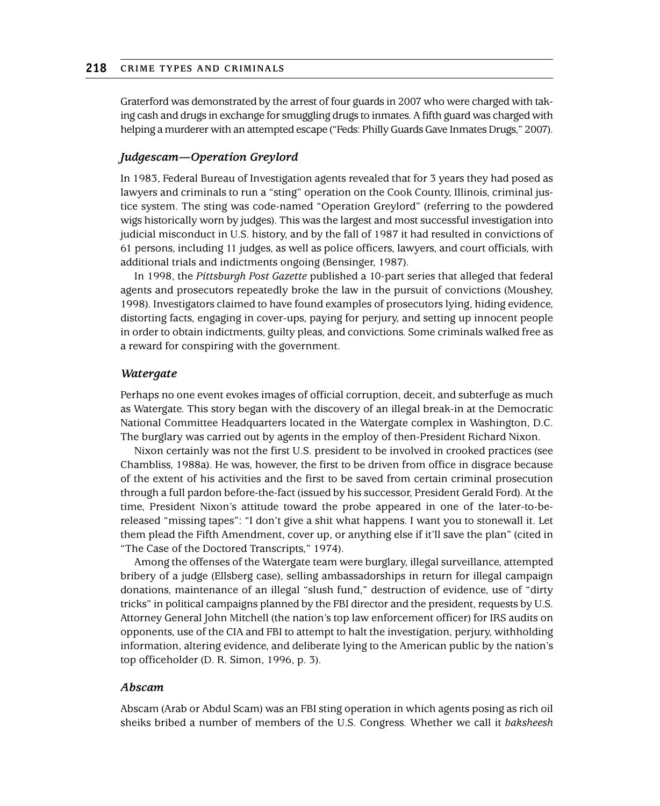#### **218 CRIME TYPES AND CRIMINALS**

Graterford was demonstrated by the arrest of four guards in 2007 who were charged with taking cash and drugs in exchange for smuggling drugs to inmates. A fifth guard was charged with helping a murderer with an attempted escape ("Feds: Philly Guards Gave Inmates Drugs," 2007).

#### *Judgescam—Operation Greylord*

In 1983, Federal Bureau of Investigation agents revealed that for 3 years they had posed as lawyers and criminals to run a "sting" operation on the Cook County, Illinois, criminal justice system. The sting was code-named "Operation Greylord" (referring to the powdered wigs historically worn by judges). This was the largest and most successful investigation into judicial misconduct in U.S. history, and by the fall of 1987 it had resulted in convictions of 61 persons, including 11 judges, as well as police officers, lawyers, and court officials, with additional trials and indictments ongoing (Bensinger, 1987).

In 1998, the *Pittsburgh Post Gazette* published a 10-part series that alleged that federal agents and prosecutors repeatedly broke the law in the pursuit of convictions (Moushey, 1998). Investigators claimed to have found examples of prosecutors lying, hiding evidence, distorting facts, engaging in cover-ups, paying for perjury, and setting up innocent people in order to obtain indictments, guilty pleas, and convictions. Some criminals walked free as a reward for conspiring with the government.

#### *Watergate*

Perhaps no one event evokes images of official corruption, deceit, and subterfuge as much as Watergate. This story began with the discovery of an illegal break-in at the Democratic National Committee Headquarters located in the Watergate complex in Washington, D.C. The burglary was carried out by agents in the employ of then-President Richard Nixon.

Nixon certainly was not the first U.S. president to be involved in crooked practices (see Chambliss, 1988a). He was, however, the first to be driven from office in disgrace because of the extent of his activities and the first to be saved from certain criminal prosecution through a full pardon before-the-fact (issued by his successor, President Gerald Ford). At the time, President Nixon's attitude toward the probe appeared in one of the later-to-bereleased "missing tapes": "I don't give a shit what happens. I want you to stonewall it. Let them plead the Fifth Amendment, cover up, or anything else if it'll save the plan" (cited in "The Case of the Doctored Transcripts," 1974).

Among the offenses of the Watergate team were burglary, illegal surveillance, attempted bribery of a judge (Ellsberg case), selling ambassadorships in return for illegal campaign donations, maintenance of an illegal "slush fund," destruction of evidence, use of "dirty tricks" in political campaigns planned by the FBI director and the president, requests by U.S. Attorney General John Mitchell (the nation's top law enforcement officer) for IRS audits on opponents, use of the CIA and FBI to attempt to halt the investigation, perjury, withholding information, altering evidence, and deliberate lying to the American public by the nation's top officeholder (D. R. Simon, 1996, p. 3).

#### *Abscam*

Abscam (Arab or Abdul Scam) was an FBI sting operation in which agents posing as rich oil sheiks bribed a number of members of the U.S. Congress. Whether we call it *baksheesh*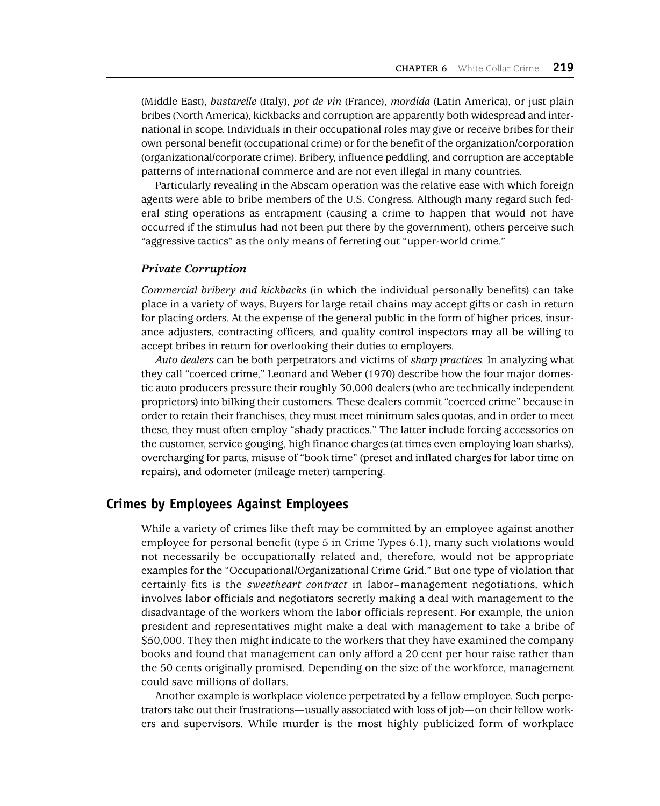(Middle East), *bustarelle* (Italy), *pot de vin* (France), *mordida* (Latin America), or just plain bribes (North America), kickbacks and corruption are apparently both widespread and international in scope. Individuals in their occupational roles may give or receive bribes for their own personal benefit (occupational crime) or for the benefit of the organization/corporation (organizational/corporate crime). Bribery, influence peddling, and corruption are acceptable patterns of international commerce and are not even illegal in many countries.

Particularly revealing in the Abscam operation was the relative ease with which foreign agents were able to bribe members of the U.S. Congress. Although many regard such federal sting operations as entrapment (causing a crime to happen that would not have occurred if the stimulus had not been put there by the government), others perceive such "aggressive tactics" as the only means of ferreting out "upper-world crime."

#### *Private Corruption*

*Commercial bribery and kickbacks* (in which the individual personally benefits) can take place in a variety of ways. Buyers for large retail chains may accept gifts or cash in return for placing orders. At the expense of the general public in the form of higher prices, insurance adjusters, contracting officers, and quality control inspectors may all be willing to accept bribes in return for overlooking their duties to employers.

*Auto dealers* can be both perpetrators and victims of *sharp practices.* In analyzing what they call "coerced crime," Leonard and Weber (1970) describe how the four major domestic auto producers pressure their roughly 30,000 dealers (who are technically independent proprietors) into bilking their customers. These dealers commit "coerced crime" because in order to retain their franchises, they must meet minimum sales quotas, and in order to meet these, they must often employ "shady practices." The latter include forcing accessories on the customer, service gouging, high finance charges (at times even employing loan sharks), overcharging for parts, misuse of "book time" (preset and inflated charges for labor time on repairs), and odometer (mileage meter) tampering.

# **Crimes by Employees Against Employees**

While a variety of crimes like theft may be committed by an employee against another employee for personal benefit (type 5 in Crime Types 6.1), many such violations would not necessarily be occupationally related and, therefore, would not be appropriate examples for the "Occupational/Organizational Crime Grid." But one type of violation that certainly fits is the *sweetheart contract* in labor–management negotiations, which involves labor officials and negotiators secretly making a deal with management to the disadvantage of the workers whom the labor officials represent. For example, the union president and representatives might make a deal with management to take a bribe of \$50,000. They then might indicate to the workers that they have examined the company books and found that management can only afford a 20 cent per hour raise rather than the 50 cents originally promised. Depending on the size of the workforce, management could save millions of dollars.

Another example is workplace violence perpetrated by a fellow employee. Such perpetrators take out their frustrations—usually associated with loss of job—on their fellow workers and supervisors. While murder is the most highly publicized form of workplace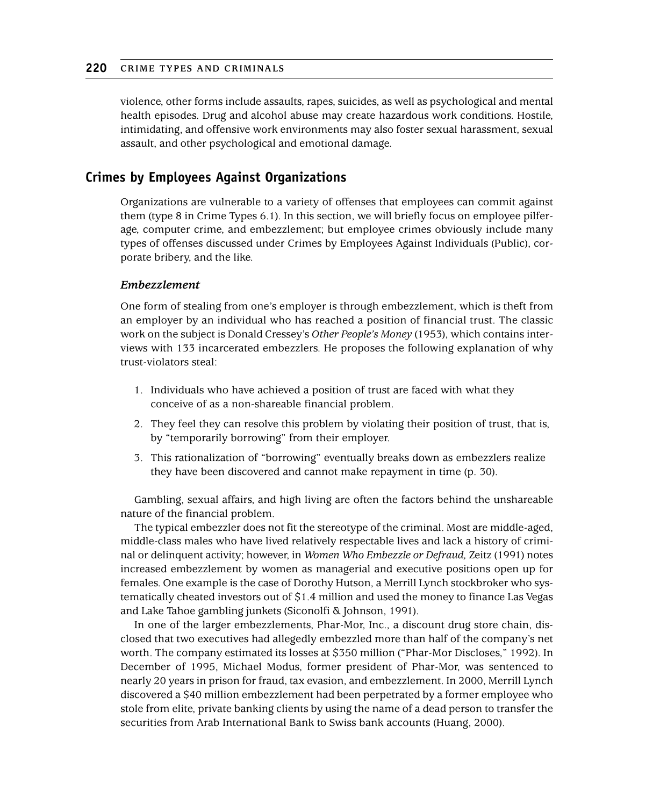#### **220 CRIME TYPES AND CRIMINALS**

violence, other forms include assaults, rapes, suicides, as well as psychological and mental health episodes. Drug and alcohol abuse may create hazardous work conditions. Hostile, intimidating, and offensive work environments may also foster sexual harassment, sexual assault, and other psychological and emotional damage.

# **Crimes by Employees Against Organizations**

Organizations are vulnerable to a variety of offenses that employees can commit against them (type 8 in Crime Types 6.1). In this section, we will briefly focus on employee pilferage, computer crime, and embezzlement; but employee crimes obviously include many types of offenses discussed under Crimes by Employees Against Individuals (Public), corporate bribery, and the like.

#### *Embezzlement*

One form of stealing from one's employer is through embezzlement, which is theft from an employer by an individual who has reached a position of financial trust. The classic work on the subject is Donald Cressey's *Other People's Money* (1953), which contains interviews with 133 incarcerated embezzlers. He proposes the following explanation of why trust-violators steal:

- 1. Individuals who have achieved a position of trust are faced with what they conceive of as a non-shareable financial problem.
- 2. They feel they can resolve this problem by violating their position of trust, that is, by "temporarily borrowing" from their employer.
- 3. This rationalization of "borrowing" eventually breaks down as embezzlers realize they have been discovered and cannot make repayment in time (p. 30).

Gambling, sexual affairs, and high living are often the factors behind the unshareable nature of the financial problem.

The typical embezzler does not fit the stereotype of the criminal. Most are middle-aged, middle-class males who have lived relatively respectable lives and lack a history of criminal or delinquent activity; however, in *Women Who Embezzle or Defraud,* Zeitz (1991) notes increased embezzlement by women as managerial and executive positions open up for females. One example is the case of Dorothy Hutson, a Merrill Lynch stockbroker who systematically cheated investors out of \$1.4 million and used the money to finance Las Vegas and Lake Tahoe gambling junkets (Siconolfi & Johnson, 1991).

In one of the larger embezzlements, Phar-Mor, Inc., a discount drug store chain, disclosed that two executives had allegedly embezzled more than half of the company's net worth. The company estimated its losses at \$350 million ("Phar-Mor Discloses," 1992). In December of 1995, Michael Modus, former president of Phar-Mor, was sentenced to nearly 20 years in prison for fraud, tax evasion, and embezzlement. In 2000, Merrill Lynch discovered a \$40 million embezzlement had been perpetrated by a former employee who stole from elite, private banking clients by using the name of a dead person to transfer the securities from Arab International Bank to Swiss bank accounts (Huang, 2000).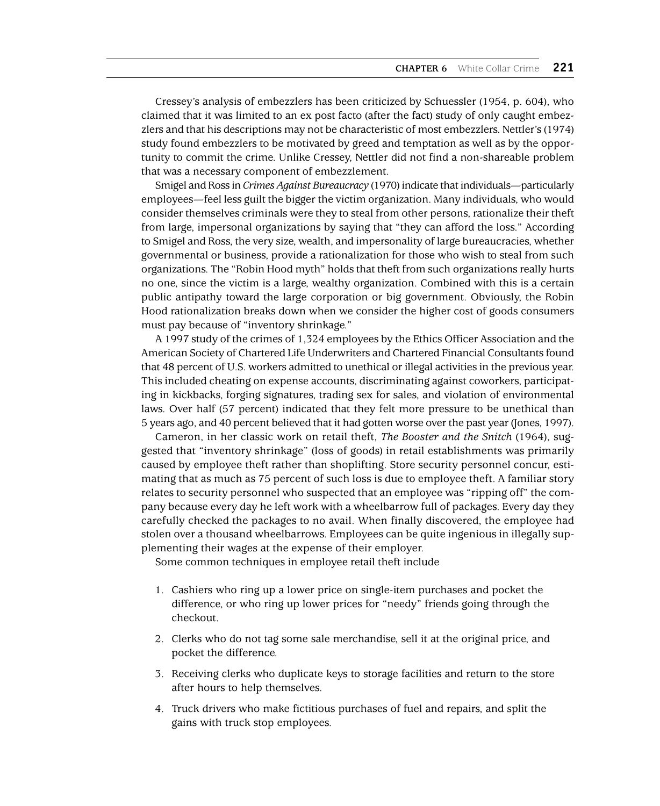Cressey's analysis of embezzlers has been criticized by Schuessler (1954, p. 604), who claimed that it was limited to an ex post facto (after the fact) study of only caught embezzlers and that his descriptions may not be characteristic of most embezzlers. Nettler's (1974) study found embezzlers to be motivated by greed and temptation as well as by the opportunity to commit the crime. Unlike Cressey, Nettler did not find a non-shareable problem that was a necessary component of embezzlement.

Smigel and Ross in *Crimes Against Bureaucracy* (1970) indicate that individuals—particularly employees—feel less guilt the bigger the victim organization. Many individuals, who would consider themselves criminals were they to steal from other persons, rationalize their theft from large, impersonal organizations by saying that "they can afford the loss." According to Smigel and Ross, the very size, wealth, and impersonality of large bureaucracies, whether governmental or business, provide a rationalization for those who wish to steal from such organizations. The "Robin Hood myth" holds that theft from such organizations really hurts no one, since the victim is a large, wealthy organization. Combined with this is a certain public antipathy toward the large corporation or big government. Obviously, the Robin Hood rationalization breaks down when we consider the higher cost of goods consumers must pay because of "inventory shrinkage."

A 1997 study of the crimes of 1,324 employees by the Ethics Officer Association and the American Society of Chartered Life Underwriters and Chartered Financial Consultants found that 48 percent of U.S. workers admitted to unethical or illegal activities in the previous year. This included cheating on expense accounts, discriminating against coworkers, participating in kickbacks, forging signatures, trading sex for sales, and violation of environmental laws. Over half (57 percent) indicated that they felt more pressure to be unethical than 5 years ago, and 40 percent believed that it had gotten worse over the past year (Jones, 1997).

Cameron, in her classic work on retail theft, *The Booster and the Snitch* (1964), suggested that "inventory shrinkage" (loss of goods) in retail establishments was primarily caused by employee theft rather than shoplifting. Store security personnel concur, estimating that as much as 75 percent of such loss is due to employee theft. A familiar story relates to security personnel who suspected that an employee was "ripping off" the company because every day he left work with a wheelbarrow full of packages. Every day they carefully checked the packages to no avail. When finally discovered, the employee had stolen over a thousand wheelbarrows. Employees can be quite ingenious in illegally supplementing their wages at the expense of their employer.

Some common techniques in employee retail theft include

- 1. Cashiers who ring up a lower price on single-item purchases and pocket the difference, or who ring up lower prices for "needy" friends going through the checkout.
- 2. Clerks who do not tag some sale merchandise, sell it at the original price, and pocket the difference.
- 3. Receiving clerks who duplicate keys to storage facilities and return to the store after hours to help themselves.
- 4. Truck drivers who make fictitious purchases of fuel and repairs, and split the gains with truck stop employees.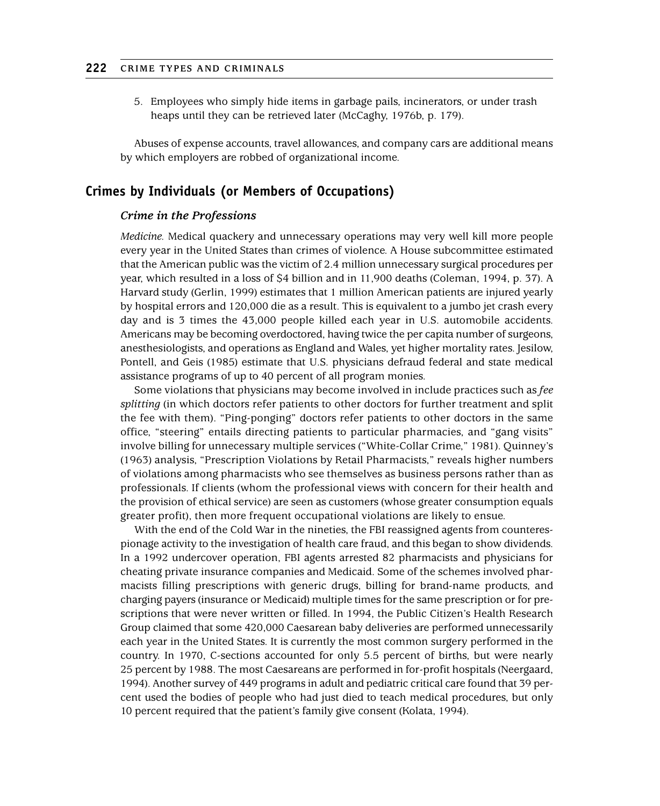5. Employees who simply hide items in garbage pails, incinerators, or under trash heaps until they can be retrieved later (McCaghy, 1976b, p. 179).

Abuses of expense accounts, travel allowances, and company cars are additional means by which employers are robbed of organizational income.

# **Crimes by Individuals (or Members of Occupations)**

#### *Crime in the Professions*

*Medicine.* Medical quackery and unnecessary operations may very well kill more people every year in the United States than crimes of violence. A House subcommittee estimated that the American public was the victim of 2.4 million unnecessary surgical procedures per year, which resulted in a loss of \$4 billion and in 11,900 deaths (Coleman, 1994, p. 37). A Harvard study (Gerlin, 1999) estimates that 1 million American patients are injured yearly by hospital errors and 120,000 die as a result. This is equivalent to a jumbo jet crash every day and is 3 times the 43,000 people killed each year in U.S. automobile accidents. Americans may be becoming overdoctored, having twice the per capita number of surgeons, anesthesiologists, and operations as England and Wales, yet higher mortality rates. Jesilow, Pontell, and Geis (1985) estimate that U.S. physicians defraud federal and state medical assistance programs of up to 40 percent of all program monies.

Some violations that physicians may become involved in include practices such as *fee splitting* (in which doctors refer patients to other doctors for further treatment and split the fee with them). "Ping-ponging" doctors refer patients to other doctors in the same office, "steering" entails directing patients to particular pharmacies, and "gang visits" involve billing for unnecessary multiple services ("White-Collar Crime," 1981). Quinney's (1963) analysis, "Prescription Violations by Retail Pharmacists," reveals higher numbers of violations among pharmacists who see themselves as business persons rather than as professionals. If clients (whom the professional views with concern for their health and the provision of ethical service) are seen as customers (whose greater consumption equals greater profit), then more frequent occupational violations are likely to ensue.

With the end of the Cold War in the nineties, the FBI reassigned agents from counterespionage activity to the investigation of health care fraud, and this began to show dividends. In a 1992 undercover operation, FBI agents arrested 82 pharmacists and physicians for cheating private insurance companies and Medicaid. Some of the schemes involved pharmacists filling prescriptions with generic drugs, billing for brand-name products, and charging payers (insurance or Medicaid) multiple times for the same prescription or for prescriptions that were never written or filled. In 1994, the Public Citizen's Health Research Group claimed that some 420,000 Caesarean baby deliveries are performed unnecessarily each year in the United States. It is currently the most common surgery performed in the country. In 1970, C-sections accounted for only 5.5 percent of births, but were nearly 25 percent by 1988. The most Caesareans are performed in for-profit hospitals (Neergaard, 1994). Another survey of 449 programs in adult and pediatric critical care found that 39 percent used the bodies of people who had just died to teach medical procedures, but only 10 percent required that the patient's family give consent (Kolata, 1994).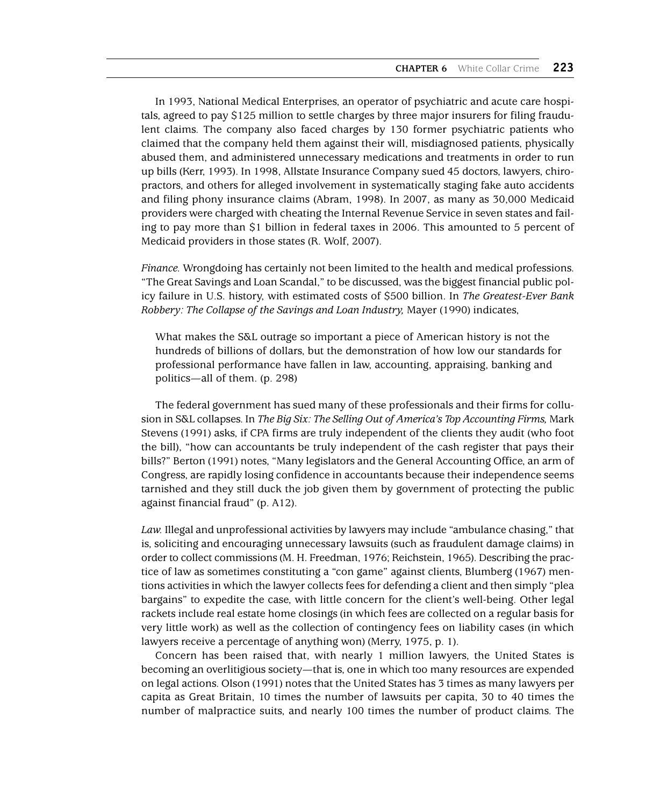In 1993, National Medical Enterprises, an operator of psychiatric and acute care hospitals, agreed to pay \$125 million to settle charges by three major insurers for filing fraudulent claims. The company also faced charges by 130 former psychiatric patients who claimed that the company held them against their will, misdiagnosed patients, physically abused them, and administered unnecessary medications and treatments in order to run up bills (Kerr, 1993). In 1998, Allstate Insurance Company sued 45 doctors, lawyers, chiropractors, and others for alleged involvement in systematically staging fake auto accidents and filing phony insurance claims (Abram, 1998). In 2007, as many as 30,000 Medicaid providers were charged with cheating the Internal Revenue Service in seven states and failing to pay more than \$1 billion in federal taxes in 2006. This amounted to 5 percent of Medicaid providers in those states (R. Wolf, 2007).

*Finance.* Wrongdoing has certainly not been limited to the health and medical professions. "The Great Savings and Loan Scandal," to be discussed, was the biggest financial public policy failure in U.S. history, with estimated costs of \$500 billion. In *The Greatest-Ever Bank Robbery: The Collapse of the Savings and Loan Industry,* Mayer (1990) indicates,

What makes the S&L outrage so important a piece of American history is not the hundreds of billions of dollars, but the demonstration of how low our standards for professional performance have fallen in law, accounting, appraising, banking and politics—all of them. (p. 298)

The federal government has sued many of these professionals and their firms for collusion in S&L collapses. In *The Big Six: The Selling Out of America's Top Accounting Firms,* Mark Stevens (1991) asks, if CPA firms are truly independent of the clients they audit (who foot the bill), "how can accountants be truly independent of the cash register that pays their bills?" Berton (1991) notes, "Many legislators and the General Accounting Office, an arm of Congress, are rapidly losing confidence in accountants because their independence seems tarnished and they still duck the job given them by government of protecting the public against financial fraud" (p. A12).

*Law.* Illegal and unprofessional activities by lawyers may include "ambulance chasing," that is, soliciting and encouraging unnecessary lawsuits (such as fraudulent damage claims) in order to collect commissions (M. H. Freedman, 1976; Reichstein, 1965). Describing the practice of law as sometimes constituting a "con game" against clients, Blumberg (1967) mentions activities in which the lawyer collects fees for defending a client and then simply "plea bargains" to expedite the case, with little concern for the client's well-being. Other legal rackets include real estate home closings (in which fees are collected on a regular basis for very little work) as well as the collection of contingency fees on liability cases (in which lawyers receive a percentage of anything won) (Merry, 1975, p. 1).

Concern has been raised that, with nearly 1 million lawyers, the United States is becoming an overlitigious society—that is, one in which too many resources are expended on legal actions. Olson (1991) notes that the United States has 3 times as many lawyers per capita as Great Britain, 10 times the number of lawsuits per capita, 30 to 40 times the number of malpractice suits, and nearly 100 times the number of product claims. The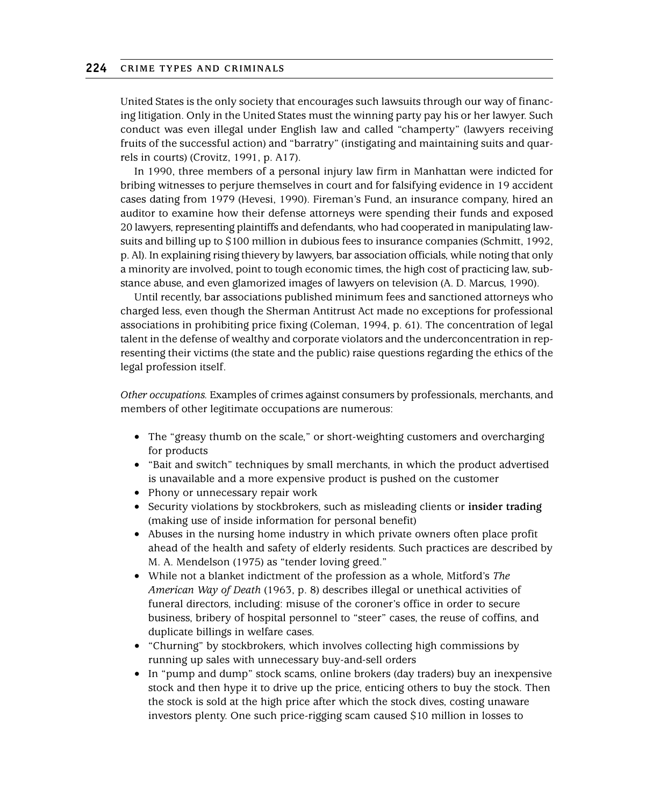#### **224 CRIME TYPES AND CRIMINALS**

United States is the only society that encourages such lawsuits through our way of financing litigation. Only in the United States must the winning party pay his or her lawyer. Such conduct was even illegal under English law and called "champerty" (lawyers receiving fruits of the successful action) and "barratry" (instigating and maintaining suits and quarrels in courts) (Crovitz, 1991, p. A17).

In 1990, three members of a personal injury law firm in Manhattan were indicted for bribing witnesses to perjure themselves in court and for falsifying evidence in 19 accident cases dating from 1979 (Hevesi, 1990). Fireman's Fund, an insurance company, hired an auditor to examine how their defense attorneys were spending their funds and exposed 20 lawyers, representing plaintiffs and defendants, who had cooperated in manipulating lawsuits and billing up to \$100 million in dubious fees to insurance companies (Schmitt, 1992, p. Al). In explaining rising thievery by lawyers, bar association officials, while noting that only a minority are involved, point to tough economic times, the high cost of practicing law, substance abuse, and even glamorized images of lawyers on television (A. D. Marcus, 1990).

Until recently, bar associations published minimum fees and sanctioned attorneys who charged less, even though the Sherman Antitrust Act made no exceptions for professional associations in prohibiting price fixing (Coleman, 1994, p. 61). The concentration of legal talent in the defense of wealthy and corporate violators and the underconcentration in representing their victims (the state and the public) raise questions regarding the ethics of the legal profession itself.

*Other occupations.* Examples of crimes against consumers by professionals, merchants, and members of other legitimate occupations are numerous:

- The "greasy thumb on the scale," or short-weighting customers and overcharging for products
- "Bait and switch" techniques by small merchants, in which the product advertised is unavailable and a more expensive product is pushed on the customer
- Phony or unnecessary repair work
- Security violations by stockbrokers, such as misleading clients or **insider trading** (making use of inside information for personal benefit)
- Abuses in the nursing home industry in which private owners often place profit ahead of the health and safety of elderly residents. Such practices are described by M. A. Mendelson (1975) as "tender loving greed."
- While not a blanket indictment of the profession as a whole, Mitford's *The American Way of Death* (1963, p. 8) describes illegal or unethical activities of funeral directors, including: misuse of the coroner's office in order to secure business, bribery of hospital personnel to "steer" cases, the reuse of coffins, and duplicate billings in welfare cases.
- "Churning" by stockbrokers, which involves collecting high commissions by running up sales with unnecessary buy-and-sell orders
- In "pump and dump" stock scams, online brokers (day traders) buy an inexpensive stock and then hype it to drive up the price, enticing others to buy the stock. Then the stock is sold at the high price after which the stock dives, costing unaware investors plenty. One such price-rigging scam caused \$10 million in losses to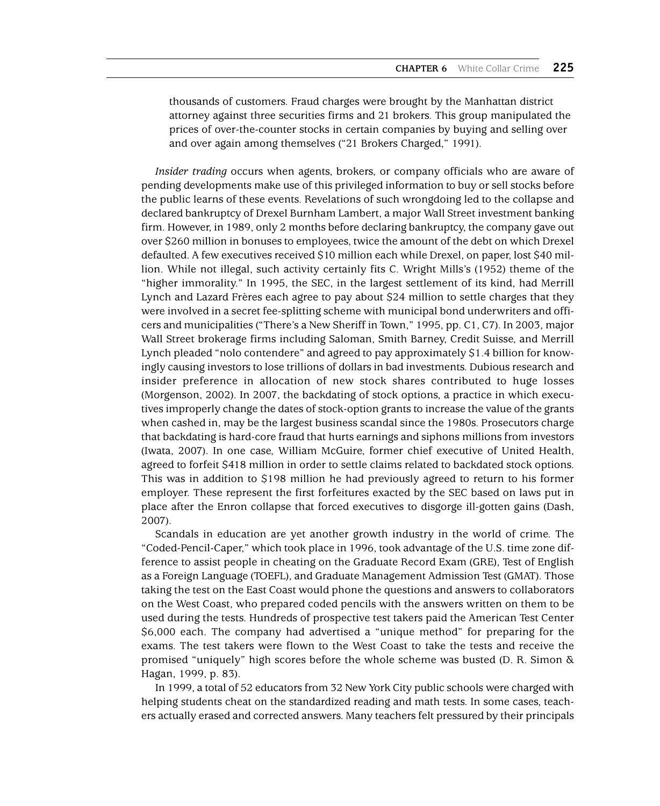thousands of customers. Fraud charges were brought by the Manhattan district attorney against three securities firms and 21 brokers. This group manipulated the prices of over-the-counter stocks in certain companies by buying and selling over and over again among themselves ("21 Brokers Charged," 1991).

*Insider trading* occurs when agents, brokers, or company officials who are aware of pending developments make use of this privileged information to buy or sell stocks before the public learns of these events. Revelations of such wrongdoing led to the collapse and declared bankruptcy of Drexel Burnham Lambert, a major Wall Street investment banking firm. However, in 1989, only 2 months before declaring bankruptcy, the company gave out over \$260 million in bonuses to employees, twice the amount of the debt on which Drexel defaulted. A few executives received \$10 million each while Drexel, on paper, lost \$40 million. While not illegal, such activity certainly fits C. Wright Mills's (1952) theme of the "higher immorality." In 1995, the SEC, in the largest settlement of its kind, had Merrill Lynch and Lazard Frères each agree to pay about \$24 million to settle charges that they were involved in a secret fee-splitting scheme with municipal bond underwriters and officers and municipalities ("There's a New Sheriff in Town," 1995, pp. C1, C7). In 2003, major Wall Street brokerage firms including Saloman, Smith Barney, Credit Suisse, and Merrill Lynch pleaded "nolo contendere" and agreed to pay approximately \$1.4 billion for knowingly causing investors to lose trillions of dollars in bad investments. Dubious research and insider preference in allocation of new stock shares contributed to huge losses (Morgenson, 2002). In 2007, the backdating of stock options, a practice in which executives improperly change the dates of stock-option grants to increase the value of the grants when cashed in, may be the largest business scandal since the 1980s. Prosecutors charge that backdating is hard-core fraud that hurts earnings and siphons millions from investors (Iwata, 2007). In one case, William McGuire, former chief executive of United Health, agreed to forfeit \$418 million in order to settle claims related to backdated stock options. This was in addition to \$198 million he had previously agreed to return to his former employer. These represent the first forfeitures exacted by the SEC based on laws put in place after the Enron collapse that forced executives to disgorge ill-gotten gains (Dash, 2007).

Scandals in education are yet another growth industry in the world of crime. The "Coded-Pencil-Caper," which took place in 1996, took advantage of the U.S. time zone difference to assist people in cheating on the Graduate Record Exam (GRE), Test of English as a Foreign Language (TOEFL), and Graduate Management Admission Test (GMAT). Those taking the test on the East Coast would phone the questions and answers to collaborators on the West Coast, who prepared coded pencils with the answers written on them to be used during the tests. Hundreds of prospective test takers paid the American Test Center \$6,000 each. The company had advertised a "unique method" for preparing for the exams. The test takers were flown to the West Coast to take the tests and receive the promised "uniquely" high scores before the whole scheme was busted (D. R. Simon & Hagan, 1999, p. 83).

In 1999, a total of 52 educators from 32 New York City public schools were charged with helping students cheat on the standardized reading and math tests. In some cases, teachers actually erased and corrected answers. Many teachers felt pressured by their principals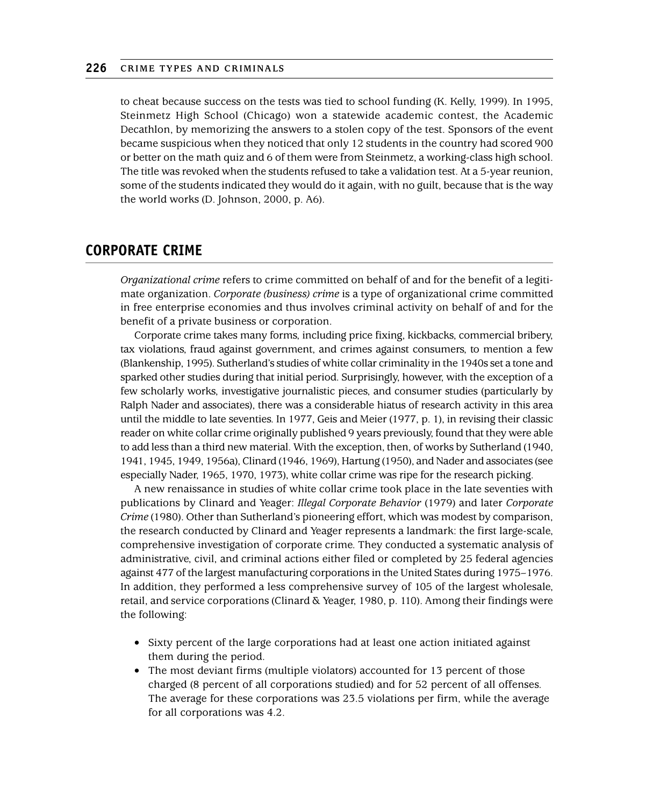#### **226 CRIME TYPES AND CRIMINALS**

to cheat because success on the tests was tied to school funding (K. Kelly, 1999). In 1995, Steinmetz High School (Chicago) won a statewide academic contest, the Academic Decathlon, by memorizing the answers to a stolen copy of the test. Sponsors of the event became suspicious when they noticed that only 12 students in the country had scored 900 or better on the math quiz and 6 of them were from Steinmetz, a working-class high school. The title was revoked when the students refused to take a validation test. At a 5-year reunion, some of the students indicated they would do it again, with no guilt, because that is the way the world works (D. Johnson, 2000, p. A6).

# **CORPORATE CRIME**

*Organizational crime* refers to crime committed on behalf of and for the benefit of a legitimate organization. *Corporate (business) crime* is a type of organizational crime committed in free enterprise economies and thus involves criminal activity on behalf of and for the benefit of a private business or corporation.

Corporate crime takes many forms, including price fixing, kickbacks, commercial bribery, tax violations, fraud against government, and crimes against consumers, to mention a few (Blankenship, 1995). Sutherland's studies of white collar criminality in the 1940s set a tone and sparked other studies during that initial period. Surprisingly, however, with the exception of a few scholarly works, investigative journalistic pieces, and consumer studies (particularly by Ralph Nader and associates), there was a considerable hiatus of research activity in this area until the middle to late seventies. In 1977, Geis and Meier (1977, p. 1), in revising their classic reader on white collar crime originally published 9 years previously, found that they were able to add less than a third new material. With the exception, then, of works by Sutherland (1940, 1941, 1945, 1949, 1956a), Clinard (1946, 1969), Hartung (1950), and Nader and associates (see especially Nader, 1965, 1970, 1973), white collar crime was ripe for the research picking.

A new renaissance in studies of white collar crime took place in the late seventies with publications by Clinard and Yeager: *Illegal Corporate Behavior* (1979) and later *Corporate Crime* (1980). Other than Sutherland's pioneering effort, which was modest by comparison, the research conducted by Clinard and Yeager represents a landmark: the first large-scale, comprehensive investigation of corporate crime. They conducted a systematic analysis of administrative, civil, and criminal actions either filed or completed by 25 federal agencies against 477 of the largest manufacturing corporations in the United States during 1975–1976. In addition, they performed a less comprehensive survey of 105 of the largest wholesale, retail, and service corporations (Clinard & Yeager, 1980, p. 110). Among their findings were the following:

- Sixty percent of the large corporations had at least one action initiated against them during the period.
- The most deviant firms (multiple violators) accounted for 13 percent of those charged (8 percent of all corporations studied) and for 52 percent of all offenses. The average for these corporations was 23.5 violations per firm, while the average for all corporations was 4.2.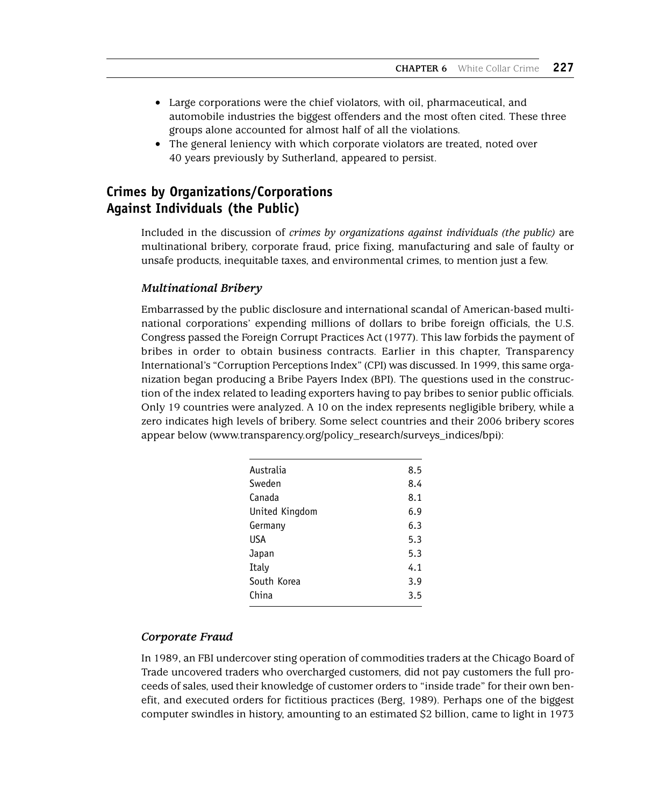- Large corporations were the chief violators, with oil, pharmaceutical, and automobile industries the biggest offenders and the most often cited. These three groups alone accounted for almost half of all the violations.
- The general leniency with which corporate violators are treated, noted over 40 years previously by Sutherland, appeared to persist.

# **Crimes by Organizations/Corporations Against Individuals (the Public)**

Included in the discussion of *crimes by organizations against individuals (the public)* are multinational bribery, corporate fraud, price fixing, manufacturing and sale of faulty or unsafe products, inequitable taxes, and environmental crimes, to mention just a few.

## *Multinational Bribery*

Embarrassed by the public disclosure and international scandal of American-based multinational corporations' expending millions of dollars to bribe foreign officials, the U.S. Congress passed the Foreign Corrupt Practices Act (1977). This law forbids the payment of bribes in order to obtain business contracts. Earlier in this chapter, Transparency International's "Corruption Perceptions Index" (CPI) was discussed. In 1999, this same organization began producing a Bribe Payers Index (BPI). The questions used in the construction of the index related to leading exporters having to pay bribes to senior public officials. Only 19 countries were analyzed. A 10 on the index represents negligible bribery, while a zero indicates high levels of bribery. Some select countries and their 2006 bribery scores appear below (www.transparency.org/policy\_research/surveys\_indices/bpi):

| Australia      | 8.5 |
|----------------|-----|
| Sweden         | 8.4 |
| Canada         | 8.1 |
| United Kingdom | 6.9 |
| Germany        | 6.3 |
| USA            | 5.3 |
| Japan          | 5.3 |
| Italy          | 4.1 |
| South Korea    | 3.9 |
| China          | 3.5 |

#### *Corporate Fraud*

In 1989, an FBI undercover sting operation of commodities traders at the Chicago Board of Trade uncovered traders who overcharged customers, did not pay customers the full proceeds of sales, used their knowledge of customer orders to "inside trade" for their own benefit, and executed orders for fictitious practices (Berg, 1989). Perhaps one of the biggest computer swindles in history, amounting to an estimated \$2 billion, came to light in 1973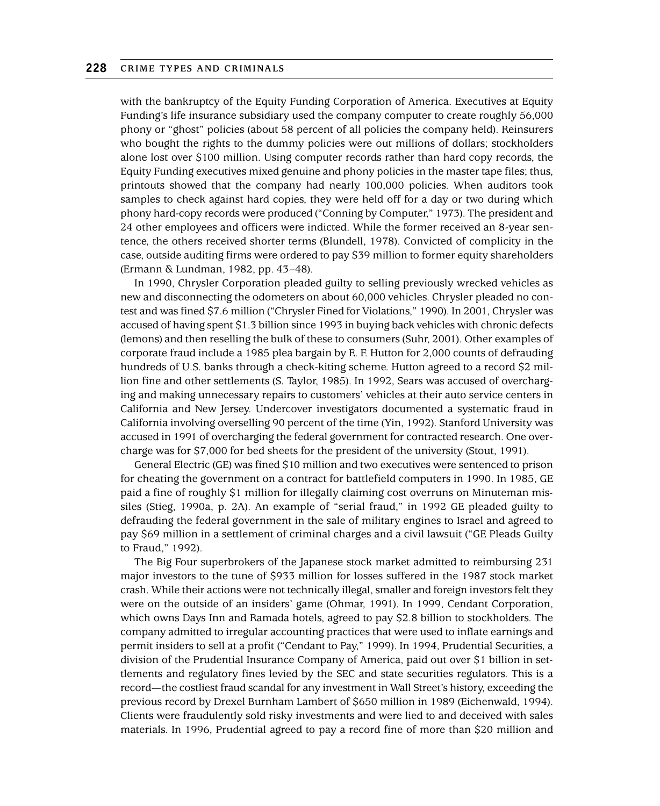#### **228 CRIME TYPES AND CRIMINALS**

with the bankruptcy of the Equity Funding Corporation of America. Executives at Equity Funding's life insurance subsidiary used the company computer to create roughly 56,000 phony or "ghost" policies (about 58 percent of all policies the company held). Reinsurers who bought the rights to the dummy policies were out millions of dollars; stockholders alone lost over \$100 million. Using computer records rather than hard copy records, the Equity Funding executives mixed genuine and phony policies in the master tape files; thus, printouts showed that the company had nearly 100,000 policies. When auditors took samples to check against hard copies, they were held off for a day or two during which phony hard-copy records were produced ("Conning by Computer," 1973). The president and 24 other employees and officers were indicted. While the former received an 8-year sentence, the others received shorter terms (Blundell, 1978). Convicted of complicity in the case, outside auditing firms were ordered to pay \$39 million to former equity shareholders (Ermann & Lundman, 1982, pp. 43–48).

In 1990, Chrysler Corporation pleaded guilty to selling previously wrecked vehicles as new and disconnecting the odometers on about 60,000 vehicles. Chrysler pleaded no contest and was fined \$7.6 million ("Chrysler Fined for Violations," 1990). In 2001, Chrysler was accused of having spent \$1.3 billion since 1993 in buying back vehicles with chronic defects (lemons) and then reselling the bulk of these to consumers (Suhr, 2001). Other examples of corporate fraud include a 1985 plea bargain by E. F. Hutton for 2,000 counts of defrauding hundreds of U.S. banks through a check-kiting scheme. Hutton agreed to a record \$2 million fine and other settlements (S. Taylor, 1985). In 1992, Sears was accused of overcharging and making unnecessary repairs to customers' vehicles at their auto service centers in California and New Jersey. Undercover investigators documented a systematic fraud in California involving overselling 90 percent of the time (Yin, 1992). Stanford University was accused in 1991 of overcharging the federal government for contracted research. One overcharge was for \$7,000 for bed sheets for the president of the university (Stout, 1991).

General Electric (GE) was fined \$10 million and two executives were sentenced to prison for cheating the government on a contract for battlefield computers in 1990. In 1985, GE paid a fine of roughly \$1 million for illegally claiming cost overruns on Minuteman missiles (Stieg, 1990a, p. 2A). An example of "serial fraud," in 1992 GE pleaded guilty to defrauding the federal government in the sale of military engines to Israel and agreed to pay \$69 million in a settlement of criminal charges and a civil lawsuit ("GE Pleads Guilty to Fraud," 1992).

The Big Four superbrokers of the Japanese stock market admitted to reimbursing 231 major investors to the tune of \$933 million for losses suffered in the 1987 stock market crash. While their actions were not technically illegal, smaller and foreign investors felt they were on the outside of an insiders' game (Ohmar, 1991). In 1999, Cendant Corporation, which owns Days Inn and Ramada hotels, agreed to pay \$2.8 billion to stockholders. The company admitted to irregular accounting practices that were used to inflate earnings and permit insiders to sell at a profit ("Cendant to Pay," 1999). In 1994, Prudential Securities, a division of the Prudential Insurance Company of America, paid out over \$1 billion in settlements and regulatory fines levied by the SEC and state securities regulators. This is a record—the costliest fraud scandal for any investment in Wall Street's history, exceeding the previous record by Drexel Burnham Lambert of \$650 million in 1989 (Eichenwald, 1994). Clients were fraudulently sold risky investments and were lied to and deceived with sales materials. In 1996, Prudential agreed to pay a record fine of more than \$20 million and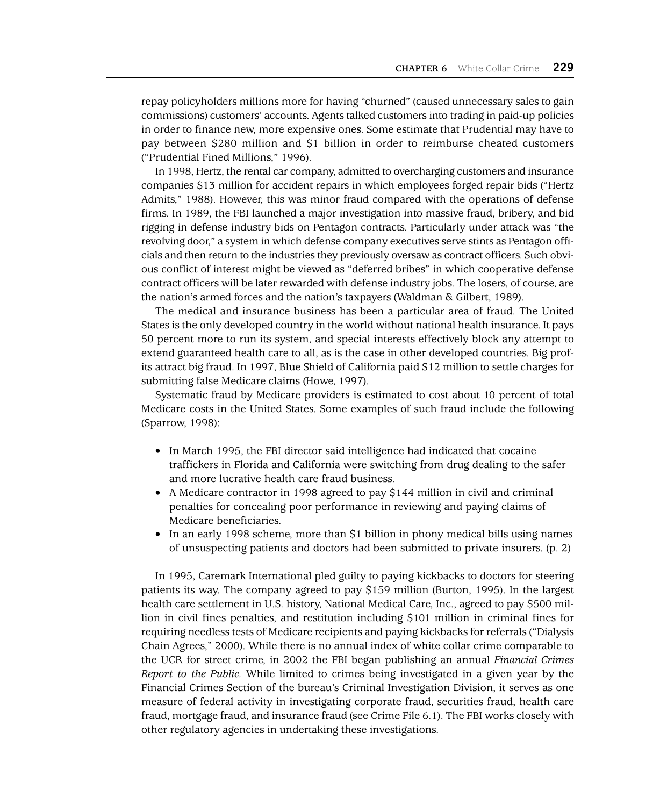repay policyholders millions more for having "churned" (caused unnecessary sales to gain commissions) customers' accounts. Agents talked customers into trading in paid-up policies in order to finance new, more expensive ones. Some estimate that Prudential may have to pay between \$280 million and \$1 billion in order to reimburse cheated customers ("Prudential Fined Millions," 1996).

In 1998, Hertz, the rental car company, admitted to overcharging customers and insurance companies \$13 million for accident repairs in which employees forged repair bids ("Hertz Admits," 1988). However, this was minor fraud compared with the operations of defense firms. In 1989, the FBI launched a major investigation into massive fraud, bribery, and bid rigging in defense industry bids on Pentagon contracts. Particularly under attack was "the revolving door," a system in which defense company executives serve stints as Pentagon officials and then return to the industries they previously oversaw as contract officers. Such obvious conflict of interest might be viewed as "deferred bribes" in which cooperative defense contract officers will be later rewarded with defense industry jobs. The losers, of course, are the nation's armed forces and the nation's taxpayers (Waldman & Gilbert, 1989).

The medical and insurance business has been a particular area of fraud. The United States is the only developed country in the world without national health insurance. It pays 50 percent more to run its system, and special interests effectively block any attempt to extend guaranteed health care to all, as is the case in other developed countries. Big profits attract big fraud. In 1997, Blue Shield of California paid \$12 million to settle charges for submitting false Medicare claims (Howe, 1997).

Systematic fraud by Medicare providers is estimated to cost about 10 percent of total Medicare costs in the United States. Some examples of such fraud include the following (Sparrow, 1998):

- In March 1995, the FBI director said intelligence had indicated that cocaine traffickers in Florida and California were switching from drug dealing to the safer and more lucrative health care fraud business.
- A Medicare contractor in 1998 agreed to pay \$144 million in civil and criminal penalties for concealing poor performance in reviewing and paying claims of Medicare beneficiaries.
- In an early 1998 scheme, more than \$1 billion in phony medical bills using names of unsuspecting patients and doctors had been submitted to private insurers. (p. 2)

In 1995, Caremark International pled guilty to paying kickbacks to doctors for steering patients its way. The company agreed to pay \$159 million (Burton, 1995). In the largest health care settlement in U.S. history, National Medical Care, Inc., agreed to pay \$500 million in civil fines penalties, and restitution including \$101 million in criminal fines for requiring needless tests of Medicare recipients and paying kickbacks for referrals ("Dialysis Chain Agrees," 2000). While there is no annual index of white collar crime comparable to the UCR for street crime, in 2002 the FBI began publishing an annual *Financial Crimes Report to the Public.* While limited to crimes being investigated in a given year by the Financial Crimes Section of the bureau's Criminal Investigation Division, it serves as one measure of federal activity in investigating corporate fraud, securities fraud, health care fraud, mortgage fraud, and insurance fraud (see Crime File 6.1). The FBI works closely with other regulatory agencies in undertaking these investigations.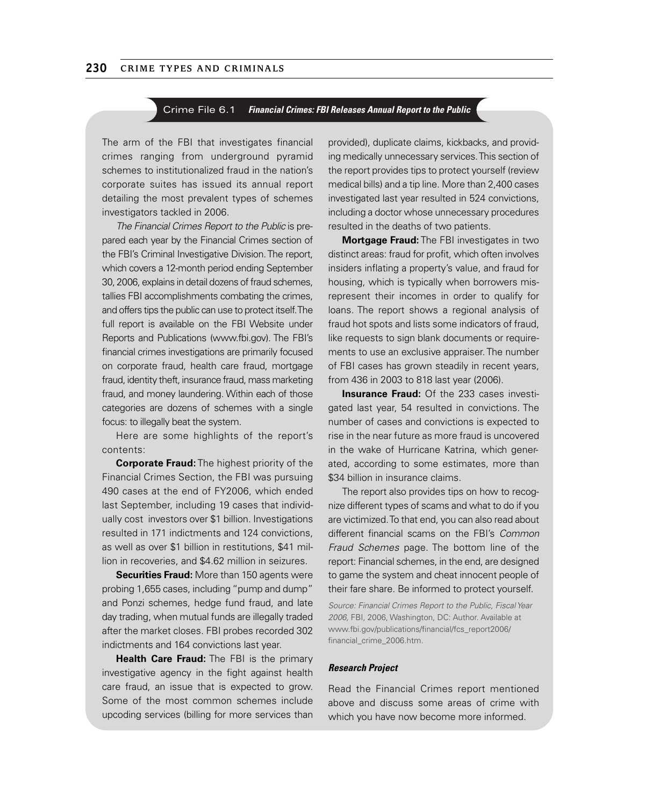Crime File 6.1 *Financial Crimes: FBI Releases Annual Report to the Public*

The arm of the FBI that investigates financial crimes ranging from underground pyramid schemes to institutionalized fraud in the nation's corporate suites has issued its annual report detailing the most prevalent types of schemes investigators tackled in 2006.

*The Financial Crimes Report to the Public* is prepared each year by the Financial Crimes section of the FBI's Criminal Investigative Division. The report, which covers a 12-month period ending September 30, 2006, explains in detail dozens of fraud schemes, tallies FBI accomplishments combating the crimes, and offers tips the public can use to protect itself. The full report is available on the FBI Website under Reports and Publications (www.fbi.gov). The FBI's financial crimes investigations are primarily focused on corporate fraud, health care fraud, mortgage fraud, identity theft, insurance fraud, mass marketing fraud, and money laundering. Within each of those categories are dozens of schemes with a single focus: to illegally beat the system.

Here are some highlights of the report's contents:

**Corporate Fraud:** The highest priority of the Financial Crimes Section, the FBI was pursuing 490 cases at the end of FY2006, which ended last September, including 19 cases that individually cost investors over \$1 billion. Investigations resulted in 171 indictments and 124 convictions, as well as over \$1 billion in restitutions, \$41 million in recoveries, and \$4.62 million in seizures.

**Securities Fraud:** More than 150 agents were probing 1,655 cases, including "pump and dump" and Ponzi schemes, hedge fund fraud, and late day trading, when mutual funds are illegally traded after the market closes. FBI probes recorded 302 indictments and 164 convictions last year.

**Health Care Fraud:** The FBI is the primary investigative agency in the fight against health care fraud, an issue that is expected to grow. Some of the most common schemes include upcoding services (billing for more services than provided), duplicate claims, kickbacks, and providing medically unnecessary services. This section of the report provides tips to protect yourself (review medical bills) and a tip line. More than 2,400 cases investigated last year resulted in 524 convictions, including a doctor whose unnecessary procedures resulted in the deaths of two patients.

**Mortgage Fraud:** The FBI investigates in two distinct areas: fraud for profit, which often involves insiders inflating a property's value, and fraud for housing, which is typically when borrowers misrepresent their incomes in order to qualify for loans. The report shows a regional analysis of fraud hot spots and lists some indicators of fraud, like requests to sign blank documents or requirements to use an exclusive appraiser. The number of FBI cases has grown steadily in recent years, from 436 in 2003 to 818 last year (2006).

**Insurance Fraud:** Of the 233 cases investigated last year, 54 resulted in convictions. The number of cases and convictions is expected to rise in the near future as more fraud is uncovered in the wake of Hurricane Katrina, which generated, according to some estimates, more than \$34 billion in insurance claims.

The report also provides tips on how to recognize different types of scams and what to do if you are victimized. To that end, you can also read about different financial scams on the FBI's *Common Fraud Schemes* page. The bottom line of the report: Financial schemes, in the end, are designed to game the system and cheat innocent people of their fare share. Be informed to protect yourself.

*Source: Financial Crimes Report to the Public, Fiscal Year 2006,* FBI, 2006, Washington, DC: Author. Available at www.fbi.gov/publications/financial/fcs\_report2006/ financial\_crime\_2006.htm.

#### *Research Project*

Read the Financial Crimes report mentioned above and discuss some areas of crime with which you have now become more informed.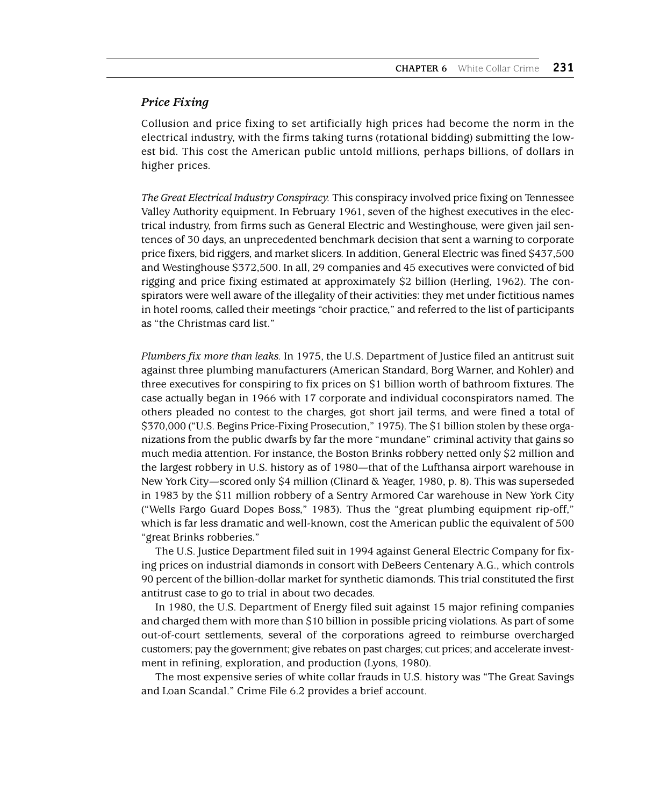## *Price Fixing*

Collusion and price fixing to set artificially high prices had become the norm in the electrical industry, with the firms taking turns (rotational bidding) submitting the lowest bid. This cost the American public untold millions, perhaps billions, of dollars in higher prices.

*The Great Electrical Industry Conspiracy.* This conspiracy involved price fixing on Tennessee Valley Authority equipment. In February 1961, seven of the highest executives in the electrical industry, from firms such as General Electric and Westinghouse, were given jail sentences of 30 days, an unprecedented benchmark decision that sent a warning to corporate price fixers, bid riggers, and market slicers. In addition, General Electric was fined \$437,500 and Westinghouse \$372,500. In all, 29 companies and 45 executives were convicted of bid rigging and price fixing estimated at approximately \$2 billion (Herling, 1962). The conspirators were well aware of the illegality of their activities: they met under fictitious names in hotel rooms, called their meetings "choir practice," and referred to the list of participants as "the Christmas card list."

*Plumbers fix more than leaks.* In 1975, the U.S. Department of Justice filed an antitrust suit against three plumbing manufacturers (American Standard, Borg Warner, and Kohler) and three executives for conspiring to fix prices on \$1 billion worth of bathroom fixtures. The case actually began in 1966 with 17 corporate and individual coconspirators named. The others pleaded no contest to the charges, got short jail terms, and were fined a total of \$370,000 ("U.S. Begins Price-Fixing Prosecution," 1975). The \$1 billion stolen by these organizations from the public dwarfs by far the more "mundane" criminal activity that gains so much media attention. For instance, the Boston Brinks robbery netted only \$2 million and the largest robbery in U.S. history as of 1980—that of the Lufthansa airport warehouse in New York City—scored only \$4 million (Clinard & Yeager, 1980, p. 8). This was superseded in 1983 by the \$11 million robbery of a Sentry Armored Car warehouse in New York City ("Wells Fargo Guard Dopes Boss," 1983). Thus the "great plumbing equipment rip-off," which is far less dramatic and well-known, cost the American public the equivalent of 500 "great Brinks robberies."

The U.S. Justice Department filed suit in 1994 against General Electric Company for fixing prices on industrial diamonds in consort with DeBeers Centenary A.G., which controls 90 percent of the billion-dollar market for synthetic diamonds. This trial constituted the first antitrust case to go to trial in about two decades.

In 1980, the U.S. Department of Energy filed suit against 15 major refining companies and charged them with more than \$10 billion in possible pricing violations. As part of some out-of-court settlements, several of the corporations agreed to reimburse overcharged customers; pay the government; give rebates on past charges; cut prices; and accelerate investment in refining, exploration, and production (Lyons, 1980).

The most expensive series of white collar frauds in U.S. history was "The Great Savings and Loan Scandal." Crime File 6.2 provides a brief account.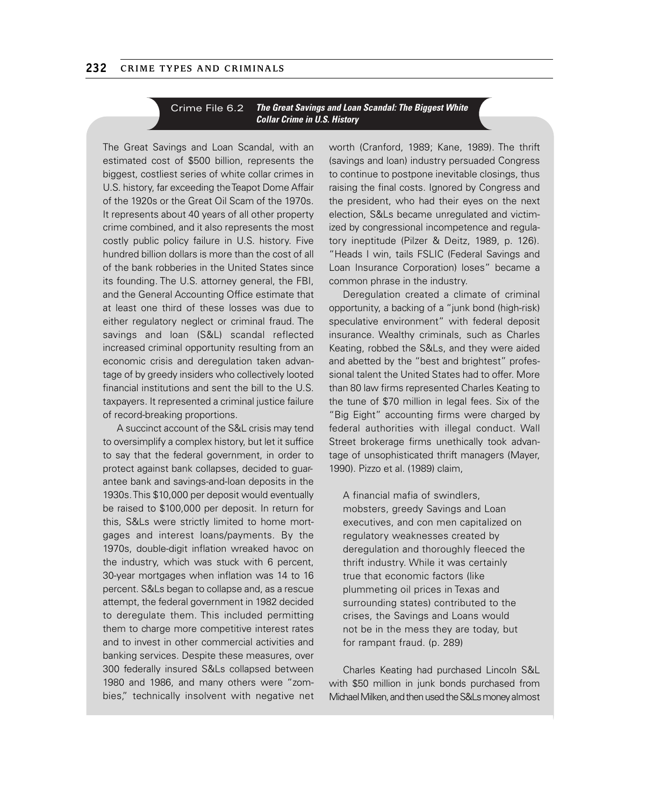Crime File 6.2 *The Great Savings and Loan Scandal: The Biggest White Collar Crime in U.S. History*

The Great Savings and Loan Scandal, with an estimated cost of \$500 billion, represents the biggest, costliest series of white collar crimes in U.S. history, far exceeding the Teapot Dome Affair of the 1920s or the Great Oil Scam of the 1970s. It represents about 40 years of all other property crime combined, and it also represents the most costly public policy failure in U.S. history. Five hundred billion dollars is more than the cost of all of the bank robberies in the United States since its founding. The U.S. attorney general, the FBI, and the General Accounting Office estimate that at least one third of these losses was due to either regulatory neglect or criminal fraud. The savings and loan (S&L) scandal reflected increased criminal opportunity resulting from an economic crisis and deregulation taken advantage of by greedy insiders who collectively looted financial institutions and sent the bill to the U.S. taxpayers. It represented a criminal justice failure of record-breaking proportions.

A succinct account of the S&L crisis may tend to oversimplify a complex history, but let it suffice to say that the federal government, in order to protect against bank collapses, decided to guarantee bank and savings-and-loan deposits in the 1930s. This \$10,000 per deposit would eventually be raised to \$100,000 per deposit. In return for this, S&Ls were strictly limited to home mortgages and interest loans/payments. By the 1970s, double-digit inflation wreaked havoc on the industry, which was stuck with 6 percent, 30-year mortgages when inflation was 14 to 16 percent. S&Ls began to collapse and, as a rescue attempt, the federal government in 1982 decided to deregulate them. This included permitting them to charge more competitive interest rates and to invest in other commercial activities and banking services. Despite these measures, over 300 federally insured S&Ls collapsed between 1980 and 1986, and many others were "zombies," technically insolvent with negative net worth (Cranford, 1989; Kane, 1989). The thrift (savings and loan) industry persuaded Congress to continue to postpone inevitable closings, thus raising the final costs. Ignored by Congress and the president, who had their eyes on the next election, S&Ls became unregulated and victimized by congressional incompetence and regulatory ineptitude (Pilzer & Deitz, 1989, p. 126). "Heads I win, tails FSLIC (Federal Savings and Loan Insurance Corporation) loses" became a common phrase in the industry.

Deregulation created a climate of criminal opportunity, a backing of a "junk bond (high-risk) speculative environment" with federal deposit insurance. Wealthy criminals, such as Charles Keating, robbed the S&Ls, and they were aided and abetted by the "best and brightest" professional talent the United States had to offer. More than 80 law firms represented Charles Keating to the tune of \$70 million in legal fees. Six of the "Big Eight" accounting firms were charged by federal authorities with illegal conduct. Wall Street brokerage firms unethically took advantage of unsophisticated thrift managers (Mayer, 1990). Pizzo et al. (1989) claim,

A financial mafia of swindlers, mobsters, greedy Savings and Loan executives, and con men capitalized on regulatory weaknesses created by deregulation and thoroughly fleeced the thrift industry. While it was certainly true that economic factors (like plummeting oil prices in Texas and surrounding states) contributed to the crises, the Savings and Loans would not be in the mess they are today, but for rampant fraud. (p. 289)

Charles Keating had purchased Lincoln S&L with \$50 million in junk bonds purchased from Michael Milken, and then used the S&Ls money almost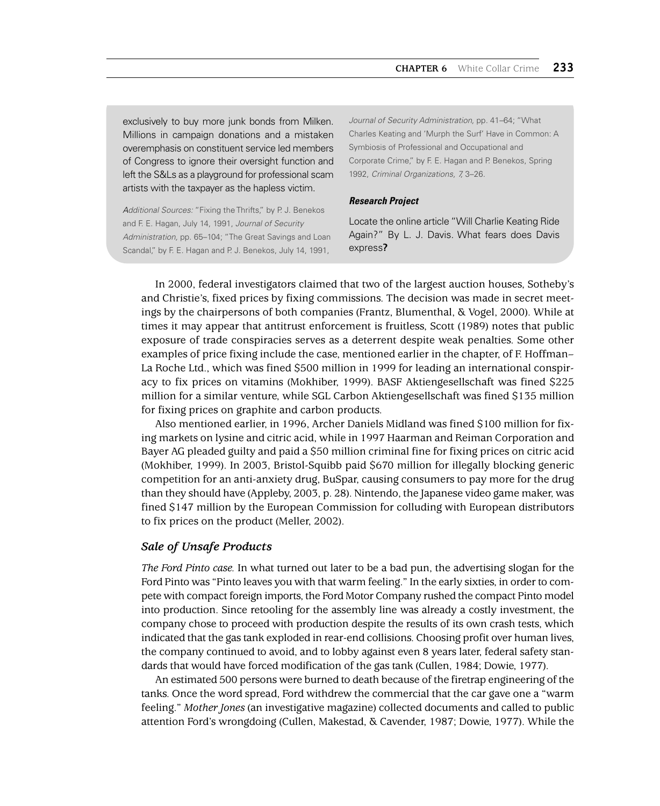exclusively to buy more junk bonds from Milken. Millions in campaign donations and a mistaken overemphasis on constituent service led members of Congress to ignore their oversight function and left the S&Ls as a playground for professional scam artists with the taxpayer as the hapless victim.

*Additional Sources:* "Fixing the Thrifts," by P. J. Benekos and F. E. Hagan, July 14, 1991, *Journal of Security Administration,* pp. 65–104; "The Great Savings and Loan Scandal," by F. E. Hagan and P. J. Benekos, July 14, 1991,

*Journal of Security Administration,* pp. 41–64; "What Charles Keating and 'Murph the Surf' Have in Common: A Symbiosis of Professional and Occupational and Corporate Crime," by F. E. Hagan and P. Benekos, Spring 1992, *Criminal Organizations, 7,* 3–26.

#### *Research Project*

Locate the online article "Will Charlie Keating Ride Again?" By L. J. Davis. What fears does Davis express**?**

In 2000, federal investigators claimed that two of the largest auction houses, Sotheby's and Christie's, fixed prices by fixing commissions. The decision was made in secret meetings by the chairpersons of both companies (Frantz, Blumenthal, & Vogel, 2000). While at times it may appear that antitrust enforcement is fruitless, Scott (1989) notes that public exposure of trade conspiracies serves as a deterrent despite weak penalties. Some other examples of price fixing include the case, mentioned earlier in the chapter, of F. Hoffman– La Roche Ltd., which was fined \$500 million in 1999 for leading an international conspiracy to fix prices on vitamins (Mokhiber, 1999). BASF Aktiengesellschaft was fined \$225 million for a similar venture, while SGL Carbon Aktiengesellschaft was fined \$135 million for fixing prices on graphite and carbon products.

Also mentioned earlier, in 1996, Archer Daniels Midland was fined \$100 million for fixing markets on lysine and citric acid, while in 1997 Haarman and Reiman Corporation and Bayer AG pleaded guilty and paid a \$50 million criminal fine for fixing prices on citric acid (Mokhiber, 1999). In 2003, Bristol-Squibb paid \$670 million for illegally blocking generic competition for an anti-anxiety drug, BuSpar, causing consumers to pay more for the drug than they should have (Appleby, 2003, p. 28). Nintendo, the Japanese video game maker, was fined \$147 million by the European Commission for colluding with European distributors to fix prices on the product (Meller, 2002).

## *Sale of Unsafe Products*

*The Ford Pinto case.* In what turned out later to be a bad pun, the advertising slogan for the Ford Pinto was "Pinto leaves you with that warm feeling." In the early sixties, in order to compete with compact foreign imports, the Ford Motor Company rushed the compact Pinto model into production. Since retooling for the assembly line was already a costly investment, the company chose to proceed with production despite the results of its own crash tests, which indicated that the gas tank exploded in rear-end collisions. Choosing profit over human lives, the company continued to avoid, and to lobby against even 8 years later, federal safety standards that would have forced modification of the gas tank (Cullen, 1984; Dowie, 1977).

An estimated 500 persons were burned to death because of the firetrap engineering of the tanks. Once the word spread, Ford withdrew the commercial that the car gave one a "warm feeling." *Mother Jones* (an investigative magazine) collected documents and called to public attention Ford's wrongdoing (Cullen, Makestad, & Cavender, 1987; Dowie, 1977). While the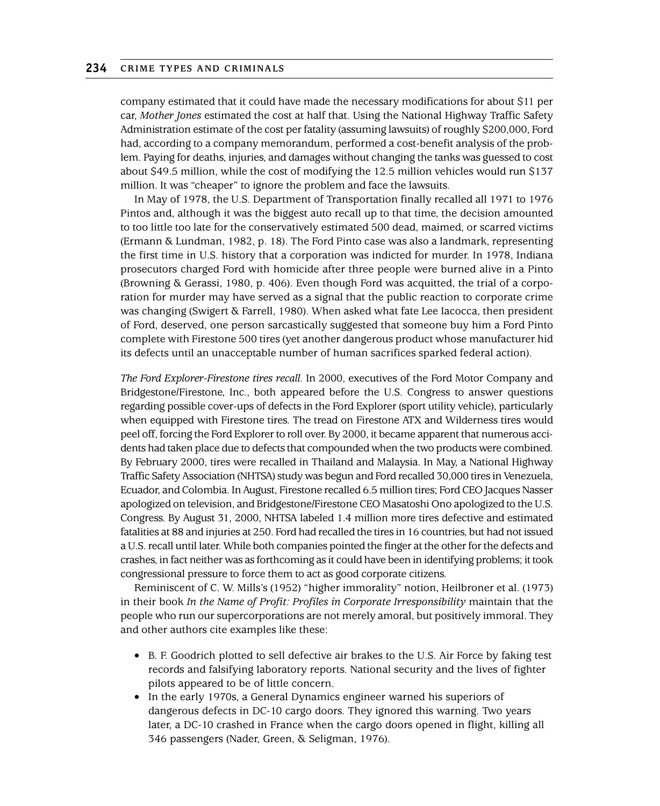#### **234 CRIME TYPES AND CRIMINALS**

company estimated that it could have made the necessary modifications for about \$11 per car, *Mother Jones* estimated the cost at half that. Using the National Highway Traffic Safety Administration estimate of the cost per fatality (assuming lawsuits) of roughly \$200,000, Ford had, according to a company memorandum, performed a cost-benefit analysis of the problem. Paying for deaths, injuries, and damages without changing the tanks was guessed to cost about \$49.5 million, while the cost of modifying the 12.5 million vehicles would run \$137 million. It was "cheaper" to ignore the problem and face the lawsuits.

In May of 1978, the U.S. Department of Transportation finally recalled all 1971 to 1976 Pintos and, although it was the biggest auto recall up to that time, the decision amounted to too little too late for the conservatively estimated 500 dead, maimed, or scarred victims (Ermann & Lundman, 1982, p. 18). The Ford Pinto case was also a landmark, representing the first time in U.S. history that a corporation was indicted for murder. In 1978, Indiana prosecutors charged Ford with homicide after three people were burned alive in a Pinto (Browning & Gerassi, 1980, p. 406). Even though Ford was acquitted, the trial of a corporation for murder may have served as a signal that the public reaction to corporate crime was changing (Swigert & Farrell, 1980). When asked what fate Lee Iacocca, then president of Ford, deserved, one person sarcastically suggested that someone buy him a Ford Pinto complete with Firestone 500 tires (yet another dangerous product whose manufacturer hid its defects until an unacceptable number of human sacrifices sparked federal action).

*The Ford Explorer-Firestone tires recall.* In 2000, executives of the Ford Motor Company and Bridgestone/Firestone, Inc., both appeared before the U.S. Congress to answer questions regarding possible cover-ups of defects in the Ford Explorer (sport utility vehicle), particularly when equipped with Firestone tires. The tread on Firestone ATX and Wilderness tires would peel off, forcing the Ford Explorer to roll over. By 2000, it became apparent that numerous accidents had taken place due to defects that compounded when the two products were combined. By February 2000, tires were recalled in Thailand and Malaysia. In May, a National Highway Traffic Safety Association (NHTSA) study was begun and Ford recalled 30,000 tires in Venezuela, Ecuador, and Colombia. In August, Firestone recalled 6.5 million tires; Ford CEO Jacques Nasser apologized on television, and Bridgestone/Firestone CEO Masatoshi Ono apologized to the U.S. Congress. By August 31, 2000, NHTSA labeled 1.4 million more tires defective and estimated fatalities at 88 and injuries at 250. Ford had recalled the tires in 16 countries, but had not issued a U.S. recall until later. While both companies pointed the finger at the other for the defects and crashes, in fact neither was as forthcoming as it could have been in identifying problems; it took congressional pressure to force them to act as good corporate citizens.

Reminiscent of C. W. Mills's (1952) "higher immorality" notion, Heilbroner et al. (1973) in their book *In the Name of Profit: Profiles in Corporate Irresponsibility* maintain that the people who run our supercorporations are not merely amoral, but positively immoral. They and other authors cite examples like these:

- B. F. Goodrich plotted to sell defective air brakes to the U.S. Air Force by faking test records and falsifying laboratory reports. National security and the lives of fighter pilots appeared to be of little concern.
- In the early 1970s, a General Dynamics engineer warned his superiors of dangerous defects in DC-10 cargo doors. They ignored this warning. Two years later, a DC-10 crashed in France when the cargo doors opened in flight, killing all 346 passengers (Nader, Green, & Seligman, 1976).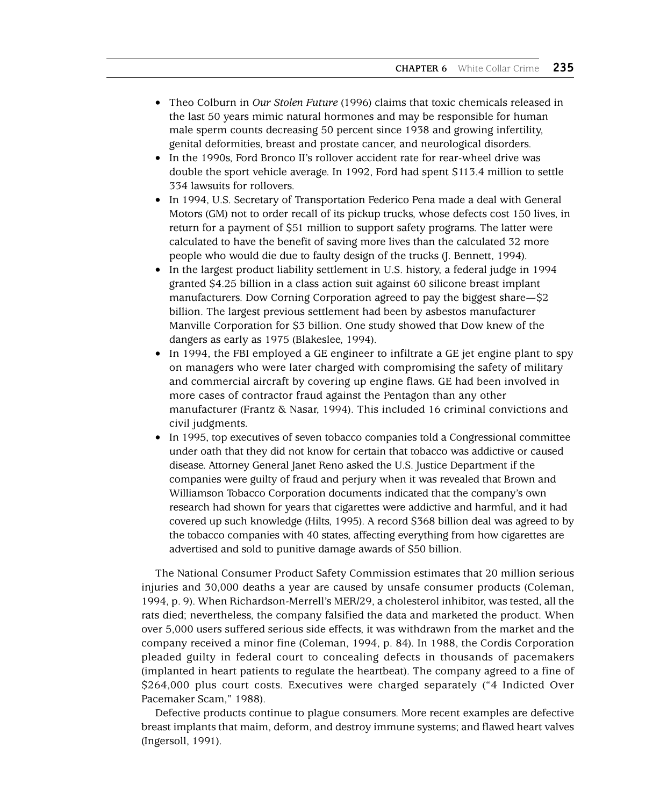- Theo Colburn in *Our Stolen Future* (1996) claims that toxic chemicals released in the last 50 years mimic natural hormones and may be responsible for human male sperm counts decreasing 50 percent since 1938 and growing infertility, genital deformities, breast and prostate cancer, and neurological disorders.
- In the 1990s, Ford Bronco II's rollover accident rate for rear-wheel drive was double the sport vehicle average. In 1992, Ford had spent \$113.4 million to settle 334 lawsuits for rollovers.
- In 1994, U.S. Secretary of Transportation Federico Pena made a deal with General Motors (GM) not to order recall of its pickup trucks, whose defects cost 150 lives, in return for a payment of \$51 million to support safety programs. The latter were calculated to have the benefit of saving more lives than the calculated 32 more people who would die due to faulty design of the trucks (J. Bennett, 1994).
- In the largest product liability settlement in U.S. history, a federal judge in 1994 granted \$4.25 billion in a class action suit against 60 silicone breast implant manufacturers. Dow Corning Corporation agreed to pay the biggest share—\$2 billion. The largest previous settlement had been by asbestos manufacturer Manville Corporation for \$3 billion. One study showed that Dow knew of the dangers as early as 1975 (Blakeslee, 1994).
- In 1994, the FBI employed a GE engineer to infiltrate a GE jet engine plant to spy on managers who were later charged with compromising the safety of military and commercial aircraft by covering up engine flaws. GE had been involved in more cases of contractor fraud against the Pentagon than any other manufacturer (Frantz & Nasar, 1994). This included 16 criminal convictions and civil judgments.
- In 1995, top executives of seven tobacco companies told a Congressional committee under oath that they did not know for certain that tobacco was addictive or caused disease. Attorney General Janet Reno asked the U.S. Justice Department if the companies were guilty of fraud and perjury when it was revealed that Brown and Williamson Tobacco Corporation documents indicated that the company's own research had shown for years that cigarettes were addictive and harmful, and it had covered up such knowledge (Hilts, 1995). A record \$368 billion deal was agreed to by the tobacco companies with 40 states, affecting everything from how cigarettes are advertised and sold to punitive damage awards of \$50 billion.

The National Consumer Product Safety Commission estimates that 20 million serious injuries and 30,000 deaths a year are caused by unsafe consumer products (Coleman, 1994, p. 9). When Richardson-Merrell's MER/29, a cholesterol inhibitor, was tested, all the rats died; nevertheless, the company falsified the data and marketed the product. When over 5,000 users suffered serious side effects, it was withdrawn from the market and the company received a minor fine (Coleman, 1994, p. 84). In 1988, the Cordis Corporation pleaded guilty in federal court to concealing defects in thousands of pacemakers (implanted in heart patients to regulate the heartbeat). The company agreed to a fine of \$264,000 plus court costs. Executives were charged separately ("4 Indicted Over Pacemaker Scam," 1988).

Defective products continue to plague consumers. More recent examples are defective breast implants that maim, deform, and destroy immune systems; and flawed heart valves (Ingersoll, 1991).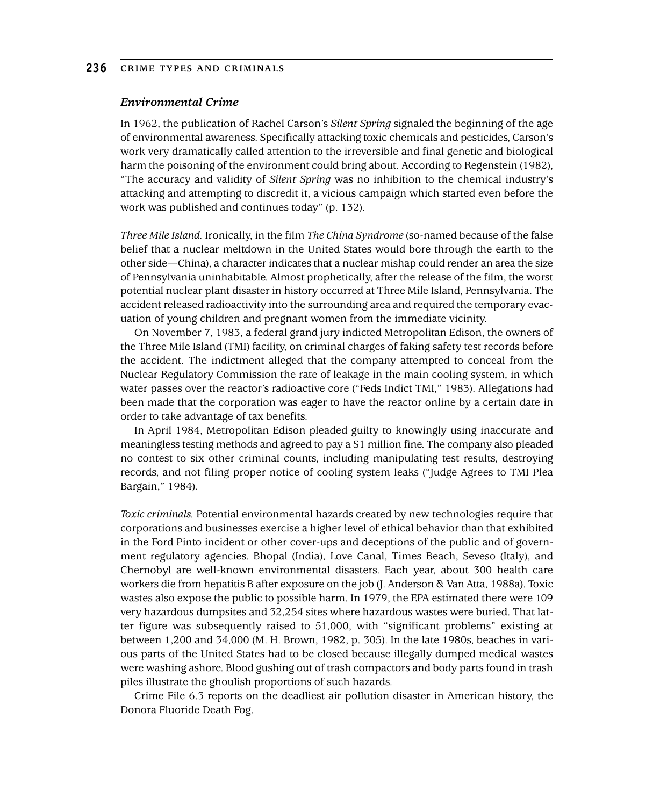#### **236 CRIME TYPES AND CRIMINALS**

#### *Environmental Crime*

In 1962, the publication of Rachel Carson's *Silent Spring* signaled the beginning of the age of environmental awareness. Specifically attacking toxic chemicals and pesticides, Carson's work very dramatically called attention to the irreversible and final genetic and biological harm the poisoning of the environment could bring about. According to Regenstein (1982), "The accuracy and validity of *Silent Spring* was no inhibition to the chemical industry's attacking and attempting to discredit it, a vicious campaign which started even before the work was published and continues today" (p. 132).

*Three Mile Island.* Ironically, in the film *The China Syndrome* (so-named because of the false belief that a nuclear meltdown in the United States would bore through the earth to the other side—China), a character indicates that a nuclear mishap could render an area the size of Pennsylvania uninhabitable. Almost prophetically, after the release of the film, the worst potential nuclear plant disaster in history occurred at Three Mile Island, Pennsylvania. The accident released radioactivity into the surrounding area and required the temporary evacuation of young children and pregnant women from the immediate vicinity.

On November 7, 1983, a federal grand jury indicted Metropolitan Edison, the owners of the Three Mile Island (TMI) facility, on criminal charges of faking safety test records before the accident. The indictment alleged that the company attempted to conceal from the Nuclear Regulatory Commission the rate of leakage in the main cooling system, in which water passes over the reactor's radioactive core ("Feds Indict TMI," 1983). Allegations had been made that the corporation was eager to have the reactor online by a certain date in order to take advantage of tax benefits.

In April 1984, Metropolitan Edison pleaded guilty to knowingly using inaccurate and meaningless testing methods and agreed to pay a \$1 million fine. The company also pleaded no contest to six other criminal counts, including manipulating test results, destroying records, and not filing proper notice of cooling system leaks ("Judge Agrees to TMI Plea Bargain," 1984).

*Toxic criminals.* Potential environmental hazards created by new technologies require that corporations and businesses exercise a higher level of ethical behavior than that exhibited in the Ford Pinto incident or other cover-ups and deceptions of the public and of government regulatory agencies. Bhopal (India), Love Canal, Times Beach, Seveso (Italy), and Chernobyl are well-known environmental disasters. Each year, about 300 health care workers die from hepatitis B after exposure on the job (J. Anderson & Van Atta, 1988a). Toxic wastes also expose the public to possible harm. In 1979, the EPA estimated there were 109 very hazardous dumpsites and 32,254 sites where hazardous wastes were buried. That latter figure was subsequently raised to 51,000, with "significant problems" existing at between 1,200 and 34,000 (M. H. Brown, 1982, p. 305). In the late 1980s, beaches in various parts of the United States had to be closed because illegally dumped medical wastes were washing ashore. Blood gushing out of trash compactors and body parts found in trash piles illustrate the ghoulish proportions of such hazards.

Crime File 6.3 reports on the deadliest air pollution disaster in American history, the Donora Fluoride Death Fog.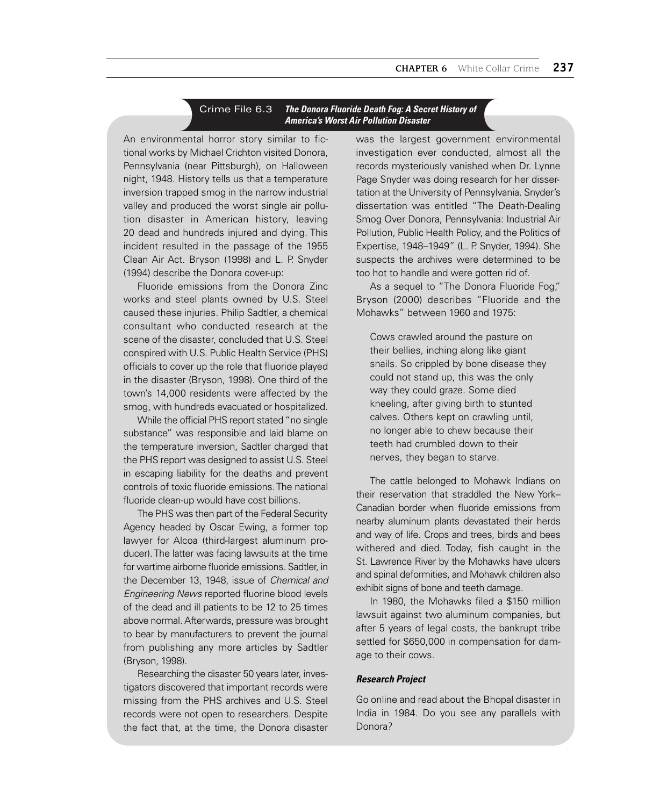#### Crime File 6.3 *The Donora Fluoride Death Fog: A Secret History of America's Worst Air Pollution Disaster*

An environmental horror story similar to fictional works by Michael Crichton visited Donora, Pennsylvania (near Pittsburgh), on Halloween night, 1948. History tells us that a temperature inversion trapped smog in the narrow industrial valley and produced the worst single air pollution disaster in American history, leaving 20 dead and hundreds injured and dying. This incident resulted in the passage of the 1955 Clean Air Act. Bryson (1998) and L. P. Snyder (1994) describe the Donora cover-up:

Fluoride emissions from the Donora Zinc works and steel plants owned by U.S. Steel caused these injuries. Philip Sadtler, a chemical consultant who conducted research at the scene of the disaster, concluded that U.S. Steel conspired with U.S. Public Health Service (PHS) officials to cover up the role that fluoride played in the disaster (Bryson, 1998). One third of the town's 14,000 residents were affected by the smog, with hundreds evacuated or hospitalized.

While the official PHS report stated "no single substance" was responsible and laid blame on the temperature inversion, Sadtler charged that the PHS report was designed to assist U.S. Steel in escaping liability for the deaths and prevent controls of toxic fluoride emissions. The national fluoride clean-up would have cost billions.

The PHS was then part of the Federal Security Agency headed by Oscar Ewing, a former top lawyer for Alcoa (third-largest aluminum producer). The latter was facing lawsuits at the time for wartime airborne fluoride emissions. Sadtler, in the December 13, 1948, issue of *Chemical and Engineering News* reported fluorine blood levels of the dead and ill patients to be 12 to 25 times above normal. Afterwards, pressure was brought to bear by manufacturers to prevent the journal from publishing any more articles by Sadtler (Bryson, 1998).

Researching the disaster 50 years later, investigators discovered that important records were missing from the PHS archives and U.S. Steel records were not open to researchers. Despite the fact that, at the time, the Donora disaster was the largest government environmental investigation ever conducted, almost all the records mysteriously vanished when Dr. Lynne Page Snyder was doing research for her dissertation at the University of Pennsylvania. Snyder's dissertation was entitled "The Death-Dealing Smog Over Donora, Pennsylvania: Industrial Air Pollution, Public Health Policy, and the Politics of Expertise, 1948–1949" (L. P. Snyder, 1994). She suspects the archives were determined to be too hot to handle and were gotten rid of.

As a sequel to "The Donora Fluoride Fog," Bryson (2000) describes "Fluoride and the Mohawks" between 1960 and 1975:

Cows crawled around the pasture on their bellies, inching along like giant snails. So crippled by bone disease they could not stand up, this was the only way they could graze. Some died kneeling, after giving birth to stunted calves. Others kept on crawling until, no longer able to chew because their teeth had crumbled down to their nerves, they began to starve.

The cattle belonged to Mohawk Indians on their reservation that straddled the New York– Canadian border when fluoride emissions from nearby aluminum plants devastated their herds and way of life. Crops and trees, birds and bees withered and died. Today, fish caught in the St. Lawrence River by the Mohawks have ulcers and spinal deformities, and Mohawk children also exhibit signs of bone and teeth damage.

In 1980, the Mohawks filed a \$150 million lawsuit against two aluminum companies, but after 5 years of legal costs, the bankrupt tribe settled for \$650,000 in compensation for damage to their cows.

#### *Research Project*

Go online and read about the Bhopal disaster in India in 1984. Do you see any parallels with Donora?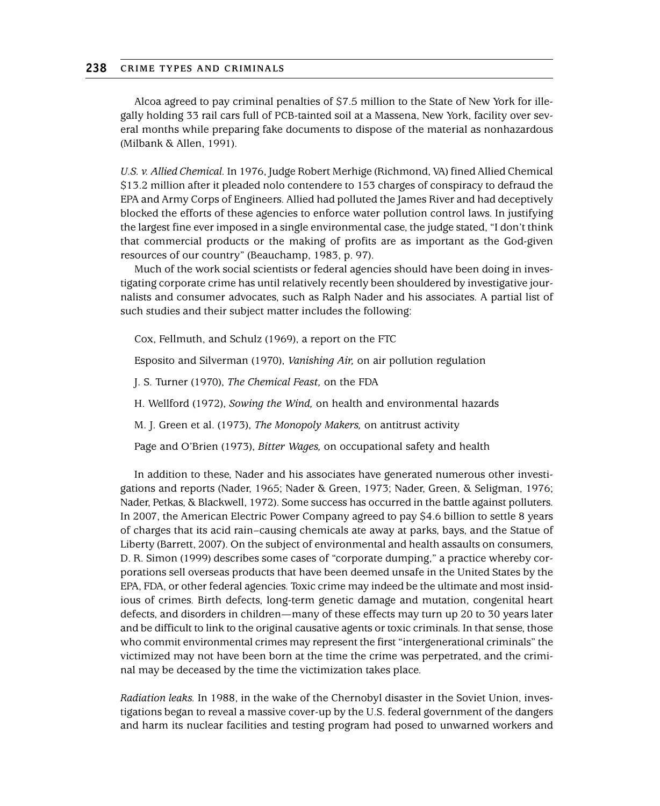#### **238 CRIME TYPES AND CRIMINALS**

Alcoa agreed to pay criminal penalties of \$7.5 million to the State of New York for illegally holding 33 rail cars full of PCB-tainted soil at a Massena, New York, facility over several months while preparing fake documents to dispose of the material as nonhazardous (Milbank & Allen, 1991).

*U.S. v. Allied Chemical.* In 1976, Judge Robert Merhige (Richmond, VA) fined Allied Chemical \$13.2 million after it pleaded nolo contendere to 153 charges of conspiracy to defraud the EPA and Army Corps of Engineers. Allied had polluted the James River and had deceptively blocked the efforts of these agencies to enforce water pollution control laws. In justifying the largest fine ever imposed in a single environmental case, the judge stated, "I don't think that commercial products or the making of profits are as important as the God-given resources of our country" (Beauchamp, 1983, p. 97).

Much of the work social scientists or federal agencies should have been doing in investigating corporate crime has until relatively recently been shouldered by investigative journalists and consumer advocates, such as Ralph Nader and his associates. A partial list of such studies and their subject matter includes the following:

Cox, Fellmuth, and Schulz (1969), a report on the FTC

Esposito and Silverman (1970), *Vanishing Air,* on air pollution regulation

J. S. Turner (1970), *The Chemical Feast,* on the FDA

H. Wellford (1972), *Sowing the Wind,* on health and environmental hazards

M. J. Green et al. (1973), *The Monopoly Makers,* on antitrust activity

Page and O'Brien (1973), *Bitter Wages,* on occupational safety and health

In addition to these, Nader and his associates have generated numerous other investigations and reports (Nader, 1965; Nader & Green, 1973; Nader, Green, & Seligman, 1976; Nader, Petkas, & Blackwell, 1972). Some success has occurred in the battle against polluters. In 2007, the American Electric Power Company agreed to pay \$4.6 billion to settle 8 years of charges that its acid rain–causing chemicals ate away at parks, bays, and the Statue of Liberty (Barrett, 2007). On the subject of environmental and health assaults on consumers, D. R. Simon (1999) describes some cases of "corporate dumping," a practice whereby corporations sell overseas products that have been deemed unsafe in the United States by the EPA, FDA, or other federal agencies. Toxic crime may indeed be the ultimate and most insidious of crimes. Birth defects, long-term genetic damage and mutation, congenital heart defects, and disorders in children—many of these effects may turn up 20 to 30 years later and be difficult to link to the original causative agents or toxic criminals. In that sense, those who commit environmental crimes may represent the first "intergenerational criminals" the victimized may not have been born at the time the crime was perpetrated, and the criminal may be deceased by the time the victimization takes place.

*Radiation leaks.* In 1988, in the wake of the Chernobyl disaster in the Soviet Union, investigations began to reveal a massive cover-up by the U.S. federal government of the dangers and harm its nuclear facilities and testing program had posed to unwarned workers and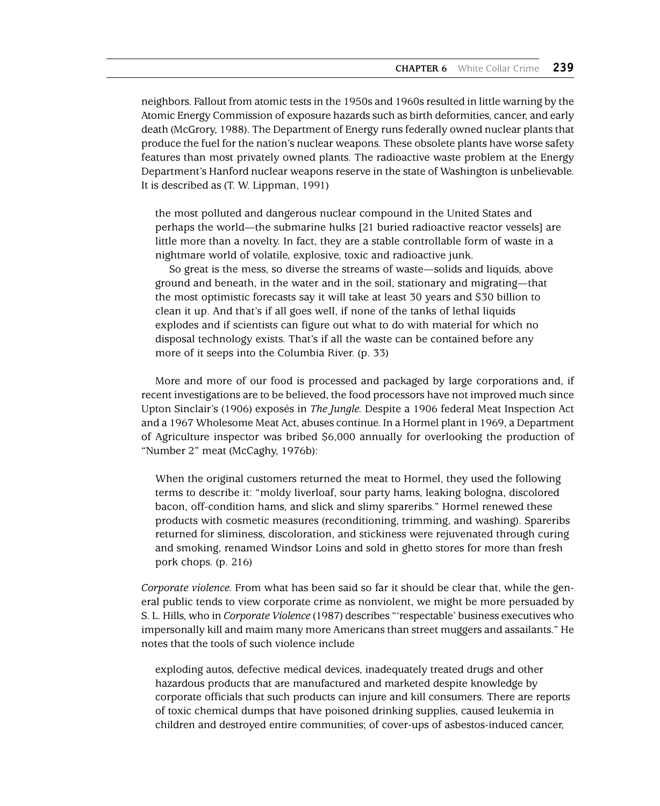neighbors. Fallout from atomic tests in the 1950s and 1960s resulted in little warning by the Atomic Energy Commission of exposure hazards such as birth deformities, cancer, and early death (McGrory, 1988). The Department of Energy runs federally owned nuclear plants that produce the fuel for the nation's nuclear weapons. These obsolete plants have worse safety features than most privately owned plants. The radioactive waste problem at the Energy Department's Hanford nuclear weapons reserve in the state of Washington is unbelievable. It is described as (T. W. Lippman, 1991)

the most polluted and dangerous nuclear compound in the United States and perhaps the world—the submarine hulks [21 buried radioactive reactor vessels] are little more than a novelty. In fact, they are a stable controllable form of waste in a nightmare world of volatile, explosive, toxic and radioactive junk.

So great is the mess, so diverse the streams of waste—solids and liquids, above ground and beneath, in the water and in the soil, stationary and migrating—that the most optimistic forecasts say it will take at least 30 years and \$30 billion to clean it up. And that's if all goes well, if none of the tanks of lethal liquids explodes and if scientists can figure out what to do with material for which no disposal technology exists. That's if all the waste can be contained before any more of it seeps into the Columbia River. (p. 33)

More and more of our food is processed and packaged by large corporations and, if recent investigations are to be believed, the food processors have not improved much since Upton Sinclair's (1906) exposés in *The Jungle.* Despite a 1906 federal Meat Inspection Act and a 1967 Wholesome Meat Act, abuses continue. In a Hormel plant in 1969, a Department of Agriculture inspector was bribed \$6,000 annually for overlooking the production of "Number 2" meat (McCaghy, 1976b):

When the original customers returned the meat to Hormel, they used the following terms to describe it: "moldy liverloaf, sour party hams, leaking bologna, discolored bacon, off-condition hams, and slick and slimy spareribs." Hormel renewed these products with cosmetic measures (reconditioning, trimming, and washing). Spareribs returned for sliminess, discoloration, and stickiness were rejuvenated through curing and smoking, renamed Windsor Loins and sold in ghetto stores for more than fresh pork chops. (p. 216)

*Corporate violence.* From what has been said so far it should be clear that, while the general public tends to view corporate crime as nonviolent, we might be more persuaded by S. L. Hills, who in *Corporate Violence* (1987) describes "'respectable' business executives who impersonally kill and maim many more Americans than street muggers and assailants." He notes that the tools of such violence include

exploding autos, defective medical devices, inadequately treated drugs and other hazardous products that are manufactured and marketed despite knowledge by corporate officials that such products can injure and kill consumers. There are reports of toxic chemical dumps that have poisoned drinking supplies, caused leukemia in children and destroyed entire communities; of cover-ups of asbestos-induced cancer,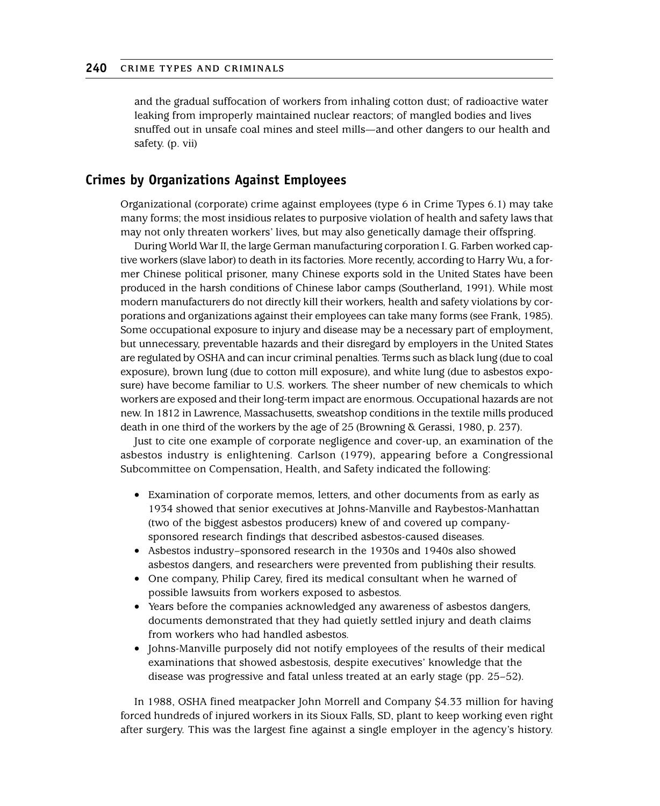and the gradual suffocation of workers from inhaling cotton dust; of radioactive water leaking from improperly maintained nuclear reactors; of mangled bodies and lives snuffed out in unsafe coal mines and steel mills—and other dangers to our health and safety. (p. vii)

# **Crimes by Organizations Against Employees**

Organizational (corporate) crime against employees (type 6 in Crime Types 6.1) may take many forms; the most insidious relates to purposive violation of health and safety laws that may not only threaten workers' lives, but may also genetically damage their offspring.

During World War II, the large German manufacturing corporation I. G. Farben worked captive workers (slave labor) to death in its factories. More recently, according to Harry Wu, a former Chinese political prisoner, many Chinese exports sold in the United States have been produced in the harsh conditions of Chinese labor camps (Southerland, 1991). While most modern manufacturers do not directly kill their workers, health and safety violations by corporations and organizations against their employees can take many forms (see Frank, 1985). Some occupational exposure to injury and disease may be a necessary part of employment, but unnecessary, preventable hazards and their disregard by employers in the United States are regulated by OSHA and can incur criminal penalties. Terms such as black lung (due to coal exposure), brown lung (due to cotton mill exposure), and white lung (due to asbestos exposure) have become familiar to U.S. workers. The sheer number of new chemicals to which workers are exposed and their long-term impact are enormous. Occupational hazards are not new. In 1812 in Lawrence, Massachusetts, sweatshop conditions in the textile mills produced death in one third of the workers by the age of 25 (Browning & Gerassi, 1980, p. 237).

Just to cite one example of corporate negligence and cover-up, an examination of the asbestos industry is enlightening. Carlson (1979), appearing before a Congressional Subcommittee on Compensation, Health, and Safety indicated the following:

- Examination of corporate memos, letters, and other documents from as early as 1934 showed that senior executives at Johns-Manville and Raybestos-Manhattan (two of the biggest asbestos producers) knew of and covered up companysponsored research findings that described asbestos-caused diseases.
- Asbestos industry–sponsored research in the 1930s and 1940s also showed asbestos dangers, and researchers were prevented from publishing their results.
- One company, Philip Carey, fired its medical consultant when he warned of possible lawsuits from workers exposed to asbestos.
- Years before the companies acknowledged any awareness of asbestos dangers, documents demonstrated that they had quietly settled injury and death claims from workers who had handled asbestos.
- Johns-Manville purposely did not notify employees of the results of their medical examinations that showed asbestosis, despite executives' knowledge that the disease was progressive and fatal unless treated at an early stage (pp. 25–52).

In 1988, OSHA fined meatpacker John Morrell and Company \$4.33 million for having forced hundreds of injured workers in its Sioux Falls, SD, plant to keep working even right after surgery. This was the largest fine against a single employer in the agency's history.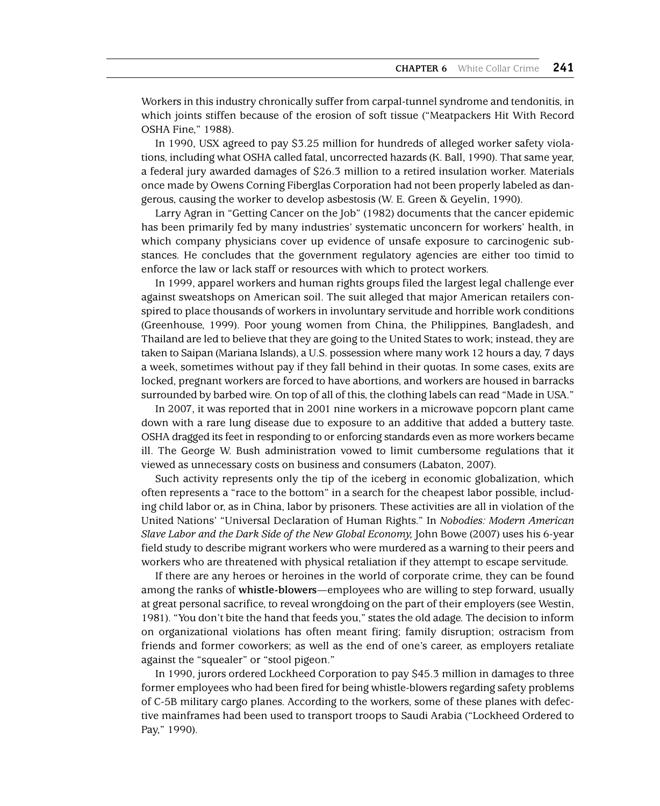Workers in this industry chronically suffer from carpal-tunnel syndrome and tendonitis, in which joints stiffen because of the erosion of soft tissue ("Meatpackers Hit With Record OSHA Fine," 1988).

In 1990, USX agreed to pay \$3.25 million for hundreds of alleged worker safety violations, including what OSHA called fatal, uncorrected hazards (K. Ball, 1990). That same year, a federal jury awarded damages of \$26.3 million to a retired insulation worker. Materials once made by Owens Corning Fiberglas Corporation had not been properly labeled as dangerous, causing the worker to develop asbestosis (W. E. Green & Geyelin, 1990).

Larry Agran in "Getting Cancer on the Job" (1982) documents that the cancer epidemic has been primarily fed by many industries' systematic unconcern for workers' health, in which company physicians cover up evidence of unsafe exposure to carcinogenic substances. He concludes that the government regulatory agencies are either too timid to enforce the law or lack staff or resources with which to protect workers.

In 1999, apparel workers and human rights groups filed the largest legal challenge ever against sweatshops on American soil. The suit alleged that major American retailers conspired to place thousands of workers in involuntary servitude and horrible work conditions (Greenhouse, 1999). Poor young women from China, the Philippines, Bangladesh, and Thailand are led to believe that they are going to the United States to work; instead, they are taken to Saipan (Mariana Islands), a U.S. possession where many work 12 hours a day, 7 days a week, sometimes without pay if they fall behind in their quotas. In some cases, exits are locked, pregnant workers are forced to have abortions, and workers are housed in barracks surrounded by barbed wire. On top of all of this, the clothing labels can read "Made in USA."

In 2007, it was reported that in 2001 nine workers in a microwave popcorn plant came down with a rare lung disease due to exposure to an additive that added a buttery taste. OSHA dragged its feet in responding to or enforcing standards even as more workers became ill. The George W. Bush administration vowed to limit cumbersome regulations that it viewed as unnecessary costs on business and consumers (Labaton, 2007).

Such activity represents only the tip of the iceberg in economic globalization, which often represents a "race to the bottom" in a search for the cheapest labor possible, including child labor or, as in China, labor by prisoners. These activities are all in violation of the United Nations' "Universal Declaration of Human Rights." In *Nobodies: Modern American Slave Labor and the Dark Side of the New Global Economy,* John Bowe (2007) uses his 6-year field study to describe migrant workers who were murdered as a warning to their peers and workers who are threatened with physical retaliation if they attempt to escape servitude.

If there are any heroes or heroines in the world of corporate crime, they can be found among the ranks of **whistle-blowers**—employees who are willing to step forward, usually at great personal sacrifice, to reveal wrongdoing on the part of their employers (see Westin, 1981). "You don't bite the hand that feeds you," states the old adage. The decision to inform on organizational violations has often meant firing; family disruption; ostracism from friends and former coworkers; as well as the end of one's career, as employers retaliate against the "squealer" or "stool pigeon."

In 1990, jurors ordered Lockheed Corporation to pay \$45.3 million in damages to three former employees who had been fired for being whistle-blowers regarding safety problems of C-5B military cargo planes. According to the workers, some of these planes with defective mainframes had been used to transport troops to Saudi Arabia ("Lockheed Ordered to Pay," 1990).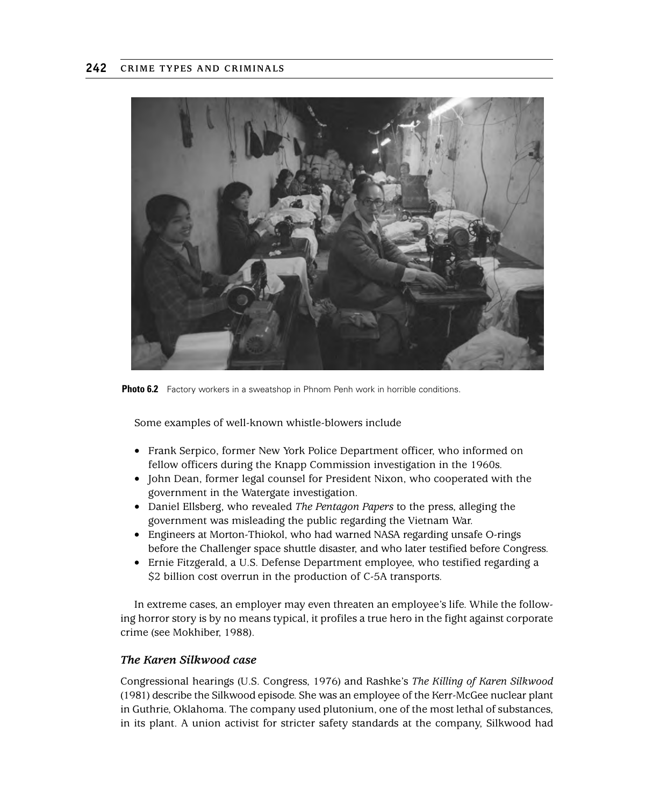

**Photo 6.2** Factory workers in a sweatshop in Phnom Penh work in horrible conditions.

Some examples of well-known whistle-blowers include

- Frank Serpico, former New York Police Department officer, who informed on fellow officers during the Knapp Commission investigation in the 1960s.
- John Dean, former legal counsel for President Nixon, who cooperated with the government in the Watergate investigation.
- Daniel Ellsberg, who revealed *The Pentagon Papers* to the press, alleging the government was misleading the public regarding the Vietnam War.
- Engineers at Morton-Thiokol, who had warned NASA regarding unsafe O-rings before the Challenger space shuttle disaster, and who later testified before Congress.
- Ernie Fitzgerald, a U.S. Defense Department employee, who testified regarding a \$2 billion cost overrun in the production of C-5A transports.

In extreme cases, an employer may even threaten an employee's life. While the following horror story is by no means typical, it profiles a true hero in the fight against corporate crime (see Mokhiber, 1988).

## *The Karen Silkwood case*

Congressional hearings (U.S. Congress, 1976) and Rashke's *The Killing of Karen Silkwood* (1981) describe the Silkwood episode. She was an employee of the Kerr-McGee nuclear plant in Guthrie, Oklahoma. The company used plutonium, one of the most lethal of substances, in its plant. A union activist for stricter safety standards at the company, Silkwood had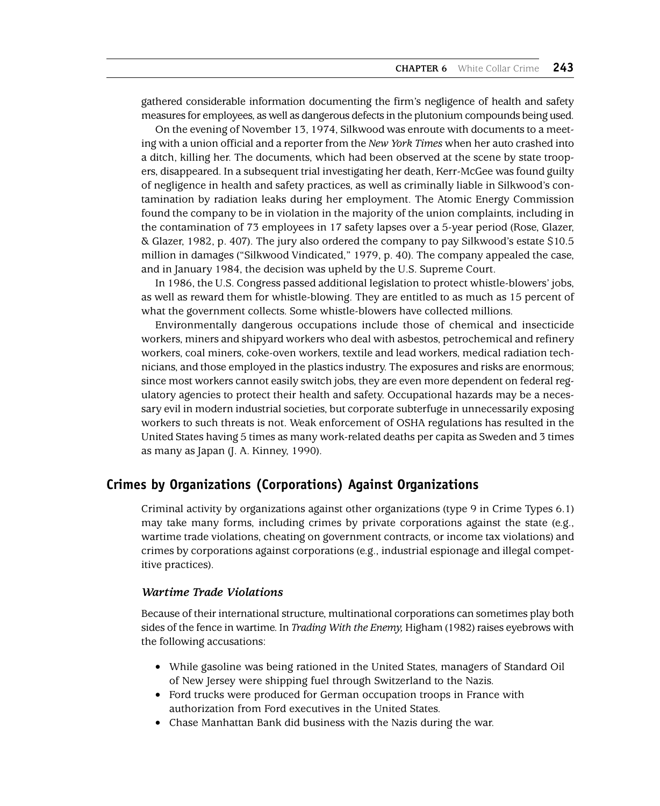gathered considerable information documenting the firm's negligence of health and safety measures for employees, as well as dangerous defects in the plutonium compounds being used.

On the evening of November 13, 1974, Silkwood was enroute with documents to a meeting with a union official and a reporter from the *New York Times* when her auto crashed into a ditch, killing her. The documents, which had been observed at the scene by state troopers, disappeared. In a subsequent trial investigating her death, Kerr-McGee was found guilty of negligence in health and safety practices, as well as criminally liable in Silkwood's contamination by radiation leaks during her employment. The Atomic Energy Commission found the company to be in violation in the majority of the union complaints, including in the contamination of 73 employees in 17 safety lapses over a 5-year period (Rose, Glazer, & Glazer, 1982, p. 407). The jury also ordered the company to pay Silkwood's estate \$10.5 million in damages ("Silkwood Vindicated," 1979, p. 40). The company appealed the case, and in January 1984, the decision was upheld by the U.S. Supreme Court.

In 1986, the U.S. Congress passed additional legislation to protect whistle-blowers' jobs, as well as reward them for whistle-blowing. They are entitled to as much as 15 percent of what the government collects. Some whistle-blowers have collected millions.

Environmentally dangerous occupations include those of chemical and insecticide workers, miners and shipyard workers who deal with asbestos, petrochemical and refinery workers, coal miners, coke-oven workers, textile and lead workers, medical radiation technicians, and those employed in the plastics industry. The exposures and risks are enormous; since most workers cannot easily switch jobs, they are even more dependent on federal regulatory agencies to protect their health and safety. Occupational hazards may be a necessary evil in modern industrial societies, but corporate subterfuge in unnecessarily exposing workers to such threats is not. Weak enforcement of OSHA regulations has resulted in the United States having 5 times as many work-related deaths per capita as Sweden and 3 times as many as Japan (J. A. Kinney, 1990).

# **Crimes by Organizations (Corporations) Against Organizations**

Criminal activity by organizations against other organizations (type 9 in Crime Types 6.1) may take many forms, including crimes by private corporations against the state (e.g., wartime trade violations, cheating on government contracts, or income tax violations) and crimes by corporations against corporations (e.g., industrial espionage and illegal competitive practices).

## *Wartime Trade Violations*

Because of their international structure, multinational corporations can sometimes play both sides of the fence in wartime. In *Trading With the Enemy,* Higham (1982) raises eyebrows with the following accusations:

- While gasoline was being rationed in the United States, managers of Standard Oil of New Jersey were shipping fuel through Switzerland to the Nazis.
- Ford trucks were produced for German occupation troops in France with authorization from Ford executives in the United States.
- Chase Manhattan Bank did business with the Nazis during the war.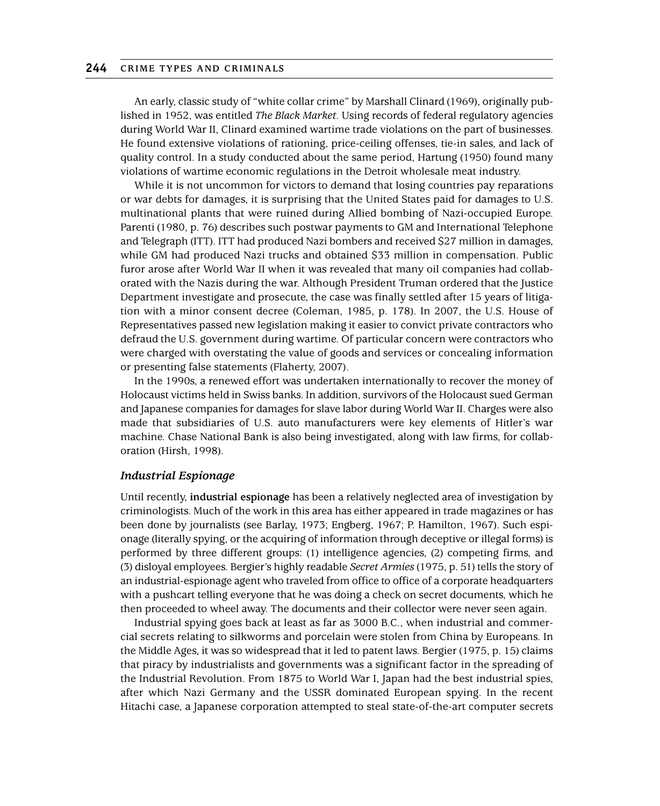An early, classic study of "white collar crime" by Marshall Clinard (1969), originally published in 1952, was entitled *The Black Market.* Using records of federal regulatory agencies during World War II, Clinard examined wartime trade violations on the part of businesses. He found extensive violations of rationing, price-ceiling offenses, tie-in sales, and lack of quality control. In a study conducted about the same period, Hartung (1950) found many violations of wartime economic regulations in the Detroit wholesale meat industry.

While it is not uncommon for victors to demand that losing countries pay reparations or war debts for damages, it is surprising that the United States paid for damages to U.S. multinational plants that were ruined during Allied bombing of Nazi-occupied Europe. Parenti (1980, p. 76) describes such postwar payments to GM and International Telephone and Telegraph (ITT). ITT had produced Nazi bombers and received \$27 million in damages, while GM had produced Nazi trucks and obtained \$33 million in compensation. Public furor arose after World War II when it was revealed that many oil companies had collaborated with the Nazis during the war. Although President Truman ordered that the Justice Department investigate and prosecute, the case was finally settled after 15 years of litigation with a minor consent decree (Coleman, 1985, p. 178). In 2007, the U.S. House of Representatives passed new legislation making it easier to convict private contractors who defraud the U.S. government during wartime. Of particular concern were contractors who were charged with overstating the value of goods and services or concealing information or presenting false statements (Flaherty, 2007).

In the 1990s, a renewed effort was undertaken internationally to recover the money of Holocaust victims held in Swiss banks. In addition, survivors of the Holocaust sued German and Japanese companies for damages for slave labor during World War II. Charges were also made that subsidiaries of U.S. auto manufacturers were key elements of Hitler's war machine. Chase National Bank is also being investigated, along with law firms, for collaboration (Hirsh, 1998).

#### *Industrial Espionage*

Until recently, **industrial espionage** has been a relatively neglected area of investigation by criminologists. Much of the work in this area has either appeared in trade magazines or has been done by journalists (see Barlay, 1973; Engberg, 1967; P. Hamilton, 1967). Such espionage (literally spying, or the acquiring of information through deceptive or illegal forms) is performed by three different groups: (1) intelligence agencies, (2) competing firms, and (3) disloyal employees. Bergier's highly readable *Secret Armies* (1975, p. 51) tells the story of an industrial-espionage agent who traveled from office to office of a corporate headquarters with a pushcart telling everyone that he was doing a check on secret documents, which he then proceeded to wheel away. The documents and their collector were never seen again.

Industrial spying goes back at least as far as 3000 B.C., when industrial and commercial secrets relating to silkworms and porcelain were stolen from China by Europeans. In the Middle Ages, it was so widespread that it led to patent laws. Bergier (1975, p. 15) claims that piracy by industrialists and governments was a significant factor in the spreading of the Industrial Revolution. From 1875 to World War I, Japan had the best industrial spies, after which Nazi Germany and the USSR dominated European spying. In the recent Hitachi case, a Japanese corporation attempted to steal state-of-the-art computer secrets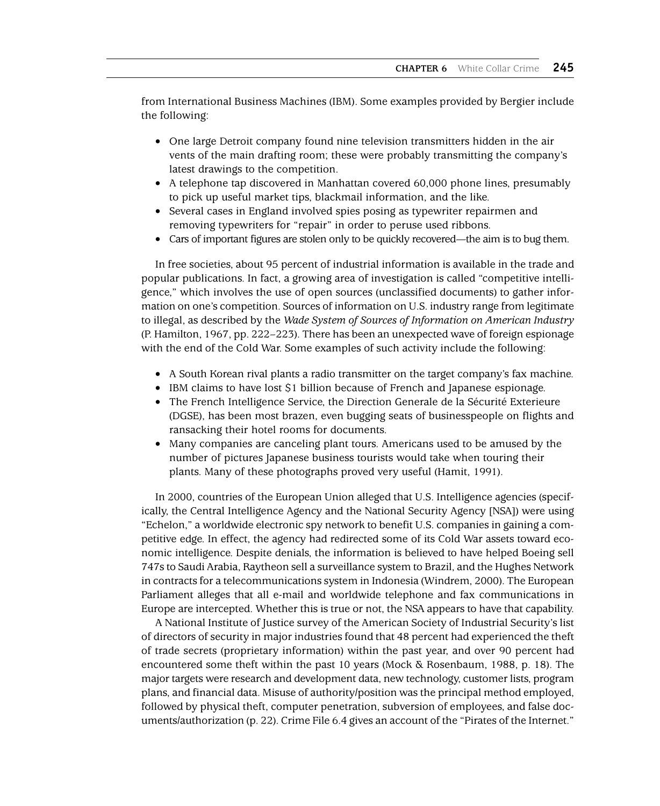from International Business Machines (IBM). Some examples provided by Bergier include the following:

- One large Detroit company found nine television transmitters hidden in the air vents of the main drafting room; these were probably transmitting the company's latest drawings to the competition.
- A telephone tap discovered in Manhattan covered 60,000 phone lines, presumably to pick up useful market tips, blackmail information, and the like.
- Several cases in England involved spies posing as typewriter repairmen and removing typewriters for "repair" in order to peruse used ribbons.
- Cars of important figures are stolen only to be quickly recovered—the aim is to bug them.

In free societies, about 95 percent of industrial information is available in the trade and popular publications. In fact, a growing area of investigation is called "competitive intelligence," which involves the use of open sources (unclassified documents) to gather information on one's competition. Sources of information on U.S. industry range from legitimate to illegal, as described by the *Wade System of Sources of Information on American Industry* (P. Hamilton, 1967, pp. 222–223). There has been an unexpected wave of foreign espionage with the end of the Cold War. Some examples of such activity include the following:

- A South Korean rival plants a radio transmitter on the target company's fax machine.
- IBM claims to have lost \$1 billion because of French and Japanese espionage.
- The French Intelligence Service, the Direction Generale de la Sécurité Exterieure (DGSE), has been most brazen, even bugging seats of businesspeople on flights and ransacking their hotel rooms for documents.
- Many companies are canceling plant tours. Americans used to be amused by the number of pictures Japanese business tourists would take when touring their plants. Many of these photographs proved very useful (Hamit, 1991).

In 2000, countries of the European Union alleged that U.S. Intelligence agencies (specifically, the Central Intelligence Agency and the National Security Agency [NSA]) were using "Echelon," a worldwide electronic spy network to benefit U.S. companies in gaining a competitive edge. In effect, the agency had redirected some of its Cold War assets toward economic intelligence. Despite denials, the information is believed to have helped Boeing sell 747s to Saudi Arabia, Raytheon sell a surveillance system to Brazil, and the Hughes Network in contracts for a telecommunications system in Indonesia (Windrem, 2000). The European Parliament alleges that all e-mail and worldwide telephone and fax communications in Europe are intercepted. Whether this is true or not, the NSA appears to have that capability.

A National Institute of Justice survey of the American Society of Industrial Security's list of directors of security in major industries found that 48 percent had experienced the theft of trade secrets (proprietary information) within the past year, and over 90 percent had encountered some theft within the past 10 years (Mock & Rosenbaum, 1988, p. 18). The major targets were research and development data, new technology, customer lists, program plans, and financial data. Misuse of authority/position was the principal method employed, followed by physical theft, computer penetration, subversion of employees, and false documents/authorization (p. 22). Crime File 6.4 gives an account of the "Pirates of the Internet."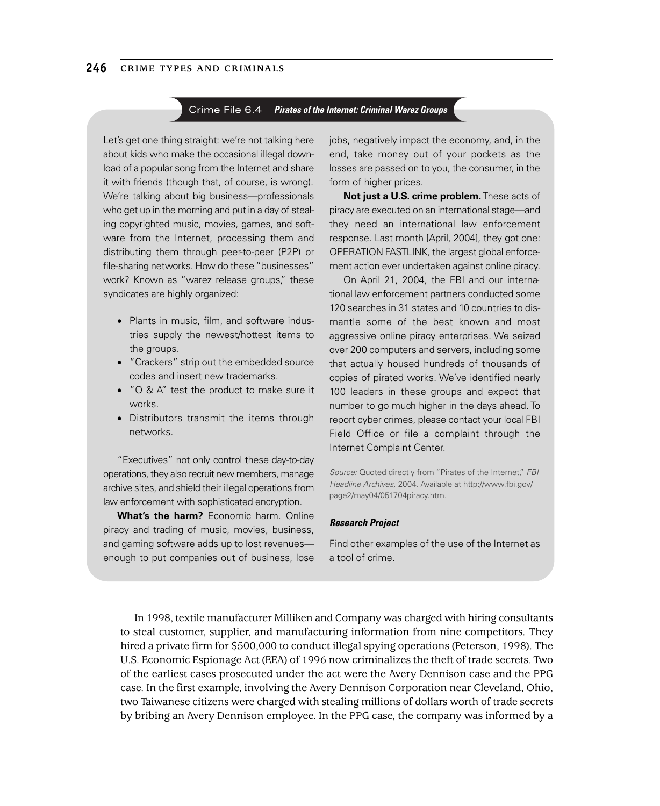Crime File 6.4 *Pirates of the Internet: Criminal Warez Groups*

Let's get one thing straight: we're not talking here about kids who make the occasional illegal download of a popular song from the Internet and share it with friends (though that, of course, is wrong). We're talking about big business—professionals who get up in the morning and put in a day of stealing copyrighted music, movies, games, and software from the Internet, processing them and distributing them through peer-to-peer (P2P) or file-sharing networks. How do these "businesses" work? Known as "warez release groups," these syndicates are highly organized:

- Plants in music, film, and software industries supply the newest/hottest items to the groups.
- "Crackers" strip out the embedded source codes and insert new trademarks.
- "Q & A" test the product to make sure it works.
- Distributors transmit the items through networks.

"Executives" not only control these day-to-day operations, they also recruit new members, manage archive sites, and shield their illegal operations from law enforcement with sophisticated encryption.

**What's the harm?** Economic harm. Online piracy and trading of music, movies, business, and gaming software adds up to lost revenues enough to put companies out of business, lose jobs, negatively impact the economy, and, in the end, take money out of your pockets as the losses are passed on to you, the consumer, in the form of higher prices.

**Not just a U.S. crime problem.**These acts of piracy are executed on an international stage—and they need an international law enforcement response. Last month [April, 2004], they got one: OPERATION FASTLINK, the largest global enforcement action ever undertaken against online piracy.

On April 21, 2004, the FBI and our international law enforcement partners conducted some 120 searches in 31 states and 10 countries to dismantle some of the best known and most aggressive online piracy enterprises. We seized over 200 computers and servers, including some that actually housed hundreds of thousands of copies of pirated works. We've identified nearly 100 leaders in these groups and expect that number to go much higher in the days ahead. To report cyber crimes, please contact your local FBI Field Office or file a complaint through the Internet Complaint Center.

*Source:* Quoted directly from "Pirates of the Internet," *FBI Headline Archives,* 2004. Available at http://www.fbi.gov/ page2/may04/051704piracy.htm.

#### *Research Project*

Find other examples of the use of the Internet as a tool of crime.

In 1998, textile manufacturer Milliken and Company was charged with hiring consultants to steal customer, supplier, and manufacturing information from nine competitors. They hired a private firm for \$500,000 to conduct illegal spying operations (Peterson, 1998). The U.S. Economic Espionage Act (EEA) of 1996 now criminalizes the theft of trade secrets. Two of the earliest cases prosecuted under the act were the Avery Dennison case and the PPG case. In the first example, involving the Avery Dennison Corporation near Cleveland, Ohio, two Taiwanese citizens were charged with stealing millions of dollars worth of trade secrets by bribing an Avery Dennison employee. In the PPG case, the company was informed by a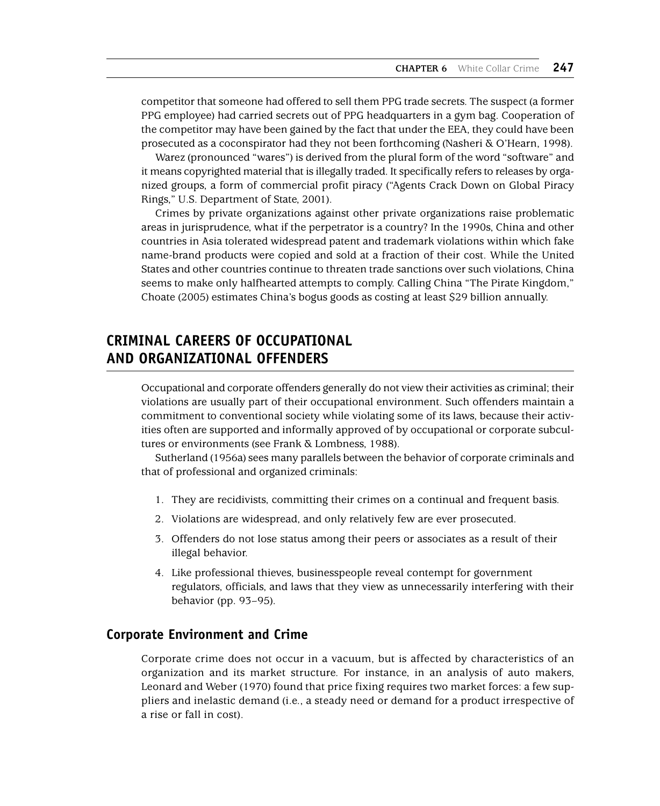competitor that someone had offered to sell them PPG trade secrets. The suspect (a former PPG employee) had carried secrets out of PPG headquarters in a gym bag. Cooperation of the competitor may have been gained by the fact that under the EEA, they could have been prosecuted as a coconspirator had they not been forthcoming (Nasheri & O'Hearn, 1998).

Warez (pronounced "wares") is derived from the plural form of the word "software" and it means copyrighted material that is illegally traded. It specifically refers to releases by organized groups, a form of commercial profit piracy ("Agents Crack Down on Global Piracy Rings," U.S. Department of State, 2001).

Crimes by private organizations against other private organizations raise problematic areas in jurisprudence, what if the perpetrator is a country? In the 1990s, China and other countries in Asia tolerated widespread patent and trademark violations within which fake name-brand products were copied and sold at a fraction of their cost. While the United States and other countries continue to threaten trade sanctions over such violations, China seems to make only halfhearted attempts to comply. Calling China "The Pirate Kingdom," Choate (2005) estimates China's bogus goods as costing at least \$29 billion annually.

# **CRIMINAL CAREERS OF OCCUPATIONAL AND ORGANIZATIONAL OFFENDERS**

Occupational and corporate offenders generally do not view their activities as criminal; their violations are usually part of their occupational environment. Such offenders maintain a commitment to conventional society while violating some of its laws, because their activities often are supported and informally approved of by occupational or corporate subcultures or environments (see Frank & Lombness, 1988).

Sutherland (1956a) sees many parallels between the behavior of corporate criminals and that of professional and organized criminals:

- 1. They are recidivists, committing their crimes on a continual and frequent basis.
- 2. Violations are widespread, and only relatively few are ever prosecuted.
- 3. Offenders do not lose status among their peers or associates as a result of their illegal behavior.
- 4. Like professional thieves, businesspeople reveal contempt for government regulators, officials, and laws that they view as unnecessarily interfering with their behavior (pp. 93–95).

# **Corporate Environment and Crime**

Corporate crime does not occur in a vacuum, but is affected by characteristics of an organization and its market structure. For instance, in an analysis of auto makers, Leonard and Weber (1970) found that price fixing requires two market forces: a few suppliers and inelastic demand (i.e., a steady need or demand for a product irrespective of a rise or fall in cost).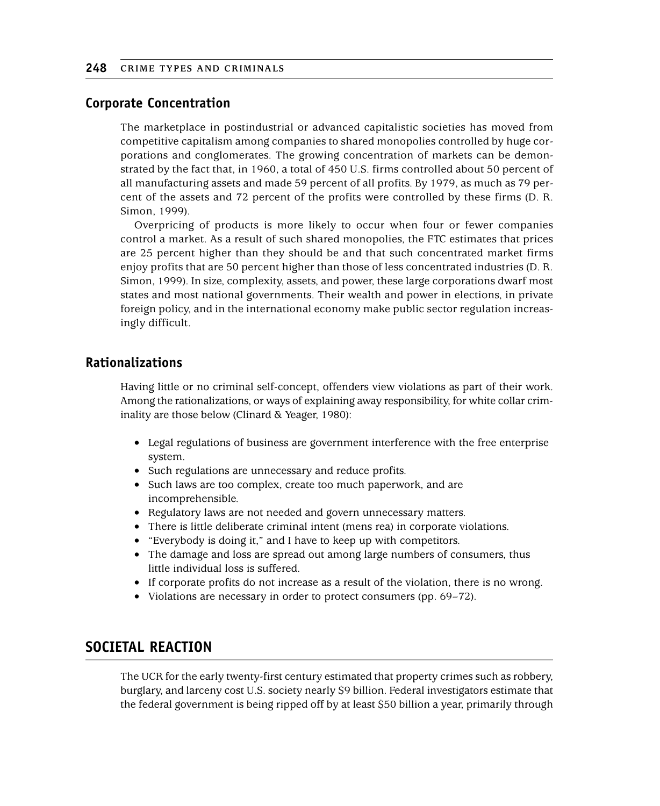# **Corporate Concentration**

The marketplace in postindustrial or advanced capitalistic societies has moved from competitive capitalism among companies to shared monopolies controlled by huge corporations and conglomerates. The growing concentration of markets can be demonstrated by the fact that, in 1960, a total of 450 U.S. firms controlled about 50 percent of all manufacturing assets and made 59 percent of all profits. By 1979, as much as 79 percent of the assets and 72 percent of the profits were controlled by these firms (D. R. Simon, 1999).

Overpricing of products is more likely to occur when four or fewer companies control a market. As a result of such shared monopolies, the FTC estimates that prices are 25 percent higher than they should be and that such concentrated market firms enjoy profits that are 50 percent higher than those of less concentrated industries (D. R. Simon, 1999). In size, complexity, assets, and power, these large corporations dwarf most states and most national governments. Their wealth and power in elections, in private foreign policy, and in the international economy make public sector regulation increasingly difficult.

# **Rationalizations**

Having little or no criminal self-concept, offenders view violations as part of their work. Among the rationalizations, or ways of explaining away responsibility, for white collar criminality are those below (Clinard & Yeager, 1980):

- Legal regulations of business are government interference with the free enterprise system.
- Such regulations are unnecessary and reduce profits.
- Such laws are too complex, create too much paperwork, and are incomprehensible.
- Regulatory laws are not needed and govern unnecessary matters.
- There is little deliberate criminal intent (mens rea) in corporate violations.
- "Everybody is doing it," and I have to keep up with competitors.
- The damage and loss are spread out among large numbers of consumers, thus little individual loss is suffered.
- If corporate profits do not increase as a result of the violation, there is no wrong.
- Violations are necessary in order to protect consumers (pp. 69–72).

# **SOCIETAL REACTION**

The UCR for the early twenty-first century estimated that property crimes such as robbery, burglary, and larceny cost U.S. society nearly \$9 billion. Federal investigators estimate that the federal government is being ripped off by at least \$50 billion a year, primarily through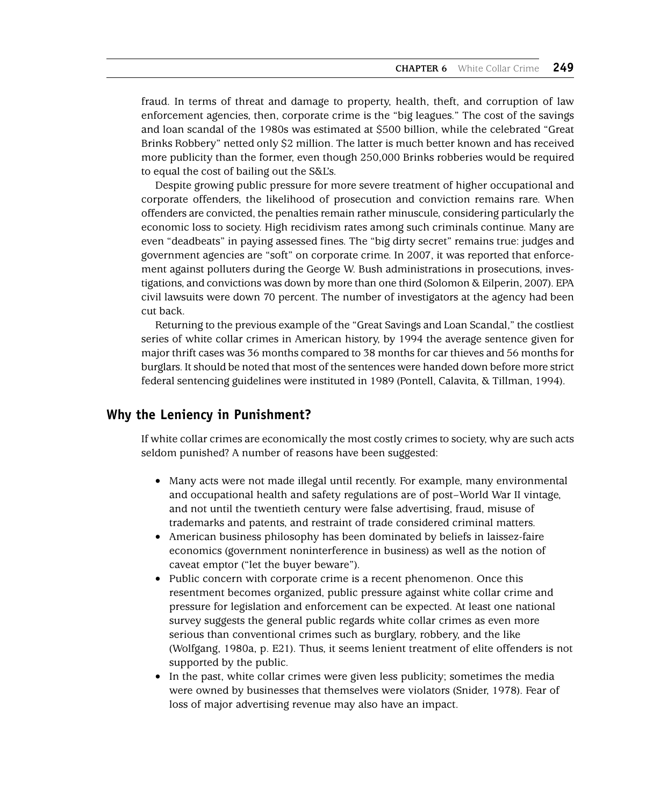fraud. In terms of threat and damage to property, health, theft, and corruption of law enforcement agencies, then, corporate crime is the "big leagues." The cost of the savings and loan scandal of the 1980s was estimated at \$500 billion, while the celebrated "Great Brinks Robbery" netted only \$2 million. The latter is much better known and has received more publicity than the former, even though 250,000 Brinks robberies would be required to equal the cost of bailing out the S&L's.

Despite growing public pressure for more severe treatment of higher occupational and corporate offenders, the likelihood of prosecution and conviction remains rare. When offenders are convicted, the penalties remain rather minuscule, considering particularly the economic loss to society. High recidivism rates among such criminals continue. Many are even "deadbeats" in paying assessed fines. The "big dirty secret" remains true: judges and government agencies are "soft" on corporate crime. In 2007, it was reported that enforcement against polluters during the George W. Bush administrations in prosecutions, investigations, and convictions was down by more than one third (Solomon & Eilperin, 2007). EPA civil lawsuits were down 70 percent. The number of investigators at the agency had been cut back.

Returning to the previous example of the "Great Savings and Loan Scandal," the costliest series of white collar crimes in American history, by 1994 the average sentence given for major thrift cases was 36 months compared to 38 months for car thieves and 56 months for burglars. It should be noted that most of the sentences were handed down before more strict federal sentencing guidelines were instituted in 1989 (Pontell, Calavita, & Tillman, 1994).

# **Why the Leniency in Punishment?**

If white collar crimes are economically the most costly crimes to society, why are such acts seldom punished? A number of reasons have been suggested:

- Many acts were not made illegal until recently. For example, many environmental and occupational health and safety regulations are of post–World War II vintage, and not until the twentieth century were false advertising, fraud, misuse of trademarks and patents, and restraint of trade considered criminal matters.
- American business philosophy has been dominated by beliefs in laissez-faire economics (government noninterference in business) as well as the notion of caveat emptor ("let the buyer beware").
- Public concern with corporate crime is a recent phenomenon. Once this resentment becomes organized, public pressure against white collar crime and pressure for legislation and enforcement can be expected. At least one national survey suggests the general public regards white collar crimes as even more serious than conventional crimes such as burglary, robbery, and the like (Wolfgang, 1980a, p. E21). Thus, it seems lenient treatment of elite offenders is not supported by the public.
- In the past, white collar crimes were given less publicity; sometimes the media were owned by businesses that themselves were violators (Snider, 1978). Fear of loss of major advertising revenue may also have an impact.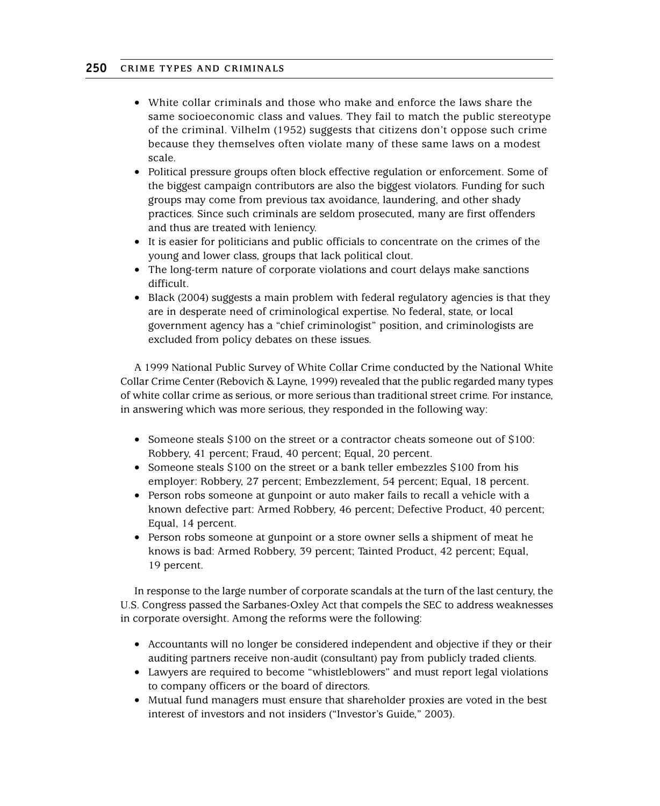- White collar criminals and those who make and enforce the laws share the same socioeconomic class and values. They fail to match the public stereotype of the criminal. Vilhelm (1952) suggests that citizens don't oppose such crime because they themselves often violate many of these same laws on a modest scale.
- Political pressure groups often block effective regulation or enforcement. Some of the biggest campaign contributors are also the biggest violators. Funding for such groups may come from previous tax avoidance, laundering, and other shady practices. Since such criminals are seldom prosecuted, many are first offenders and thus are treated with leniency.
- It is easier for politicians and public officials to concentrate on the crimes of the young and lower class, groups that lack political clout.
- The long-term nature of corporate violations and court delays make sanctions difficult.
- Black (2004) suggests a main problem with federal regulatory agencies is that they are in desperate need of criminological expertise. No federal, state, or local government agency has a "chief criminologist" position, and criminologists are excluded from policy debates on these issues.

A 1999 National Public Survey of White Collar Crime conducted by the National White Collar Crime Center (Rebovich & Layne, 1999) revealed that the public regarded many types of white collar crime as serious, or more serious than traditional street crime. For instance, in answering which was more serious, they responded in the following way:

- Someone steals \$100 on the street or a contractor cheats someone out of \$100: Robbery, 41 percent; Fraud, 40 percent; Equal, 20 percent.
- Someone steals \$100 on the street or a bank teller embezzles \$100 from his employer: Robbery, 27 percent; Embezzlement, 54 percent; Equal, 18 percent.
- Person robs someone at gunpoint or auto maker fails to recall a vehicle with a known defective part: Armed Robbery, 46 percent; Defective Product, 40 percent; Equal, 14 percent.
- Person robs someone at gunpoint or a store owner sells a shipment of meat he knows is bad: Armed Robbery, 39 percent; Tainted Product, 42 percent; Equal, 19 percent.

In response to the large number of corporate scandals at the turn of the last century, the U.S. Congress passed the Sarbanes-Oxley Act that compels the SEC to address weaknesses in corporate oversight. Among the reforms were the following:

- Accountants will no longer be considered independent and objective if they or their auditing partners receive non-audit (consultant) pay from publicly traded clients.
- Lawyers are required to become "whistleblowers" and must report legal violations to company officers or the board of directors.
- Mutual fund managers must ensure that shareholder proxies are voted in the best interest of investors and not insiders ("Investor's Guide," 2003).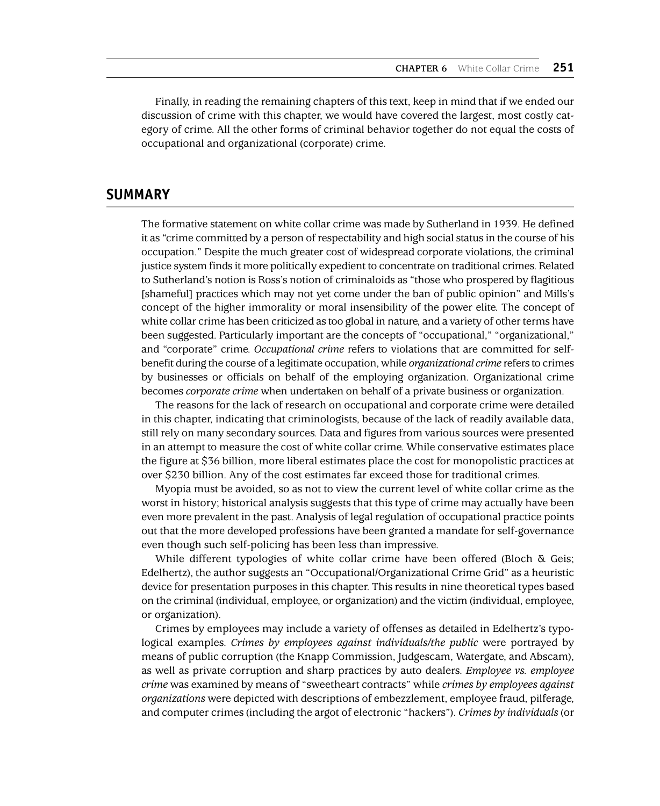Finally, in reading the remaining chapters of this text, keep in mind that if we ended our discussion of crime with this chapter, we would have covered the largest, most costly category of crime. All the other forms of criminal behavior together do not equal the costs of occupational and organizational (corporate) crime.

# **SUMMARY**

The formative statement on white collar crime was made by Sutherland in 1939. He defined it as "crime committed by a person of respectability and high social status in the course of his occupation." Despite the much greater cost of widespread corporate violations, the criminal justice system finds it more politically expedient to concentrate on traditional crimes. Related to Sutherland's notion is Ross's notion of criminaloids as "those who prospered by flagitious [shameful] practices which may not yet come under the ban of public opinion" and Mills's concept of the higher immorality or moral insensibility of the power elite. The concept of white collar crime has been criticized as too global in nature, and a variety of other terms have been suggested. Particularly important are the concepts of "occupational," "organizational," and "corporate" crime. *Occupational crime* refers to violations that are committed for selfbenefit during the course of a legitimate occupation, while *organizational crime* refers to crimes by businesses or officials on behalf of the employing organization. Organizational crime becomes *corporate crime* when undertaken on behalf of a private business or organization.

The reasons for the lack of research on occupational and corporate crime were detailed in this chapter, indicating that criminologists, because of the lack of readily available data, still rely on many secondary sources. Data and figures from various sources were presented in an attempt to measure the cost of white collar crime. While conservative estimates place the figure at \$36 billion, more liberal estimates place the cost for monopolistic practices at over \$230 billion. Any of the cost estimates far exceed those for traditional crimes.

Myopia must be avoided, so as not to view the current level of white collar crime as the worst in history; historical analysis suggests that this type of crime may actually have been even more prevalent in the past. Analysis of legal regulation of occupational practice points out that the more developed professions have been granted a mandate for self-governance even though such self-policing has been less than impressive.

While different typologies of white collar crime have been offered (Bloch  $\&$  Geis; Edelhertz), the author suggests an "Occupational/Organizational Crime Grid" as a heuristic device for presentation purposes in this chapter. This results in nine theoretical types based on the criminal (individual, employee, or organization) and the victim (individual, employee, or organization).

Crimes by employees may include a variety of offenses as detailed in Edelhertz's typological examples. *Crimes by employees against individuals/the public* were portrayed by means of public corruption (the Knapp Commission, Judgescam, Watergate, and Abscam), as well as private corruption and sharp practices by auto dealers. *Employee vs. employee crime* was examined by means of "sweetheart contracts" while *crimes by employees against organizations* were depicted with descriptions of embezzlement, employee fraud, pilferage, and computer crimes (including the argot of electronic "hackers"). *Crimes by individuals* (or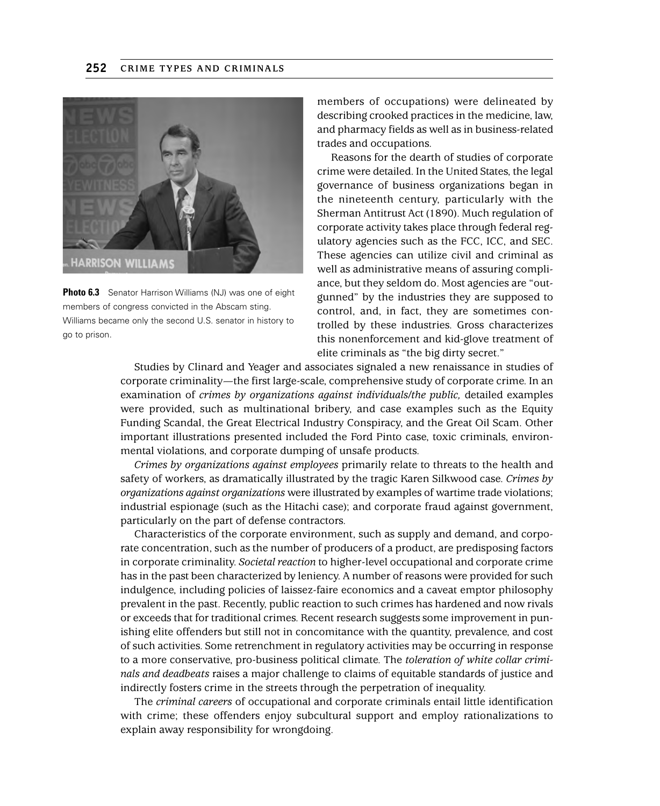

**Photo 6.3** Senator Harrison Williams (NJ) was one of eight members of congress convicted in the Abscam sting. Williams became only the second U.S. senator in history to go to prison.

members of occupations) were delineated by describing crooked practices in the medicine, law, and pharmacy fields as well as in business-related trades and occupations.

Reasons for the dearth of studies of corporate crime were detailed. In the United States, the legal governance of business organizations began in the nineteenth century, particularly with the Sherman Antitrust Act (1890). Much regulation of corporate activity takes place through federal regulatory agencies such as the FCC, ICC, and SEC. These agencies can utilize civil and criminal as well as administrative means of assuring compliance, but they seldom do. Most agencies are "outgunned" by the industries they are supposed to control, and, in fact, they are sometimes controlled by these industries. Gross characterizes this nonenforcement and kid-glove treatment of elite criminals as "the big dirty secret."

Studies by Clinard and Yeager and associates signaled a new renaissance in studies of corporate criminality—the first large-scale, comprehensive study of corporate crime. In an examination of *crimes by organizations against individuals/the public,* detailed examples were provided, such as multinational bribery, and case examples such as the Equity Funding Scandal, the Great Electrical Industry Conspiracy, and the Great Oil Scam. Other important illustrations presented included the Ford Pinto case, toxic criminals, environmental violations, and corporate dumping of unsafe products.

*Crimes by organizations against employees* primarily relate to threats to the health and safety of workers, as dramatically illustrated by the tragic Karen Silkwood case. *Crimes by organizations against organizations* were illustrated by examples of wartime trade violations; industrial espionage (such as the Hitachi case); and corporate fraud against government, particularly on the part of defense contractors.

Characteristics of the corporate environment, such as supply and demand, and corporate concentration, such as the number of producers of a product, are predisposing factors in corporate criminality. *Societal reaction* to higher-level occupational and corporate crime has in the past been characterized by leniency. A number of reasons were provided for such indulgence, including policies of laissez-faire economics and a caveat emptor philosophy prevalent in the past. Recently, public reaction to such crimes has hardened and now rivals or exceeds that for traditional crimes. Recent research suggests some improvement in punishing elite offenders but still not in concomitance with the quantity, prevalence, and cost of such activities. Some retrenchment in regulatory activities may be occurring in response to a more conservative, pro-business political climate. The *toleration of white collar criminals and deadbeats* raises a major challenge to claims of equitable standards of justice and indirectly fosters crime in the streets through the perpetration of inequality.

The *criminal careers* of occupational and corporate criminals entail little identification with crime; these offenders enjoy subcultural support and employ rationalizations to explain away responsibility for wrongdoing.